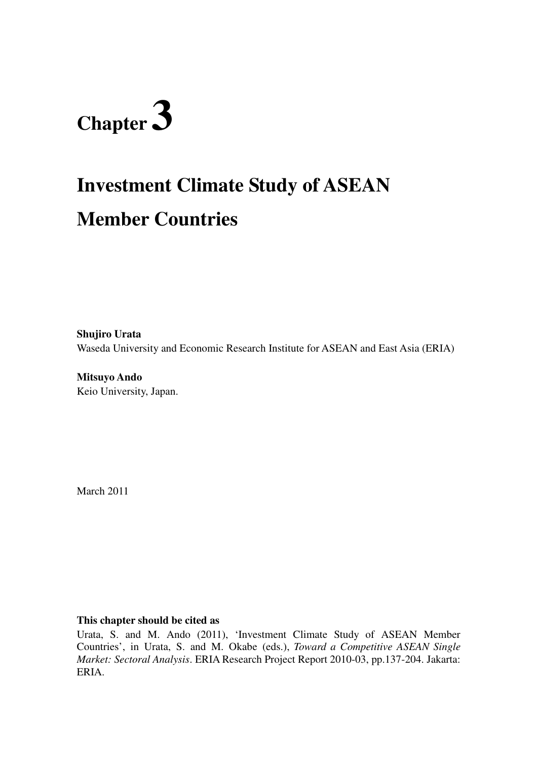# **Chapter 3**

## **Investment Climate Study of ASEAN Member Countries**

**Shujiro Urata**  Waseda University and Economic Research Institute for ASEAN and East Asia (ERIA)

**Mitsuyo Ando**  Keio University, Japan.

March 2011

#### **This chapter should be cited as**

Urata, S. and M. Ando (2011), 'Investment Climate Study of ASEAN Member Countries', in Urata, S. and M. Okabe (eds.), *Toward a Competitive ASEAN Single Market: Sectoral Analysis*. ERIA Research Project Report 2010-03, pp.137-204. Jakarta: ERIA.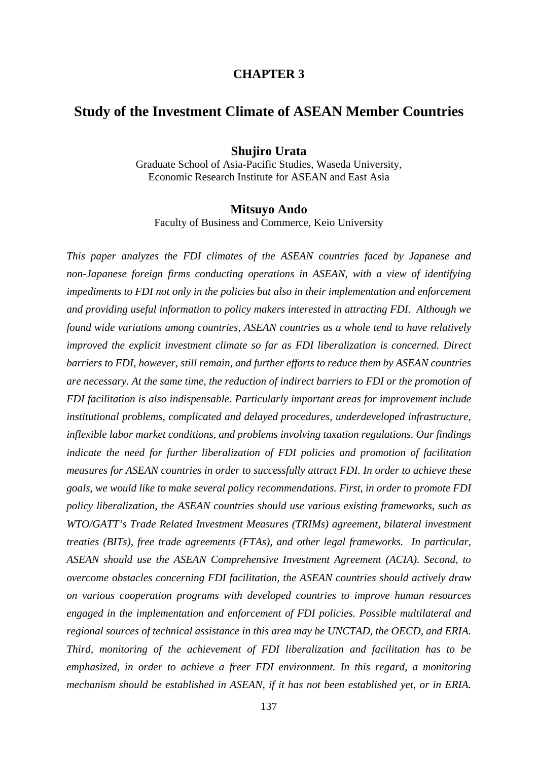#### **CHAPTER 3**

#### **Study of the Investment Climate of ASEAN Member Countries**

#### **Shujiro Urata**

Graduate School of Asia-Pacific Studies, Waseda University, Economic Research Institute for ASEAN and East Asia

#### **Mitsuyo Ando**

Faculty of Business and Commerce, Keio University

*This paper analyzes the FDI climates of the ASEAN countries faced by Japanese and non-Japanese foreign firms conducting operations in ASEAN, with a view of identifying impediments to FDI not only in the policies but also in their implementation and enforcement and providing useful information to policy makers interested in attracting FDI. Although we found wide variations among countries, ASEAN countries as a whole tend to have relatively improved the explicit investment climate so far as FDI liberalization is concerned. Direct barriers to FDI, however, still remain, and further efforts to reduce them by ASEAN countries are necessary. At the same time, the reduction of indirect barriers to FDI or the promotion of FDI facilitation is also indispensable. Particularly important areas for improvement include institutional problems, complicated and delayed procedures, underdeveloped infrastructure, inflexible labor market conditions, and problems involving taxation regulations. Our findings indicate the need for further liberalization of FDI policies and promotion of facilitation measures for ASEAN countries in order to successfully attract FDI. In order to achieve these goals, we would like to make several policy recommendations. First, in order to promote FDI policy liberalization, the ASEAN countries should use various existing frameworks, such as WTO/GATT's Trade Related Investment Measures (TRIMs) agreement, bilateral investment treaties (BITs), free trade agreements (FTAs), and other legal frameworks. In particular, ASEAN should use the ASEAN Comprehensive Investment Agreement (ACIA). Second, to overcome obstacles concerning FDI facilitation, the ASEAN countries should actively draw on various cooperation programs with developed countries to improve human resources engaged in the implementation and enforcement of FDI policies. Possible multilateral and regional sources of technical assistance in this area may be UNCTAD, the OECD, and ERIA. Third, monitoring of the achievement of FDI liberalization and facilitation has to be emphasized, in order to achieve a freer FDI environment. In this regard, a monitoring mechanism should be established in ASEAN, if it has not been established yet, or in ERIA.*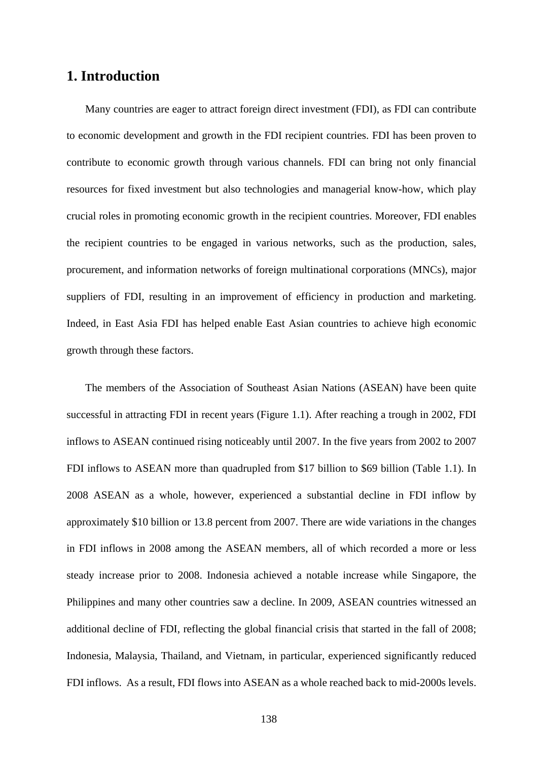#### **1. Introduction**

Many countries are eager to attract foreign direct investment (FDI), as FDI can contribute to economic development and growth in the FDI recipient countries. FDI has been proven to contribute to economic growth through various channels. FDI can bring not only financial resources for fixed investment but also technologies and managerial know-how, which play crucial roles in promoting economic growth in the recipient countries. Moreover, FDI enables the recipient countries to be engaged in various networks, such as the production, sales, procurement, and information networks of foreign multinational corporations (MNCs), major suppliers of FDI, resulting in an improvement of efficiency in production and marketing. Indeed, in East Asia FDI has helped enable East Asian countries to achieve high economic growth through these factors.

The members of the Association of Southeast Asian Nations (ASEAN) have been quite successful in attracting FDI in recent years (Figure 1.1). After reaching a trough in 2002, FDI inflows to ASEAN continued rising noticeably until 2007. In the five years from 2002 to 2007 FDI inflows to ASEAN more than quadrupled from \$17 billion to \$69 billion (Table 1.1). In 2008 ASEAN as a whole, however, experienced a substantial decline in FDI inflow by approximately \$10 billion or 13.8 percent from 2007. There are wide variations in the changes in FDI inflows in 2008 among the ASEAN members, all of which recorded a more or less steady increase prior to 2008. Indonesia achieved a notable increase while Singapore, the Philippines and many other countries saw a decline. In 2009, ASEAN countries witnessed an additional decline of FDI, reflecting the global financial crisis that started in the fall of 2008; Indonesia, Malaysia, Thailand, and Vietnam, in particular, experienced significantly reduced FDI inflows. As a result, FDI flows into ASEAN as a whole reached back to mid-2000s levels.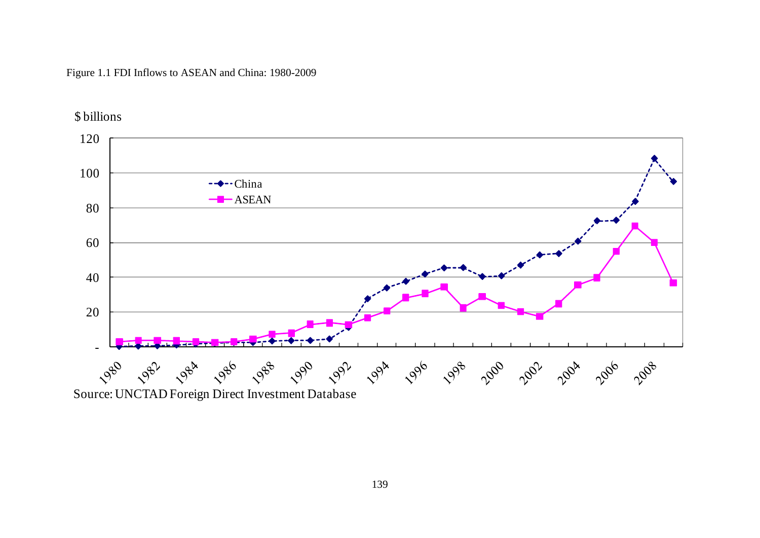#### Figure 1.1 FDI Inflows to ASEAN and China: 1980-2009

\$ billions

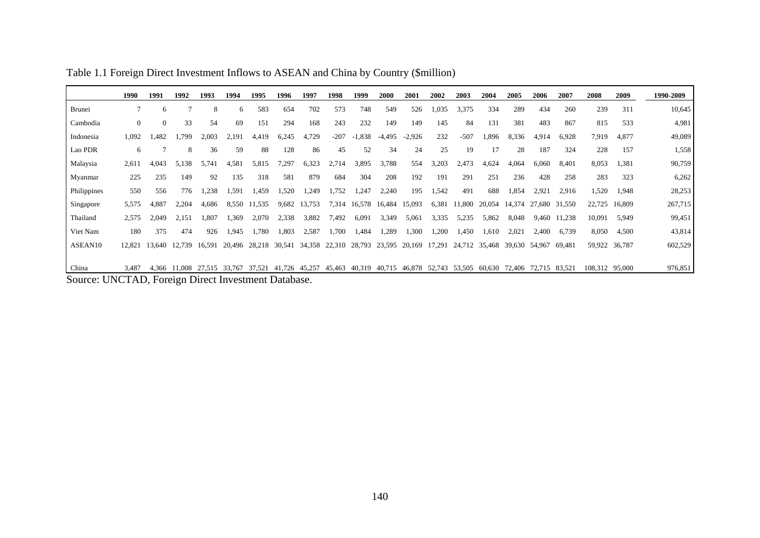|                                                     | 1990           | 1991     | 1992                 | 1993  | 1994  | 1995                 | 1996   | 1997   | 1998   | 1999                    | <b>2000</b>                        | 2001     | 2002   | 2003          | 2004          | 2005          | 2006   | 2007   | 2008           | 2009          | 1990-2009 |
|-----------------------------------------------------|----------------|----------|----------------------|-------|-------|----------------------|--------|--------|--------|-------------------------|------------------------------------|----------|--------|---------------|---------------|---------------|--------|--------|----------------|---------------|-----------|
| <b>Brunei</b>                                       |                | 6        |                      | 8     | 6     | 583                  | 654    | 702    | 573    | 748                     | 549                                | 526      | 1,035  | 3,375         | 334           | 289           | 434    | 260    | 239            | 311           | 10,645    |
| Cambodia                                            | $\overline{0}$ | $\Omega$ | 33                   | 54    | 69    | 151                  | 294    | 168    | 243    | 232                     | 149                                | 149      | 145    | 84            | 131           | 381           | 483    | 867    | 815            | 533           | 4,981     |
| Indonesia                                           | 1,092          | 1,482    | 1,799                | 2,003 | 2,191 | 4,419                | 6,245  | 4,729  | $-207$ | 1,838<br>$\overline{a}$ | $-4,495$                           | $-2,926$ | 232    | $-507$        | 1,896         | 8,336         | 4,914  | 6,928  | 7,919          | 4,877         | 49,089    |
| Lao PDR                                             | 6              |          | 8                    | 36    | 59    | 88                   | 128    | 86     | 45     | 52                      | 34                                 | 24       | 25     | 19            | 17            | 28            | 187    | 324    | 228            | 157           | 1,558     |
| Malaysia                                            | 2,611          | 4,043    | 5.138                | 5,741 | 4,581 | 5,815                | 7,297  | 6,323  | 2,714  | 3,895                   | 3,788                              | 554      | 3,203  | 2,473         | 4,624         | 4,064         | 6,060  | 8,401  | 8,053          | 1,381         | 90,759    |
| Myanmar                                             | 225            | 235      | 149                  | 92    | 135   | 318                  | 581    | 879    | 684    | 304                     | 208                                | 192      | 191    | 291           | 251           | 236           | 428    | 258    | 283            | 323           | 6,262     |
| Philippines                                         | 550            | 556      | 776                  | 1,238 | 1,591 | 1,459                | 1,520  | 1,249  | 1,752  | .247                    | 2,240                              | 195      | 1,542  | 491           | 688           | 1,854         | 2,921  | 2,916  | 1,520          | 1,948         | 28,253    |
| Singapore                                           | 5,575          | 4,887    | 2,204                | 4,686 | 8,550 | 11,535               | 9,682  | 13,753 | 7,314  | 16,578                  | 16,484                             | 15,093   | 6,381  | 11,800        | 20,054        | 14,374        | 27,680 | 31,550 | 22,725         | 16,809        | 267,715   |
| Thailand                                            | 2,575          | 2.049    | 2,151                | 1,807 | 1,369 | 2,070                | 2,338  | 3,882  | 7,492  | 6,091                   | 3,349                              | 5,061    | 3,335  | 5,235         | 5,862         | 8,048         | 9,460  | 11,238 | 10,091         | 5,949         | 99,451    |
| Viet Nam                                            | 180            | 375      | 474                  | 926   | 1,945 | 1.780                | 1,803  | 2,587  | 1,700  | 1,484                   | 1,289                              | 1,300    | 1,200  | 1,450         | 1,610         | 2,021         | 2,400  | 6,739  | 8,050          | 4,500         | 43,814    |
| ASEAN10                                             | 12.821         | 13.640   | 12,739 16,591        |       |       | 20,496 28,218        | 30,541 |        |        |                         | 34,358 22,310 28,793 23,595 20,169 |          | 17,291 |               | 24,712 35,468 | 39,630 54,967 |        | 69.481 |                | 59,922 36,787 | 602,529   |
|                                                     |                |          |                      |       |       |                      |        |        |        |                         |                                    |          |        |               |               |               |        |        |                |               |           |
| China                                               | 3,487          | 4.366    | 11,008 27,515 33,767 |       |       | 37,521 41,726 45,257 |        |        | 45,463 | 40,319                  | 40,715                             | 46,878   |        | 52,743 53,505 | 60,630        | 72,406        | 72,715 | 83,521 | 108,312 95,000 |               | 976,851   |
| Source: UNCTAD, Foreign Direct Investment Database. |                |          |                      |       |       |                      |        |        |        |                         |                                    |          |        |               |               |               |        |        |                |               |           |

Table 1.1 Foreign Direct Investment Inflows to ASEAN and China by Country (\$million)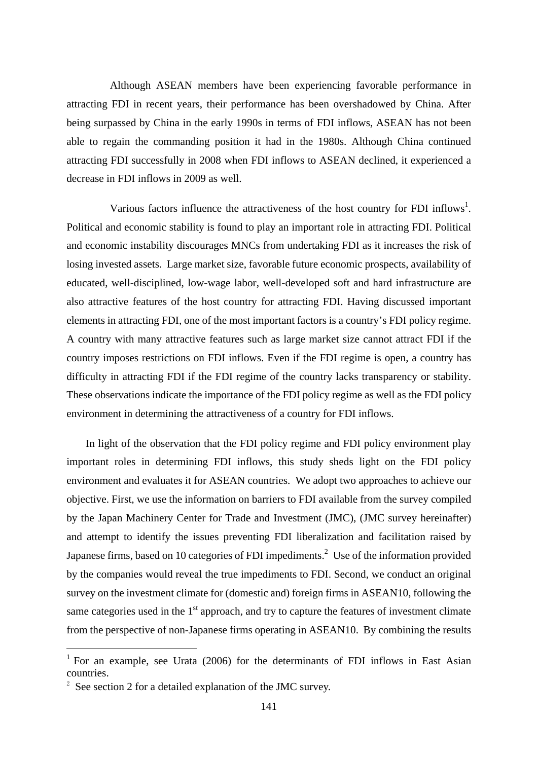Although ASEAN members have been experiencing favorable performance in attracting FDI in recent years, their performance has been overshadowed by China. After being surpassed by China in the early 1990s in terms of FDI inflows, ASEAN has not been able to regain the commanding position it had in the 1980s. Although China continued attracting FDI successfully in 2008 when FDI inflows to ASEAN declined, it experienced a decrease in FDI inflows in 2009 as well.

Various factors influence the attractiveness of the host country for FDI inflows<sup>1</sup>. Political and economic stability is found to play an important role in attracting FDI. Political and economic instability discourages MNCs from undertaking FDI as it increases the risk of losing invested assets. Large market size, favorable future economic prospects, availability of educated, well-disciplined, low-wage labor, well-developed soft and hard infrastructure are also attractive features of the host country for attracting FDI. Having discussed important elements in attracting FDI, one of the most important factors is a country's FDI policy regime. A country with many attractive features such as large market size cannot attract FDI if the country imposes restrictions on FDI inflows. Even if the FDI regime is open, a country has difficulty in attracting FDI if the FDI regime of the country lacks transparency or stability. These observations indicate the importance of the FDI policy regime as well as the FDI policy environment in determining the attractiveness of a country for FDI inflows.

In light of the observation that the FDI policy regime and FDI policy environment play important roles in determining FDI inflows, this study sheds light on the FDI policy environment and evaluates it for ASEAN countries. We adopt two approaches to achieve our objective. First, we use the information on barriers to FDI available from the survey compiled by the Japan Machinery Center for Trade and Investment (JMC), (JMC survey hereinafter) and attempt to identify the issues preventing FDI liberalization and facilitation raised by Japanese firms, based on 10 categories of FDI impediments.<sup>2</sup> Use of the information provided by the companies would reveal the true impediments to FDI. Second, we conduct an original survey on the investment climate for (domestic and) foreign firms in ASEAN10, following the same categories used in the  $1<sup>st</sup>$  approach, and try to capture the features of investment climate from the perspective of non-Japanese firms operating in ASEAN10. By combining the results

l,

<sup>&</sup>lt;sup>1</sup> For an example, see Urata (2006) for the determinants of FDI inflows in East Asian countries.

 $2\degree$  See section 2 for a detailed explanation of the JMC survey.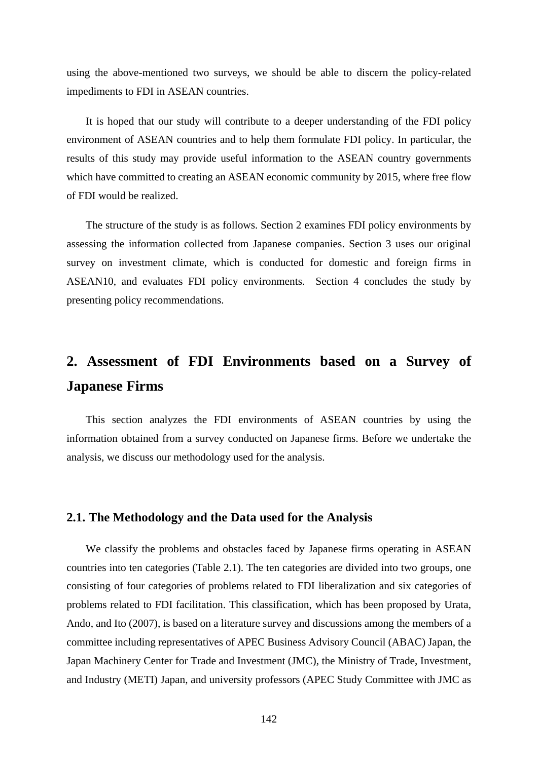using the above-mentioned two surveys, we should be able to discern the policy-related impediments to FDI in ASEAN countries.

It is hoped that our study will contribute to a deeper understanding of the FDI policy environment of ASEAN countries and to help them formulate FDI policy. In particular, the results of this study may provide useful information to the ASEAN country governments which have committed to creating an ASEAN economic community by 2015, where free flow of FDI would be realized.

The structure of the study is as follows. Section 2 examines FDI policy environments by assessing the information collected from Japanese companies. Section 3 uses our original survey on investment climate, which is conducted for domestic and foreign firms in ASEAN10, and evaluates FDI policy environments. Section 4 concludes the study by presenting policy recommendations.

### **2. Assessment of FDI Environments based on a Survey of Japanese Firms**

This section analyzes the FDI environments of ASEAN countries by using the information obtained from a survey conducted on Japanese firms. Before we undertake the analysis, we discuss our methodology used for the analysis.

#### **2.1. The Methodology and the Data used for the Analysis**

We classify the problems and obstacles faced by Japanese firms operating in ASEAN countries into ten categories (Table 2.1). The ten categories are divided into two groups, one consisting of four categories of problems related to FDI liberalization and six categories of problems related to FDI facilitation. This classification, which has been proposed by Urata, Ando, and Ito (2007), is based on a literature survey and discussions among the members of a committee including representatives of APEC Business Advisory Council (ABAC) Japan, the Japan Machinery Center for Trade and Investment (JMC), the Ministry of Trade, Investment, and Industry (METI) Japan, and university professors (APEC Study Committee with JMC as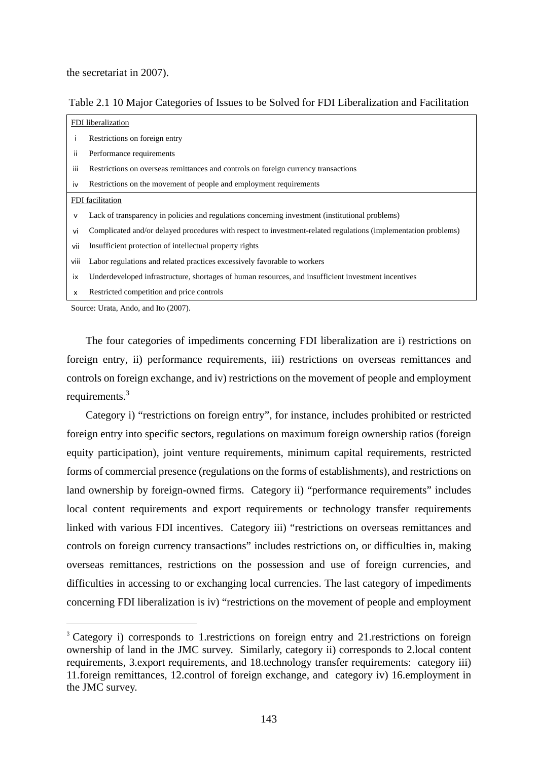the secretariat in 2007).

l,

Table 2.1 10 Major Categories of Issues to be Solved for FDI Liberalization and Facilitation

|              | FDI liberalization                                                                                             |
|--------------|----------------------------------------------------------------------------------------------------------------|
|              | Restrictions on foreign entry                                                                                  |
| ii.          | Performance requirements                                                                                       |
| iii          | Restrictions on overseas remittances and controls on foreign currency transactions                             |
| <b>IV</b>    | Restrictions on the movement of people and employment requirements                                             |
|              | FDI facilitation                                                                                               |
| v            | Lack of transparency in policies and regulations concerning investment (institutional problems)                |
| vi           | Complicated and/or delayed procedures with respect to investment-related regulations (implementation problems) |
| vii          | Insufficient protection of intellectual property rights                                                        |
| viii         | Labor regulations and related practices excessively favorable to workers                                       |
| <b>ix</b>    | Underdeveloped infrastructure, shortages of human resources, and insufficient investment incentives            |
| $\mathsf{x}$ | Restricted competition and price controls                                                                      |
|              | Source: Urata, Ando, and Ito (2007).                                                                           |

The four categories of impediments concerning FDI liberalization are i) restrictions on foreign entry, ii) performance requirements, iii) restrictions on overseas remittances and controls on foreign exchange, and iv) restrictions on the movement of people and employment requirements.<sup>3</sup>

Category i) "restrictions on foreign entry", for instance, includes prohibited or restricted foreign entry into specific sectors, regulations on maximum foreign ownership ratios (foreign equity participation), joint venture requirements, minimum capital requirements, restricted forms of commercial presence (regulations on the forms of establishments), and restrictions on land ownership by foreign-owned firms. Category ii) "performance requirements" includes local content requirements and export requirements or technology transfer requirements linked with various FDI incentives. Category iii) "restrictions on overseas remittances and controls on foreign currency transactions" includes restrictions on, or difficulties in, making overseas remittances, restrictions on the possession and use of foreign currencies, and difficulties in accessing to or exchanging local currencies. The last category of impediments concerning FDI liberalization is iv) "restrictions on the movement of people and employment

<sup>&</sup>lt;sup>3</sup> Category i) corresponds to 1.restrictions on foreign entry and 21.restrictions on foreign ownership of land in the JMC survey. Similarly, category ii) corresponds to 2.local content requirements, 3.export requirements, and 18.technology transfer requirements: category iii) 11.foreign remittances, 12.control of foreign exchange, and category iv) 16.employment in the JMC survey.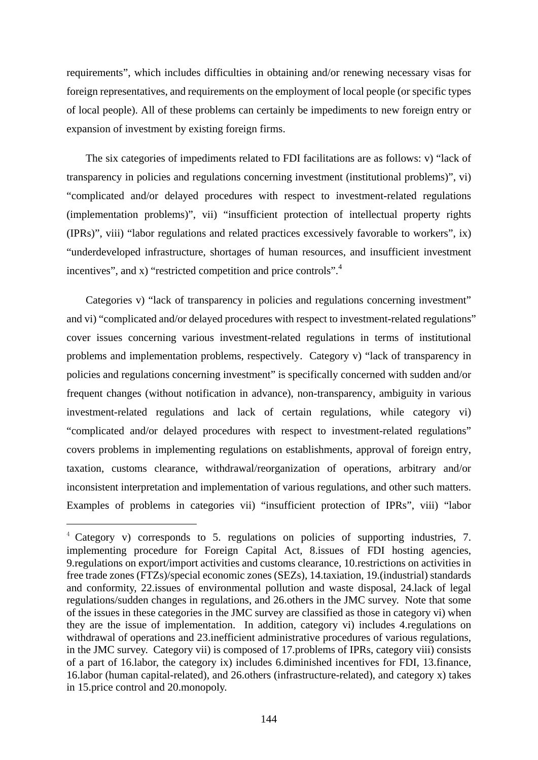requirements", which includes difficulties in obtaining and/or renewing necessary visas for foreign representatives, and requirements on the employment of local people (or specific types of local people). All of these problems can certainly be impediments to new foreign entry or expansion of investment by existing foreign firms.

The six categories of impediments related to FDI facilitations are as follows: v) "lack of transparency in policies and regulations concerning investment (institutional problems)", vi) "complicated and/or delayed procedures with respect to investment-related regulations (implementation problems)", vii) "insufficient protection of intellectual property rights (IPRs)", viii) "labor regulations and related practices excessively favorable to workers", ix) "underdeveloped infrastructure, shortages of human resources, and insufficient investment incentives", and x) "restricted competition and price controls".<sup>4</sup>

Categories v) "lack of transparency in policies and regulations concerning investment" and vi) "complicated and/or delayed procedures with respect to investment-related regulations" cover issues concerning various investment-related regulations in terms of institutional problems and implementation problems, respectively. Category v) "lack of transparency in policies and regulations concerning investment" is specifically concerned with sudden and/or frequent changes (without notification in advance), non-transparency, ambiguity in various investment-related regulations and lack of certain regulations, while category vi) "complicated and/or delayed procedures with respect to investment-related regulations" covers problems in implementing regulations on establishments, approval of foreign entry, taxation, customs clearance, withdrawal/reorganization of operations, arbitrary and/or inconsistent interpretation and implementation of various regulations, and other such matters. Examples of problems in categories vii) "insufficient protection of IPRs", viii) "labor

l,

<sup>4</sup> Category v) corresponds to 5. regulations on policies of supporting industries, 7. implementing procedure for Foreign Capital Act, 8.issues of FDI hosting agencies, 9.regulations on export/import activities and customs clearance, 10.restrictions on activities in free trade zones (FTZs)/special economic zones (SEZs), 14.taxiation, 19.(industrial) standards and conformity, 22.issues of environmental pollution and waste disposal, 24.lack of legal regulations/sudden changes in regulations, and 26.others in the JMC survey. Note that some of the issues in these categories in the JMC survey are classified as those in category vi) when they are the issue of implementation. In addition, category vi) includes 4.regulations on withdrawal of operations and 23.inefficient administrative procedures of various regulations, in the JMC survey. Category vii) is composed of 17.problems of IPRs, category viii) consists of a part of 16.labor, the category ix) includes 6.diminished incentives for FDI, 13.finance, 16.labor (human capital-related), and 26.others (infrastructure-related), and category x) takes in 15.price control and 20.monopoly.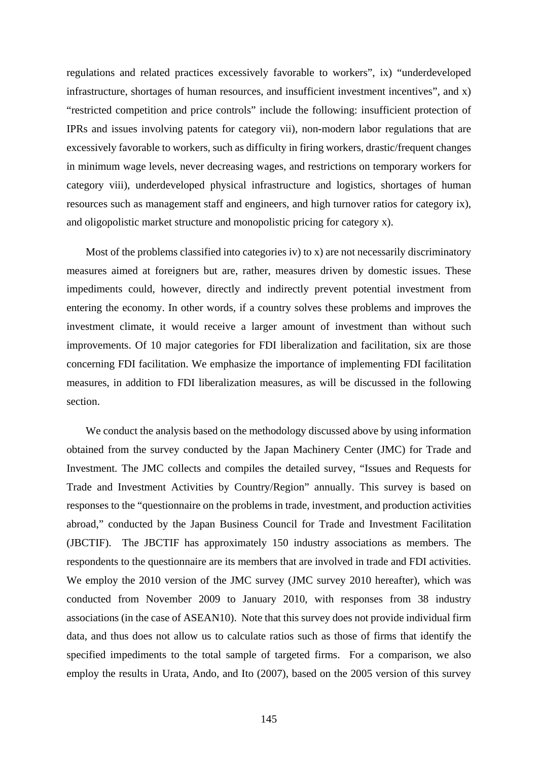regulations and related practices excessively favorable to workers", ix) "underdeveloped infrastructure, shortages of human resources, and insufficient investment incentives", and x) "restricted competition and price controls" include the following: insufficient protection of IPRs and issues involving patents for category vii), non-modern labor regulations that are excessively favorable to workers, such as difficulty in firing workers, drastic/frequent changes in minimum wage levels, never decreasing wages, and restrictions on temporary workers for category viii), underdeveloped physical infrastructure and logistics, shortages of human resources such as management staff and engineers, and high turnover ratios for category ix), and oligopolistic market structure and monopolistic pricing for category x).

Most of the problems classified into categories iv) to x) are not necessarily discriminatory measures aimed at foreigners but are, rather, measures driven by domestic issues. These impediments could, however, directly and indirectly prevent potential investment from entering the economy. In other words, if a country solves these problems and improves the investment climate, it would receive a larger amount of investment than without such improvements. Of 10 major categories for FDI liberalization and facilitation, six are those concerning FDI facilitation. We emphasize the importance of implementing FDI facilitation measures, in addition to FDI liberalization measures, as will be discussed in the following section.

We conduct the analysis based on the methodology discussed above by using information obtained from the survey conducted by the Japan Machinery Center (JMC) for Trade and Investment. The JMC collects and compiles the detailed survey, "Issues and Requests for Trade and Investment Activities by Country/Region" annually. This survey is based on responses to the "questionnaire on the problems in trade, investment, and production activities abroad," conducted by the Japan Business Council for Trade and Investment Facilitation (JBCTIF). The JBCTIF has approximately 150 industry associations as members. The respondents to the questionnaire are its members that are involved in trade and FDI activities. We employ the 2010 version of the JMC survey (JMC survey 2010 hereafter), which was conducted from November 2009 to January 2010, with responses from 38 industry associations (in the case of ASEAN10). Note that this survey does not provide individual firm data, and thus does not allow us to calculate ratios such as those of firms that identify the specified impediments to the total sample of targeted firms. For a comparison, we also employ the results in Urata, Ando, and Ito (2007), based on the 2005 version of this survey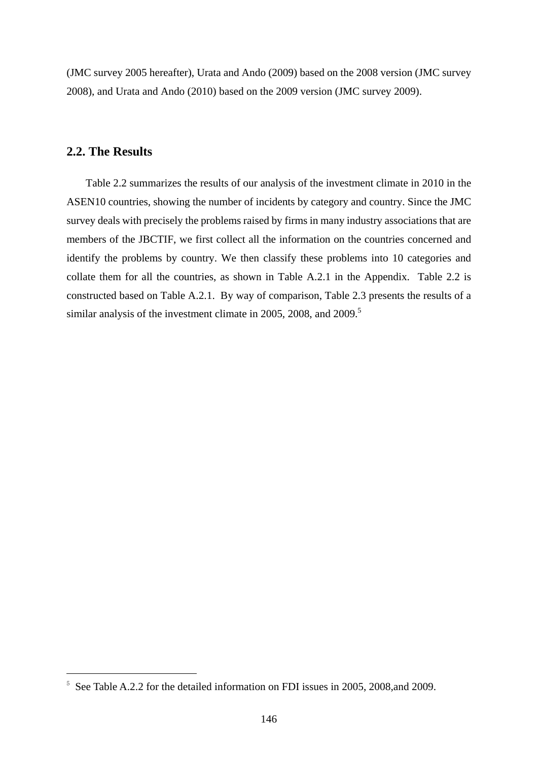(JMC survey 2005 hereafter), Urata and Ando (2009) based on the 2008 version (JMC survey 2008), and Urata and Ando (2010) based on the 2009 version (JMC survey 2009).

#### **2.2. The Results**

l,

Table 2.2 summarizes the results of our analysis of the investment climate in 2010 in the ASEN10 countries, showing the number of incidents by category and country. Since the JMC survey deals with precisely the problems raised by firms in many industry associations that are members of the JBCTIF, we first collect all the information on the countries concerned and identify the problems by country. We then classify these problems into 10 categories and collate them for all the countries, as shown in Table A.2.1 in the Appendix. Table 2.2 is constructed based on Table A.2.1. By way of comparison, Table 2.3 presents the results of a similar analysis of the investment climate in 2005, 2008, and 2009.<sup>5</sup>

<sup>&</sup>lt;sup>5</sup> See Table A.2.2 for the detailed information on FDI issues in 2005, 2008, and 2009.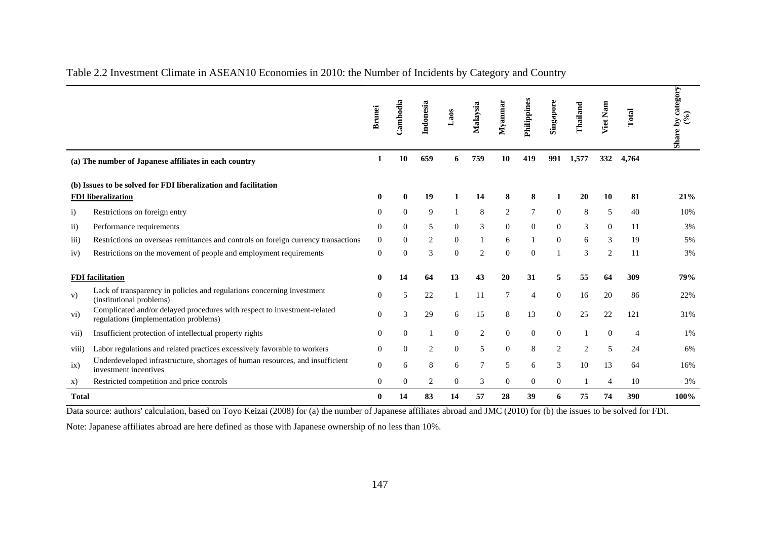|                   |                                                                                                                   | <b>Brunei</b>  | Cambodia       | Indonesia      | Laos           | Malaysia | Myanmar        | Philippines    | Singapore      | Thailand | Nam<br>Viet    | Total | Share by category<br>(9/6) |
|-------------------|-------------------------------------------------------------------------------------------------------------------|----------------|----------------|----------------|----------------|----------|----------------|----------------|----------------|----------|----------------|-------|----------------------------|
|                   | (a) The number of Japanese affiliates in each country                                                             | 1              | 10             | 659            | 6              | 759      | 10             | 419            | 991            | 1,577    | 332            | 4,764 |                            |
|                   | (b) Issues to be solved for FDI liberalization and facilitation<br><b>FDI</b> liberalization                      | 0              |                | 19             |                | 14       |                | 8              |                | 20       | 10             | 81    | 21%                        |
| $\mathbf{i}$      | Restrictions on foreign entry                                                                                     | $\theta$       | $\Omega$       | 9              |                | 8        | 2              | 7              | $\overline{0}$ | 8        | 5              | 40    | 10%                        |
| $\rm ii)$         | Performance requirements                                                                                          | $\Omega$       | $\Omega$       | 5              | $\overline{0}$ | 3        | $\overline{0}$ | $\theta$       | $\overline{0}$ | 3        | $\overline{0}$ | 11    | 3%                         |
| $\overline{111}$  | Restrictions on overseas remittances and controls on foreign currency transactions                                | $\overline{0}$ | $\Omega$       | 2              | $\overline{0}$ |          | 6              |                | $\overline{0}$ | 6        | 3              | 19    | 5%                         |
| iv)               | Restrictions on the movement of people and employment requirements                                                | $\theta$       | $\Omega$       | 3              | $\mathbf{0}$   | 2        | $\Omega$       | $\Omega$       |                | 3        | 2              | 11    | 3%                         |
|                   | <b>FDI</b> facilitation                                                                                           | 0              | 14             | 64             | 13             | 43       | 20             | 31             | 5              | 55       | 64             | 309   | 79%                        |
| V)                | Lack of transparency in policies and regulations concerning investment<br>(institutional problems)                | $\theta$       | 5              | 22             |                | 11       |                | $\overline{4}$ | $\mathbf{0}$   | 16       | 20             | 86    | 22%                        |
| $\rm vi)$         | Complicated and/or delayed procedures with respect to investment-related<br>regulations (implementation problems) | $\Omega$       | 3              | 29             | 6              | 15       | 8              | 13             | $\overline{0}$ | 25       | 22             | 121   | 31%                        |
| V <sub>11</sub> ) | Insufficient protection of intellectual property rights                                                           | $\Omega$       | $\Omega$       |                | $\Omega$       | 2        | $\Omega$       | $\mathbf{0}$   | $\overline{0}$ |          | $\Omega$       |       | 1%                         |
| viii)             | Labor regulations and related practices excessively favorable to workers                                          | $\Omega$       | $\Omega$       | $\overline{2}$ | $\overline{0}$ | 5        | $\overline{0}$ | 8              | 2              | 2        | 5              | 24    | 6%                         |
| ix)               | Underdeveloped infrastructure, shortages of human resources, and insufficient<br>investment incentives            | $\Omega$       | 6              | 8              | 6              |          | 5              | 6              | 3              | 10       | 13             | 64    | 16%                        |
| X)                | Restricted competition and price controls                                                                         | $\overline{0}$ | $\overline{0}$ | 2              | $\overline{0}$ | 3        | $\overline{0}$ | $\overline{0}$ | $\overline{0}$ |          | 4              | 10    | 3%                         |
| <b>Total</b>      |                                                                                                                   | 0              | 14             | 83             | 14             | 57       | 28             | 39             | 6              | 75       | 74             | 390   | 100%                       |

#### Table 2.2 Investment Climate in ASEAN10 Economies in 2010: the Number of Incidents by Category and Country

Data source: authors' calculation, based on Toyo Keizai (2008) for (a) the number of Japanese affiliates abroad and JMC (2010) for (b) the issues to be solved for FDI.

Note: Japanese affiliates abroad are here defined as those with Japanese ownership of no less than 10%.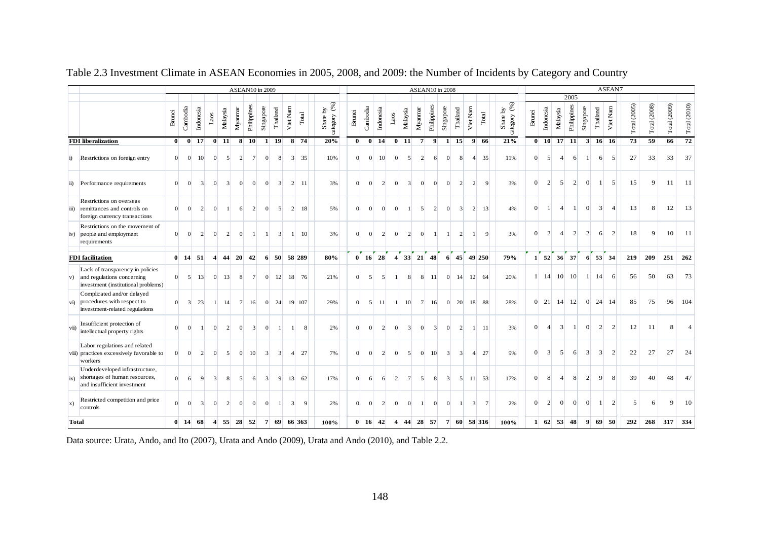|              |                                                                                                       |                |              |                            |              |                                                                    |                     | <b>ASEAN10</b> in 2009 |                 |                         |                       |                                 |                |                            |                |                |                       |                      |                                |         | <b>ASEAN10</b> in 2008                                     |                                  |                                  |                          |                                 |                          |                 |                |                                |                 |                 |                   | ASEAN7         |              |                 |              |                                   |
|--------------|-------------------------------------------------------------------------------------------------------|----------------|--------------|----------------------------|--------------|--------------------------------------------------------------------|---------------------|------------------------|-----------------|-------------------------|-----------------------|---------------------------------|----------------|----------------------------|----------------|----------------|-----------------------|----------------------|--------------------------------|---------|------------------------------------------------------------|----------------------------------|----------------------------------|--------------------------|---------------------------------|--------------------------|-----------------|----------------|--------------------------------|-----------------|-----------------|-------------------|----------------|--------------|-----------------|--------------|-----------------------------------|
|              |                                                                                                       |                |              |                            |              |                                                                    |                     |                        |                 |                         |                       |                                 |                |                            |                |                |                       |                      |                                |         |                                                            |                                  |                                  |                          |                                 |                          |                 |                |                                | 2005            |                 |                   |                |              |                 |              |                                   |
|              |                                                                                                       | <b>Brunei</b>  | Cambodia     | Indonesia                  | $_{\rm Las}$ | Malaysia                                                           | Mya <sub>nnar</sub> | Philippines            |                 | Singapore<br>Thailand   |                       | Viet Nam                        | $\mbox{Total}$ | category $(%)$<br>Share by | <b>Brunei</b>  | Cambodia       | Indonesia             | $\operatorname{Las}$ | Malaysia                       | Myannar | Philippines                                                | Singapore                        | Thailand                         | Viet Nam                 | Total                           | category (%)<br>Share by | <b>Brunei</b>   | Indonesia      | Malaysia                       | Philippines     | Singapore       | Thailand          | Viet Nam       | Total (2005) | Total (2008)    | Total (2009) | $\mathrm{Total}\left(2010\right)$ |
|              | <b>FDI</b> liberalization                                                                             | $\mathbf{0}$   |              | $0$ 17                     |              | $\overline{0}$ $\overline{11}$                                     |                     | $8 \overline{10}$      |                 | $\mathbf{1}$            | $\overline{19}$       | $8 \overline{74}$               |                | 20%                        | $\mathbf{0}$   |                | $\overline{0}$ 14     |                      | $\overline{0}$ $\overline{11}$ |         | 7<br>9                                                     |                                  | $\overline{15}$<br>$\mathbf{1}$  | $\overline{9}$           | -66                             | 21%                      |                 |                | $0$ 10 17                      | $\overline{11}$ | 3               | 16 16             |                | 73           | $\overline{59}$ | 66           | 72                                |
| $\ddot{i}$   | Restrictions on foreign entry                                                                         | $\Omega$       | $\Omega$     | 10                         |              | $\overline{0}$                                                     | $\mathbf{5}$        | $\overline{2}$         | $7\overline{ }$ | $\Omega$                | $\mathbf{\mathsf{R}}$ | 3 <sup>l</sup>                  | 35             | 10%                        | $\Omega$       | $\overline{0}$ | 10                    | $\Omega$             | $\mathbf{5}$                   |         | $\overline{2}$<br>6                                        |                                  | $\overline{0}$<br>8              | $\overline{4}$           | 35                              | 11%                      | $\Omega$        | $\mathcal{F}$  | $\overline{4}$                 | 6               | $\mathbf{1}$    | 6                 | 5 <sup>5</sup> | 27           | 33              | 33           | 37                                |
|              | ii) Performance requirements                                                                          | $\Omega$       | $\Omega$     | $\overline{3}$             |              | $\overline{0}$                                                     | $\overline{3}$      | $\overline{0}$         | $\Omega$        | $\Omega$                | $\overline{3}$        | 2                               | -11            | 3%                         | $\Omega$       | $\overline{0}$ | $\overline{2}$        | $\overline{0}$       | $\overline{3}$                 |         | $\Omega$<br>$\Omega$                                       | $\Omega$                         | $\overline{2}$                   | $\overline{2}$           | 9                               | 3%                       | $\vert 0 \vert$ | $\overline{2}$ | $\mathbf{5}$                   | $\overline{2}$  | $\vert 0 \vert$ | $\mathbf{1}$      | 5 <sup>5</sup> | 15           | 9               |              | $11$ 11                           |
| iii)         | Restrictions on overseas<br>remittances and controls on<br>foreign currency transactions              | $\overline{0}$ |              | $\overline{2}$<br>$\Omega$ |              | $\overline{0}$                                                     | $\mathbf{1}$        | 6                      | $\overline{2}$  | $\Omega$                | $\overline{5}$        | $\overline{2}$                  | 18             | 5%                         | $\Omega$       | $\overline{0}$ | $\Omega$              | $\Omega$             | $\mathbf{1}$                   |         | $\vert$<br>$\overline{2}$                                  | $\overline{0}$                   | $\overline{3}$                   | $\overline{2}$           | 13                              | 4%                       | $\Omega$        |                | $\overline{4}$                 | $\overline{1}$  | $\overline{0}$  | $\overline{3}$    | $\overline{4}$ | 13           | 8               | 12           | 13                                |
|              | Restrictions on the movement of<br>iv) people and employment<br>requirements                          | $\overline{0}$ | $\Omega$     | $\overline{2}$             |              | $\overline{0}$                                                     | $\overline{2}$      | $\overline{0}$         | $\mathbf{1}$    |                         | $\overline{3}$        | $\mathbf{1}$                    | 10             | 3%                         | $\Omega$       | $\overline{0}$ | $\overline{2}$        | $\overline{0}$       | $\overline{2}$                 |         | $\overline{0}$                                             | $\overline{1}$                   | $\overline{2}$                   |                          | 9                               | 3%                       | $\Omega$        | $\overline{2}$ | $\boldsymbol{\Delta}$          | $\overline{2}$  | $\overline{2}$  | 6                 | $\overline{2}$ | 18           | 9               | 10           | <b>11</b>                         |
|              | <b>FDI</b> facilitation                                                                               |                | $0$ 14       | 51                         |              | $\overline{4}$                                                     | 44 20               | 42                     |                 |                         |                       | $6 \quad 50 \quad 58 \quad 289$ |                | 80%                        |                |                | $0 \quad 16 \quad 28$ |                      |                                |         | $4 \begin{array}{ c c c } \hline 33 & 21 & 48 \end{array}$ |                                  |                                  |                          | $6 \quad 45 \quad 49 \quad 250$ | 79%                      |                 |                | $1 \quad 52 \quad 36 \quad 37$ |                 |                 | 6 53 34           |                | 219          | 209             | 251          | 262                               |
| V)           | Lack of transparency in policies<br>and regulations concerning<br>investment (institutional problems) | $\overline{0}$ |              | 5 <sup>1</sup><br>13       |              | $\vert 0 \vert$<br>13                                              |                     | 8                      | 7               | $\overline{0}$          | 12                    | 18                              | 76             | 21%                        | $\overline{0}$ | $\vert$        | 5 <sup>1</sup>        | 1 <sup>1</sup>       | 8 <sup>1</sup>                 |         | 8<br><sup>11</sup>                                         |                                  | $\overline{0}$<br>14             |                          | $12 \mid 64$                    | 20%                      |                 |                | $1 \quad 14 \quad 10 \quad 10$ |                 |                 | $1 \quad 14$      | 6              | 56           | 50              | 63           | 73                                |
| vi)          | Complicated and/or delayed<br>procedures with respect to<br>investment-related regulations            | $\Omega$       |              | $\overline{3}$<br>23       |              | 14<br>$\mathbf{1}$                                                 |                     | $7^{\circ}$<br>16      |                 | $\overline{0}$          |                       | 24 19 107                       |                | 29%                        | $\Omega$       | $\mathbf{5}$   | - 11                  |                      | $1 \quad 10$                   |         | $7^{\circ}$<br>16                                          |                                  | 20<br>$\overline{0}$             |                          | 18 88                           | 28%                      |                 | $0\quad 21$    |                                | 14 12           | $\vert 0 \vert$ | 24                | 14             | 85           | 75              | 96           | 104                               |
| vii)         | Insufficient protection of<br>intellectual property rights                                            | $\Omega$       |              | $\Omega$<br>$\overline{1}$ |              | $\Omega$                                                           | $\sqrt{2}$          | $\Omega$               | $\vert$ 3       | $\Omega$                | $\vert$ 1             | 1 <sup>1</sup>                  | $\mathbf{8}$   | 2%                         | $\Omega$       | $\Omega$       | 2                     | $\Omega$             | $\overline{3}$                 |         | $\Omega$                                                   | $\overline{3}$                   | $\overline{0}$<br>$\overline{2}$ |                          | 11<br>$\mathbf{1}$              | 3%                       | $\Omega$        | $\overline{4}$ | $\overline{3}$                 | $\overline{1}$  | $\vert 0 \vert$ | $\vert$ 2         | 2              | 12           | 11              | 8            | $\overline{4}$                    |
|              | Labor regulations and related<br>viii) practices excessively favorable to<br>workers                  | $\Omega$       | $\Omega$     | $\overline{2}$             |              | $\Omega$                                                           | 5 <sup>1</sup>      | 10<br>$\overline{0}$   |                 | $\overline{3}$          | $\overline{3}$        | $\overline{4}$                  | 27             | 7%                         | $\Omega$       | $\Omega$       | $\overline{2}$        | $\Omega$             | $\mathbf{5}$                   |         | $\overline{0}$<br>10                                       | $\overline{3}$                   | $\overline{3}$                   | $\overline{\mathcal{A}}$ | 27                              | 9%                       | $\overline{0}$  | $\lceil$       | $\mathbf{5}$                   | 6               | $\overline{3}$  | $\lceil 3 \rceil$ | $\overline{2}$ | 22           | 27              | 27           | 24                                |
| ix)          | Underdeveloped infrastructure,<br>shortages of human resources,<br>and insufficient investment        | $\overline{0}$ |              | 9<br>6                     |              | $\overline{\mathbf{3}}$                                            | 8                   | 5 <sup>1</sup>         | 6               | $\overline{\mathbf{3}}$ | 9                     | 13                              | 62             | 17%                        | $\overline{0}$ | 6              | 6                     | $\overline{2}$       | 7 <sup>1</sup>                 |         | $\mathbf{5}$<br>8                                          | $\overline{3}$                   | 5 <sup>1</sup>                   | <b>11</b>                | 53                              | 17%                      | $\overline{0}$  | 8              | $\vert$                        | 8               | $\overline{2}$  | 9                 | 8              | 39           | 40              | 48           | 47                                |
| $\mathbf{x}$ | Restricted competition and price<br>controls                                                          | $\Omega$       | $\Omega$     | $\overline{3}$             |              | $\overline{0}$                                                     | $\vert$ 2           | $\overline{0}$         | $\overline{0}$  | $\Omega$                | -1                    | $\overline{3}$                  | $\mathbf Q$    | 2%                         | $\Omega$       | $\overline{0}$ | $\overline{2}$        | $\overline{0}$       | $\overline{0}$                 |         | $\mathbf{1}$                                               | $\overline{0}$<br>$\overline{0}$ |                                  | $\overline{\mathbf{3}}$  |                                 | 2%                       | $\overline{0}$  | $\overline{2}$ | $\overline{0}$                 | $\overline{0}$  | $\vert 0 \vert$ | $\mathbf{1}$      | 2              | 5            | 6               | 9            | 10                                |
| <b>Total</b> |                                                                                                       |                | $0 \quad 14$ | - 68                       |              | $4 \quad 55 \quad 28 \quad 52 \quad 7 \quad 69 \quad 66 \quad 363$ |                     |                        |                 |                         |                       |                                 |                | 100%                       |                |                | $0 \quad 16 \quad 42$ |                      |                                |         | 4 44 28 57                                                 |                                  |                                  |                          | 7 60 58 316                     | 100%                     |                 |                | $1 \t62 \t53 \t48$             |                 |                 | $9 \t69 \t50$     |                | 292          | 268             |              | 317 334                           |

#### Table 2.3 Investment Climate in ASEAN Economies in 2005, 2008, and 2009: the Number of Incidents by Category and Country

Data source: Urata, Ando, and Ito (2007), Urata and Ando (2009), Urata and Ando (2010), and Table 2.2.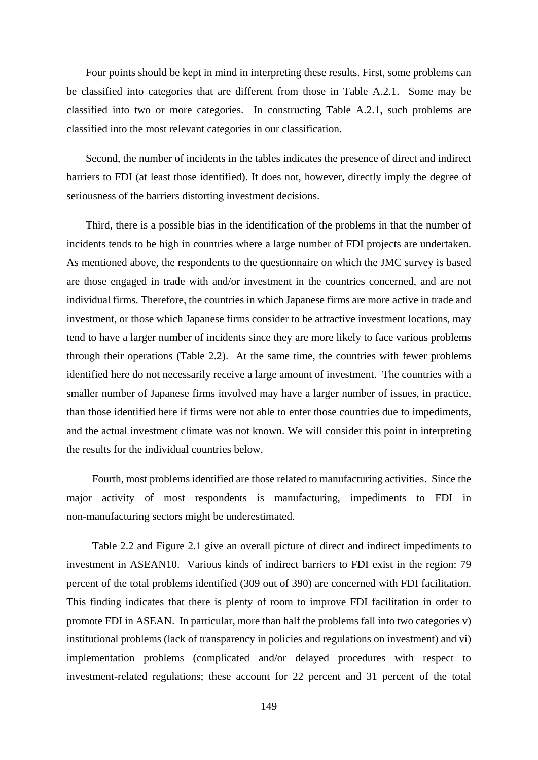Four points should be kept in mind in interpreting these results. First, some problems can be classified into categories that are different from those in Table A.2.1. Some may be classified into two or more categories. In constructing Table A.2.1, such problems are classified into the most relevant categories in our classification.

Second, the number of incidents in the tables indicates the presence of direct and indirect barriers to FDI (at least those identified). It does not, however, directly imply the degree of seriousness of the barriers distorting investment decisions.

Third, there is a possible bias in the identification of the problems in that the number of incidents tends to be high in countries where a large number of FDI projects are undertaken. As mentioned above, the respondents to the questionnaire on which the JMC survey is based are those engaged in trade with and/or investment in the countries concerned, and are not individual firms. Therefore, the countries in which Japanese firms are more active in trade and investment, or those which Japanese firms consider to be attractive investment locations, may tend to have a larger number of incidents since they are more likely to face various problems through their operations (Table 2.2). At the same time, the countries with fewer problems identified here do not necessarily receive a large amount of investment. The countries with a smaller number of Japanese firms involved may have a larger number of issues, in practice, than those identified here if firms were not able to enter those countries due to impediments, and the actual investment climate was not known. We will consider this point in interpreting the results for the individual countries below.

Fourth, most problems identified are those related to manufacturing activities. Since the major activity of most respondents is manufacturing, impediments to FDI in non-manufacturing sectors might be underestimated.

Table 2.2 and Figure 2.1 give an overall picture of direct and indirect impediments to investment in ASEAN10. Various kinds of indirect barriers to FDI exist in the region: 79 percent of the total problems identified (309 out of 390) are concerned with FDI facilitation. This finding indicates that there is plenty of room to improve FDI facilitation in order to promote FDI in ASEAN. In particular, more than half the problems fall into two categories v) institutional problems (lack of transparency in policies and regulations on investment) and vi) implementation problems (complicated and/or delayed procedures with respect to investment-related regulations; these account for 22 percent and 31 percent of the total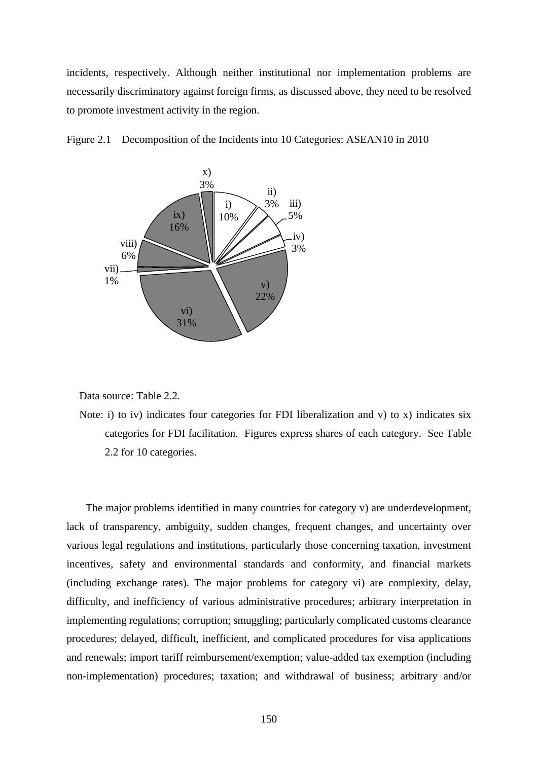incidents, respectively. Although neither institutional nor implementation problems are necessarily discriminatory against foreign firms, as discussed above, they need to be resolved to promote investment activity in the region.





Data source: Table 2.2.

Note: i) to iv) indicates four categories for FDI liberalization and v) to x) indicates six categories for FDI facilitation. Figures express shares of each category. See Table 2.2 for 10 categories.

The major problems identified in many countries for category v) are underdevelopment, lack of transparency, ambiguity, sudden changes, frequent changes, and uncertainty over various legal regulations and institutions, particularly those concerning taxation, investment incentives, safety and environmental standards and conformity, and financial markets (including exchange rates). The major problems for category vi) are complexity, delay, difficulty, and inefficiency of various administrative procedures; arbitrary interpretation in implementing regulations; corruption; smuggling; particularly complicated customs clearance procedures; delayed, difficult, inefficient, and complicated procedures for visa applications and renewals; import tariff reimbursement/exemption; value-added tax exemption (including non-implementation) procedures; taxation; and withdrawal of business; arbitrary and/or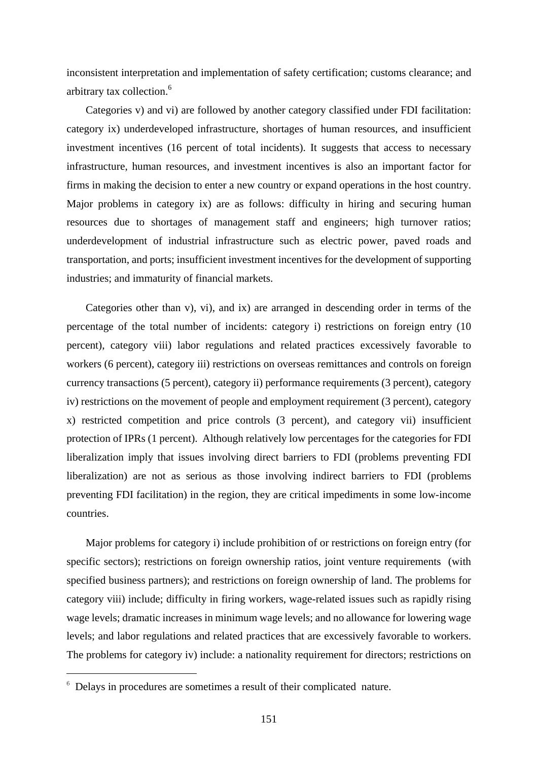inconsistent interpretation and implementation of safety certification; customs clearance; and arbitrary tax collection.6

Categories v) and vi) are followed by another category classified under FDI facilitation: category ix) underdeveloped infrastructure, shortages of human resources, and insufficient investment incentives (16 percent of total incidents). It suggests that access to necessary infrastructure, human resources, and investment incentives is also an important factor for firms in making the decision to enter a new country or expand operations in the host country. Major problems in category ix) are as follows: difficulty in hiring and securing human resources due to shortages of management staff and engineers; high turnover ratios; underdevelopment of industrial infrastructure such as electric power, paved roads and transportation, and ports; insufficient investment incentives for the development of supporting industries; and immaturity of financial markets.

Categories other than v), vi), and ix) are arranged in descending order in terms of the percentage of the total number of incidents: category i) restrictions on foreign entry (10 percent), category viii) labor regulations and related practices excessively favorable to workers (6 percent), category iii) restrictions on overseas remittances and controls on foreign currency transactions (5 percent), category ii) performance requirements (3 percent), category iv) restrictions on the movement of people and employment requirement (3 percent), category x) restricted competition and price controls (3 percent), and category vii) insufficient protection of IPRs (1 percent). Although relatively low percentages for the categories for FDI liberalization imply that issues involving direct barriers to FDI (problems preventing FDI liberalization) are not as serious as those involving indirect barriers to FDI (problems preventing FDI facilitation) in the region, they are critical impediments in some low-income countries.

Major problems for category i) include prohibition of or restrictions on foreign entry (for specific sectors); restrictions on foreign ownership ratios, joint venture requirements (with specified business partners); and restrictions on foreign ownership of land. The problems for category viii) include; difficulty in firing workers, wage-related issues such as rapidly rising wage levels; dramatic increases in minimum wage levels; and no allowance for lowering wage levels; and labor regulations and related practices that are excessively favorable to workers. The problems for category iv) include: a nationality requirement for directors; restrictions on

l,

 $6$  Delays in procedures are sometimes a result of their complicated nature.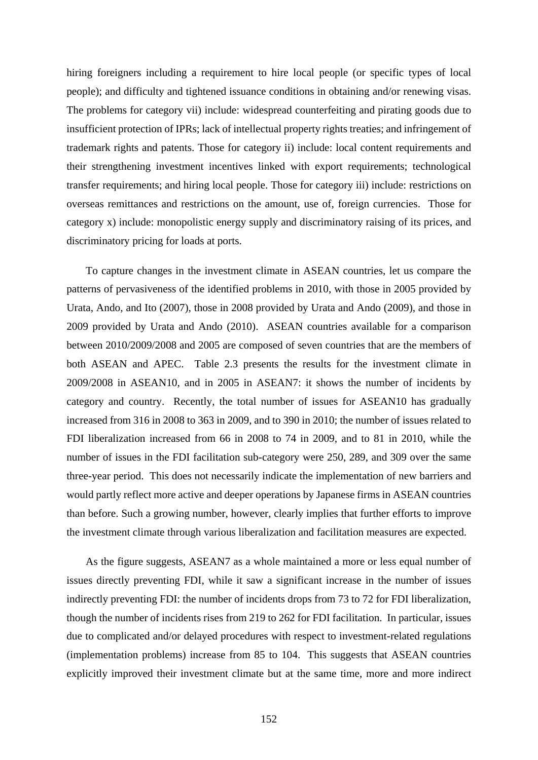hiring foreigners including a requirement to hire local people (or specific types of local people); and difficulty and tightened issuance conditions in obtaining and/or renewing visas. The problems for category vii) include: widespread counterfeiting and pirating goods due to insufficient protection of IPRs; lack of intellectual property rights treaties; and infringement of trademark rights and patents. Those for category ii) include: local content requirements and their strengthening investment incentives linked with export requirements; technological transfer requirements; and hiring local people. Those for category iii) include: restrictions on overseas remittances and restrictions on the amount, use of, foreign currencies. Those for category x) include: monopolistic energy supply and discriminatory raising of its prices, and discriminatory pricing for loads at ports.

To capture changes in the investment climate in ASEAN countries, let us compare the patterns of pervasiveness of the identified problems in 2010, with those in 2005 provided by Urata, Ando, and Ito (2007), those in 2008 provided by Urata and Ando (2009), and those in 2009 provided by Urata and Ando (2010). ASEAN countries available for a comparison between 2010/2009/2008 and 2005 are composed of seven countries that are the members of both ASEAN and APEC. Table 2.3 presents the results for the investment climate in 2009/2008 in ASEAN10, and in 2005 in ASEAN7: it shows the number of incidents by category and country. Recently, the total number of issues for ASEAN10 has gradually increased from 316 in 2008 to 363 in 2009, and to 390 in 2010; the number of issues related to FDI liberalization increased from 66 in 2008 to 74 in 2009, and to 81 in 2010, while the number of issues in the FDI facilitation sub-category were 250, 289, and 309 over the same three-year period. This does not necessarily indicate the implementation of new barriers and would partly reflect more active and deeper operations by Japanese firms in ASEAN countries than before. Such a growing number, however, clearly implies that further efforts to improve the investment climate through various liberalization and facilitation measures are expected.

As the figure suggests, ASEAN7 as a whole maintained a more or less equal number of issues directly preventing FDI, while it saw a significant increase in the number of issues indirectly preventing FDI: the number of incidents drops from 73 to 72 for FDI liberalization, though the number of incidents rises from 219 to 262 for FDI facilitation. In particular, issues due to complicated and/or delayed procedures with respect to investment-related regulations (implementation problems) increase from 85 to 104. This suggests that ASEAN countries explicitly improved their investment climate but at the same time, more and more indirect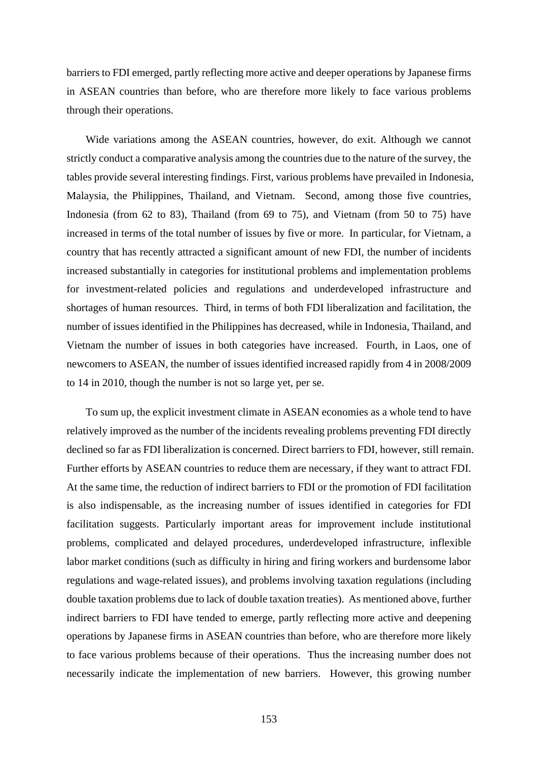barriers to FDI emerged, partly reflecting more active and deeper operations by Japanese firms in ASEAN countries than before, who are therefore more likely to face various problems through their operations.

Wide variations among the ASEAN countries, however, do exit. Although we cannot strictly conduct a comparative analysis among the countries due to the nature of the survey, the tables provide several interesting findings. First, various problems have prevailed in Indonesia, Malaysia, the Philippines, Thailand, and Vietnam. Second, among those five countries, Indonesia (from 62 to 83), Thailand (from 69 to 75), and Vietnam (from 50 to 75) have increased in terms of the total number of issues by five or more. In particular, for Vietnam, a country that has recently attracted a significant amount of new FDI, the number of incidents increased substantially in categories for institutional problems and implementation problems for investment-related policies and regulations and underdeveloped infrastructure and shortages of human resources. Third, in terms of both FDI liberalization and facilitation, the number of issues identified in the Philippines has decreased, while in Indonesia, Thailand, and Vietnam the number of issues in both categories have increased. Fourth, in Laos, one of newcomers to ASEAN, the number of issues identified increased rapidly from 4 in 2008/2009 to 14 in 2010, though the number is not so large yet, per se.

To sum up, the explicit investment climate in ASEAN economies as a whole tend to have relatively improved as the number of the incidents revealing problems preventing FDI directly declined so far as FDI liberalization is concerned. Direct barriers to FDI, however, still remain. Further efforts by ASEAN countries to reduce them are necessary, if they want to attract FDI. At the same time, the reduction of indirect barriers to FDI or the promotion of FDI facilitation is also indispensable, as the increasing number of issues identified in categories for FDI facilitation suggests. Particularly important areas for improvement include institutional problems, complicated and delayed procedures, underdeveloped infrastructure, inflexible labor market conditions (such as difficulty in hiring and firing workers and burdensome labor regulations and wage-related issues), and problems involving taxation regulations (including double taxation problems due to lack of double taxation treaties). As mentioned above, further indirect barriers to FDI have tended to emerge, partly reflecting more active and deepening operations by Japanese firms in ASEAN countries than before, who are therefore more likely to face various problems because of their operations. Thus the increasing number does not necessarily indicate the implementation of new barriers. However, this growing number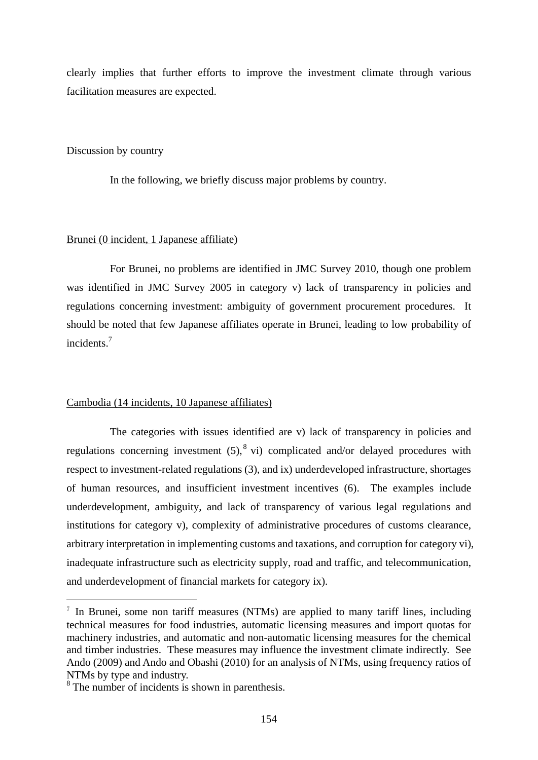clearly implies that further efforts to improve the investment climate through various facilitation measures are expected.

#### Discussion by country

In the following, we briefly discuss major problems by country.

#### Brunei (0 incident, 1 Japanese affiliate)

 For Brunei, no problems are identified in JMC Survey 2010, though one problem was identified in JMC Survey 2005 in category v) lack of transparency in policies and regulations concerning investment: ambiguity of government procurement procedures. It should be noted that few Japanese affiliates operate in Brunei, leading to low probability of incidents.7

#### Cambodia (14 incidents, 10 Japanese affiliates)

 The categories with issues identified are v) lack of transparency in policies and regulations concerning investment  $(5)$ ,  $(8)$  vi) complicated and/or delayed procedures with respect to investment-related regulations (3), and ix) underdeveloped infrastructure, shortages of human resources, and insufficient investment incentives (6). The examples include underdevelopment, ambiguity, and lack of transparency of various legal regulations and institutions for category v), complexity of administrative procedures of customs clearance, arbitrary interpretation in implementing customs and taxations, and corruption for category vi), inadequate infrastructure such as electricity supply, road and traffic, and telecommunication, and underdevelopment of financial markets for category ix).

l,

 $\alpha$ <sup>7</sup> In Brunei, some non tariff measures (NTMs) are applied to many tariff lines, including technical measures for food industries, automatic licensing measures and import quotas for machinery industries, and automatic and non-automatic licensing measures for the chemical and timber industries. These measures may influence the investment climate indirectly. See Ando (2009) and Ando and Obashi (2010) for an analysis of NTMs, using frequency ratios of NTMs by type and industry.

<sup>&</sup>lt;sup>8</sup> The number of incidents is shown in parenthesis.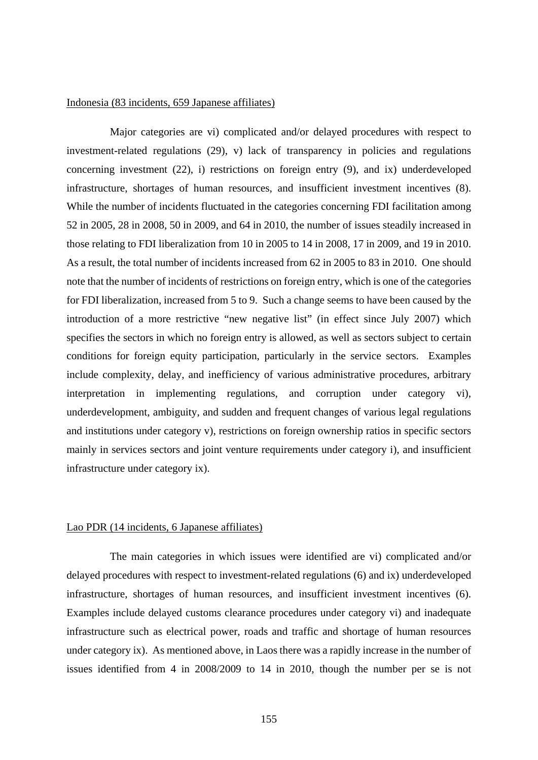#### Indonesia (83 incidents, 659 Japanese affiliates)

 Major categories are vi) complicated and/or delayed procedures with respect to investment-related regulations (29), v) lack of transparency in policies and regulations concerning investment (22), i) restrictions on foreign entry (9), and ix) underdeveloped infrastructure, shortages of human resources, and insufficient investment incentives (8). While the number of incidents fluctuated in the categories concerning FDI facilitation among 52 in 2005, 28 in 2008, 50 in 2009, and 64 in 2010, the number of issues steadily increased in those relating to FDI liberalization from 10 in 2005 to 14 in 2008, 17 in 2009, and 19 in 2010. As a result, the total number of incidents increased from 62 in 2005 to 83 in 2010. One should note that the number of incidents of restrictions on foreign entry, which is one of the categories for FDI liberalization, increased from 5 to 9. Such a change seems to have been caused by the introduction of a more restrictive "new negative list" (in effect since July 2007) which specifies the sectors in which no foreign entry is allowed, as well as sectors subject to certain conditions for foreign equity participation, particularly in the service sectors. Examples include complexity, delay, and inefficiency of various administrative procedures, arbitrary interpretation in implementing regulations, and corruption under category vi), underdevelopment, ambiguity, and sudden and frequent changes of various legal regulations and institutions under category v), restrictions on foreign ownership ratios in specific sectors mainly in services sectors and joint venture requirements under category i), and insufficient infrastructure under category ix).

#### Lao PDR (14 incidents, 6 Japanese affiliates)

 The main categories in which issues were identified are vi) complicated and/or delayed procedures with respect to investment-related regulations (6) and ix) underdeveloped infrastructure, shortages of human resources, and insufficient investment incentives (6). Examples include delayed customs clearance procedures under category vi) and inadequate infrastructure such as electrical power, roads and traffic and shortage of human resources under category ix). As mentioned above, in Laos there was a rapidly increase in the number of issues identified from 4 in 2008/2009 to 14 in 2010, though the number per se is not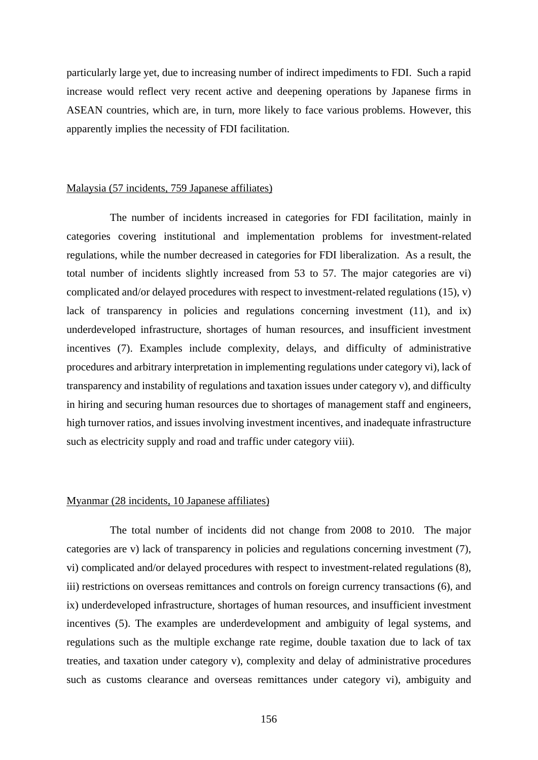particularly large yet, due to increasing number of indirect impediments to FDI. Such a rapid increase would reflect very recent active and deepening operations by Japanese firms in ASEAN countries, which are, in turn, more likely to face various problems. However, this apparently implies the necessity of FDI facilitation.

#### Malaysia (57 incidents, 759 Japanese affiliates)

 The number of incidents increased in categories for FDI facilitation, mainly in categories covering institutional and implementation problems for investment-related regulations, while the number decreased in categories for FDI liberalization. As a result, the total number of incidents slightly increased from 53 to 57. The major categories are vi) complicated and/or delayed procedures with respect to investment-related regulations (15), v) lack of transparency in policies and regulations concerning investment (11), and ix) underdeveloped infrastructure, shortages of human resources, and insufficient investment incentives (7). Examples include complexity, delays, and difficulty of administrative procedures and arbitrary interpretation in implementing regulations under category vi), lack of transparency and instability of regulations and taxation issues under category v), and difficulty in hiring and securing human resources due to shortages of management staff and engineers, high turnover ratios, and issues involving investment incentives, and inadequate infrastructure such as electricity supply and road and traffic under category viii).

#### Myanmar (28 incidents, 10 Japanese affiliates)

The total number of incidents did not change from 2008 to 2010. The major categories are v) lack of transparency in policies and regulations concerning investment (7), vi) complicated and/or delayed procedures with respect to investment-related regulations (8), iii) restrictions on overseas remittances and controls on foreign currency transactions (6), and ix) underdeveloped infrastructure, shortages of human resources, and insufficient investment incentives (5). The examples are underdevelopment and ambiguity of legal systems, and regulations such as the multiple exchange rate regime, double taxation due to lack of tax treaties, and taxation under category v), complexity and delay of administrative procedures such as customs clearance and overseas remittances under category vi), ambiguity and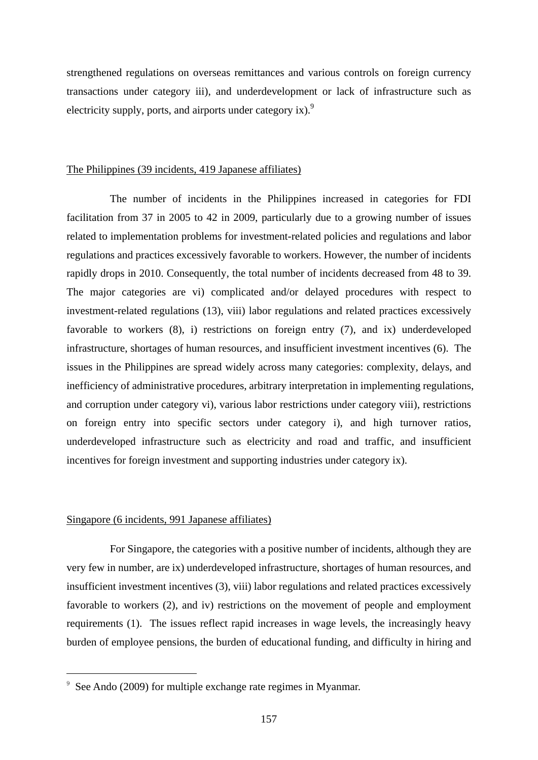strengthened regulations on overseas remittances and various controls on foreign currency transactions under category iii), and underdevelopment or lack of infrastructure such as electricity supply, ports, and airports under category ix). $9$ 

#### The Philippines (39 incidents, 419 Japanese affiliates)

 The number of incidents in the Philippines increased in categories for FDI facilitation from 37 in 2005 to 42 in 2009, particularly due to a growing number of issues related to implementation problems for investment-related policies and regulations and labor regulations and practices excessively favorable to workers. However, the number of incidents rapidly drops in 2010. Consequently, the total number of incidents decreased from 48 to 39. The major categories are vi) complicated and/or delayed procedures with respect to investment-related regulations (13), viii) labor regulations and related practices excessively favorable to workers (8), i) restrictions on foreign entry (7), and ix) underdeveloped infrastructure, shortages of human resources, and insufficient investment incentives (6). The issues in the Philippines are spread widely across many categories: complexity, delays, and inefficiency of administrative procedures, arbitrary interpretation in implementing regulations, and corruption under category vi), various labor restrictions under category viii), restrictions on foreign entry into specific sectors under category i), and high turnover ratios, underdeveloped infrastructure such as electricity and road and traffic, and insufficient incentives for foreign investment and supporting industries under category ix).

#### Singapore (6 incidents, 991 Japanese affiliates)

l,

 For Singapore, the categories with a positive number of incidents, although they are very few in number, are ix) underdeveloped infrastructure, shortages of human resources, and insufficient investment incentives (3), viii) labor regulations and related practices excessively favorable to workers (2), and iv) restrictions on the movement of people and employment requirements (1). The issues reflect rapid increases in wage levels, the increasingly heavy burden of employee pensions, the burden of educational funding, and difficulty in hiring and

 $9\text{ See Ando } (2009)$  for multiple exchange rate regimes in Myanmar.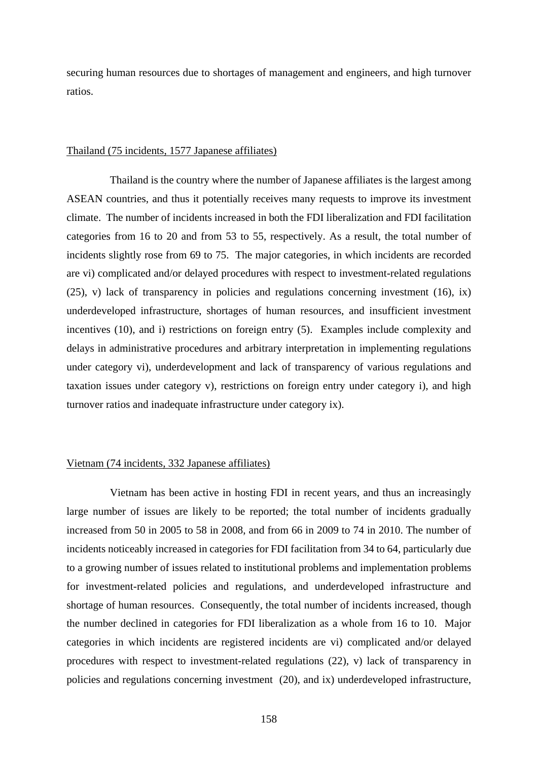securing human resources due to shortages of management and engineers, and high turnover ratios.

#### Thailand (75 incidents, 1577 Japanese affiliates)

 Thailand is the country where the number of Japanese affiliates is the largest among ASEAN countries, and thus it potentially receives many requests to improve its investment climate. The number of incidents increased in both the FDI liberalization and FDI facilitation categories from 16 to 20 and from 53 to 55, respectively. As a result, the total number of incidents slightly rose from 69 to 75. The major categories, in which incidents are recorded are vi) complicated and/or delayed procedures with respect to investment-related regulations (25), v) lack of transparency in policies and regulations concerning investment (16), ix) underdeveloped infrastructure, shortages of human resources, and insufficient investment incentives (10), and i) restrictions on foreign entry (5). Examples include complexity and delays in administrative procedures and arbitrary interpretation in implementing regulations under category vi), underdevelopment and lack of transparency of various regulations and taxation issues under category v), restrictions on foreign entry under category i), and high turnover ratios and inadequate infrastructure under category ix).

#### Vietnam (74 incidents, 332 Japanese affiliates)

 Vietnam has been active in hosting FDI in recent years, and thus an increasingly large number of issues are likely to be reported; the total number of incidents gradually increased from 50 in 2005 to 58 in 2008, and from 66 in 2009 to 74 in 2010. The number of incidents noticeably increased in categories for FDI facilitation from 34 to 64, particularly due to a growing number of issues related to institutional problems and implementation problems for investment-related policies and regulations, and underdeveloped infrastructure and shortage of human resources. Consequently, the total number of incidents increased, though the number declined in categories for FDI liberalization as a whole from 16 to 10. Major categories in which incidents are registered incidents are vi) complicated and/or delayed procedures with respect to investment-related regulations (22), v) lack of transparency in policies and regulations concerning investment (20), and ix) underdeveloped infrastructure,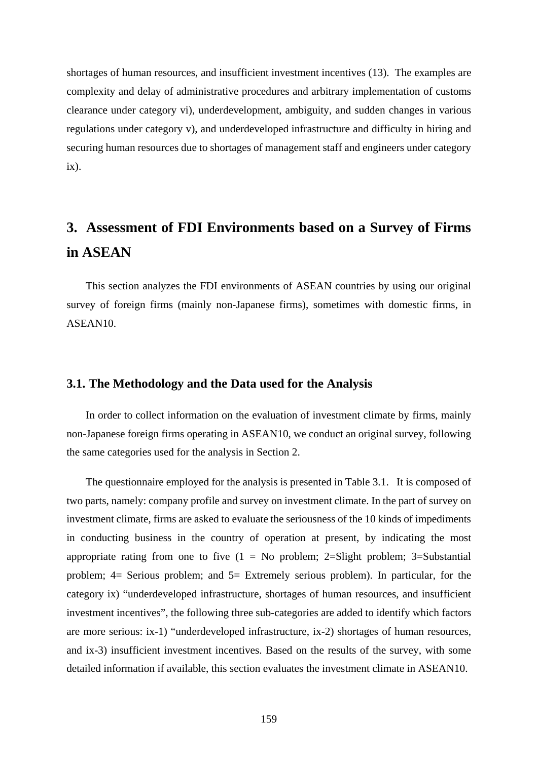shortages of human resources, and insufficient investment incentives (13). The examples are complexity and delay of administrative procedures and arbitrary implementation of customs clearance under category vi), underdevelopment, ambiguity, and sudden changes in various regulations under category v), and underdeveloped infrastructure and difficulty in hiring and securing human resources due to shortages of management staff and engineers under category ix).

## **3. Assessment of FDI Environments based on a Survey of Firms in ASEAN**

This section analyzes the FDI environments of ASEAN countries by using our original survey of foreign firms (mainly non-Japanese firms), sometimes with domestic firms, in ASEAN10.

#### **3.1. The Methodology and the Data used for the Analysis**

In order to collect information on the evaluation of investment climate by firms, mainly non-Japanese foreign firms operating in ASEAN10, we conduct an original survey, following the same categories used for the analysis in Section 2.

The questionnaire employed for the analysis is presented in Table 3.1. It is composed of two parts, namely: company profile and survey on investment climate. In the part of survey on investment climate, firms are asked to evaluate the seriousness of the 10 kinds of impediments in conducting business in the country of operation at present, by indicating the most appropriate rating from one to five  $(1 = No$  problem; 2=Slight problem; 3=Substantial problem; 4= Serious problem; and 5= Extremely serious problem). In particular, for the category ix) "underdeveloped infrastructure, shortages of human resources, and insufficient investment incentives", the following three sub-categories are added to identify which factors are more serious: ix-1) "underdeveloped infrastructure, ix-2) shortages of human resources, and ix-3) insufficient investment incentives. Based on the results of the survey, with some detailed information if available, this section evaluates the investment climate in ASEAN10.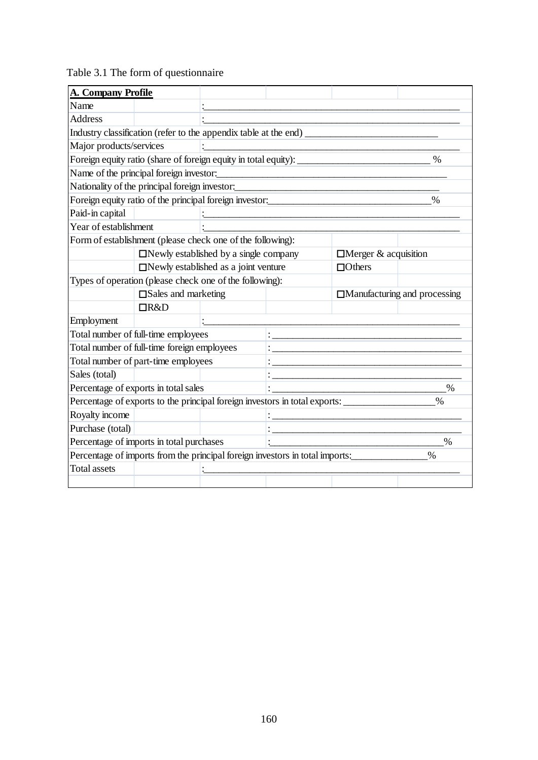| Table 3.1 The form of questionnaire |  |  |  |  |
|-------------------------------------|--|--|--|--|
|-------------------------------------|--|--|--|--|

| <b>A. Company Profile</b> |                                                                                   |                                             |                                                      |                             |                                     |
|---------------------------|-----------------------------------------------------------------------------------|---------------------------------------------|------------------------------------------------------|-----------------------------|-------------------------------------|
| Name                      |                                                                                   |                                             |                                                      |                             |                                     |
| <b>Address</b>            |                                                                                   |                                             |                                                      |                             |                                     |
|                           | Industry classification (refer to the appendix table at the end) _______________  |                                             |                                                      |                             |                                     |
| Major products/services   |                                                                                   |                                             |                                                      |                             |                                     |
|                           | Foreign equity ratio (share of foreign equity in total equity): _________________ |                                             |                                                      |                             | $\%$                                |
|                           | Name of the principal foreign investor:                                           |                                             |                                                      |                             |                                     |
|                           | Nationality of the principal foreign investor:                                    |                                             |                                                      |                             |                                     |
|                           | Foreign equity ratio of the principal foreign investor:                           |                                             |                                                      |                             | $\%$                                |
| Paid-in capital           |                                                                                   |                                             |                                                      |                             |                                     |
| Year of establishment     |                                                                                   |                                             |                                                      |                             |                                     |
|                           | Form of establishment (please check one of the following):                        |                                             |                                                      |                             |                                     |
|                           |                                                                                   | □Newly established by a single company      |                                                      | $\Box$ Merger & acquisition |                                     |
|                           |                                                                                   | $\Box$ Newly established as a joint venture |                                                      | $\Box$ Others               |                                     |
|                           | Types of operation (please check one of the following):                           |                                             |                                                      |                             |                                     |
|                           | $\square$ Sales and marketing                                                     |                                             |                                                      |                             | $\Box$ Manufacturing and processing |
|                           | $\Box$ R&D                                                                        |                                             |                                                      |                             |                                     |
| Employment                |                                                                                   |                                             |                                                      |                             |                                     |
|                           | Total number of full-time employees                                               |                                             |                                                      |                             |                                     |
|                           | Total number of full-time foreign employees                                       |                                             |                                                      |                             |                                     |
|                           | Total number of part-time employees                                               |                                             |                                                      |                             |                                     |
| Sales (total)             |                                                                                   |                                             |                                                      |                             |                                     |
|                           | Percentage of exports in total sales                                              |                                             |                                                      |                             | $\%$                                |
|                           | Percentage of exports to the principal foreign investors in total exports:        |                                             |                                                      |                             | $\frac{0}{0}$                       |
| Royalty income            |                                                                                   |                                             | <u> 1989 - Johann Stoff, Amerikaansk politiker (</u> |                             |                                     |
| Purchase (total)          |                                                                                   |                                             |                                                      |                             |                                     |
|                           | Percentage of imports in total purchases                                          |                                             |                                                      |                             | $\%$                                |
|                           | Percentage of imports from the principal foreign investors in total imports:      |                                             |                                                      |                             | $\%$                                |
| <b>Total assets</b>       |                                                                                   |                                             |                                                      |                             |                                     |
|                           |                                                                                   |                                             |                                                      |                             |                                     |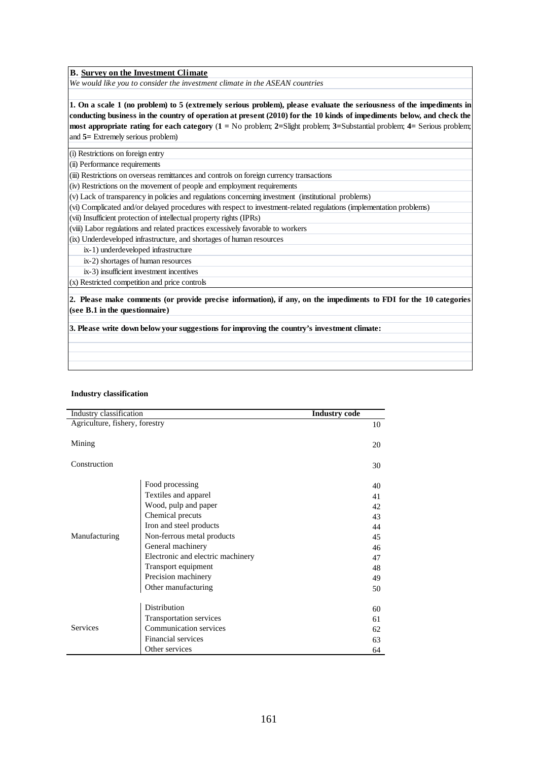**B. Survey on the Investment Climate**

*We would like you to consider the investment climate in the ASEAN countries*

**1. On a scale 1 (no problem) to 5 (extremely serious problem), please evaluate the seriousness of the impediments in conducting business in the country of operation at present (2010) for the 10 kinds of impediments below, and check the most appropriate rating for each category** (**1 =** No problem; **2=**Slight problem; **3=**Substantial problem; **4=** Serious problem; and **5=** Extremely serious problem)

(i) Restrictions on foreign entry

(ii) Performance requirements

(iii) Restrictions on overseas remittances and controls on foreign currency transactions

(iv) Restrictions on the movement of people and employment requirements

(v) Lack of transparency in policies and regulations concerning investment (institutional problems)

(vi) Complicated and/or delayed procedures with respect to investment-related regulations (implementation problems)

(vii) Insufficient protection of intellectual property rights (IPRs)

(viii) Labor regulations and related practices excessively favorable to workers

(ix) Underdeveloped infrastructure, and shortages of human resources

ix-1) underdeveloped infrastructure

ix-2) shortages of human resources

ix-3) insufficient investment incentives

(x) Restricted competition and price controls

**2. Please make comments (or provide precise information), if any, on the impediments to FDI for the 10 categories (see B.1 in the questionnaire)**

**3. Please write down below your suggestions for improving the country's investment climate:**

#### **Industry classification**

| Industry classification        |                                   | <b>Industry code</b> |    |
|--------------------------------|-----------------------------------|----------------------|----|
| Agriculture, fishery, forestry |                                   |                      | 10 |
|                                |                                   |                      |    |
| Mining                         |                                   |                      | 20 |
|                                |                                   |                      |    |
| Construction                   |                                   |                      | 30 |
|                                |                                   |                      |    |
|                                | Food processing                   |                      | 40 |
|                                | Textiles and apparel              |                      | 41 |
|                                | Wood, pulp and paper              |                      | 42 |
|                                | Chemical precuts                  |                      | 43 |
|                                | Iron and steel products           |                      | 44 |
| Manufacturing                  | Non-ferrous metal products        |                      | 45 |
|                                | General machinery                 |                      | 46 |
|                                | Electronic and electric machinery |                      | 47 |
|                                | Transport equipment               |                      | 48 |
|                                | Precision machinery               |                      | 49 |
|                                | Other manufacturing               |                      | 50 |
|                                |                                   |                      |    |
|                                | <b>Distribution</b>               |                      | 60 |
|                                | Transportation services           |                      | 61 |
| <b>Services</b>                | Communication services            |                      | 62 |
|                                | <b>Financial services</b>         |                      | 63 |
|                                | Other services                    |                      | 64 |
|                                |                                   |                      |    |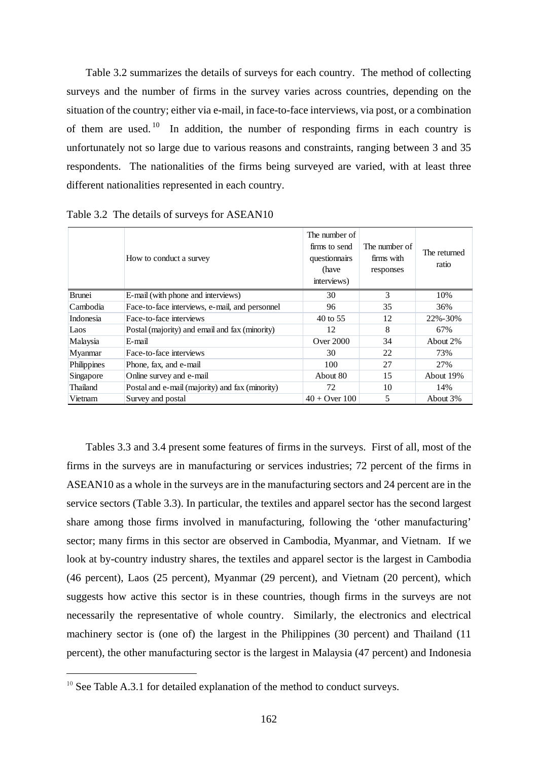Table 3.2 summarizes the details of surveys for each country. The method of collecting surveys and the number of firms in the survey varies across countries, depending on the situation of the country; either via e-mail, in face-to-face interviews, via post, or a combination of them are used.<sup>10</sup> In addition, the number of responding firms in each country is unfortunately not so large due to various reasons and constraints, ranging between 3 and 35 respondents. The nationalities of the firms being surveyed are varied, with at least three different nationalities represented in each country.

|               | How to conduct a survey                         | The number of<br>firms to send<br>questionnairs<br>(have<br>interviews) | The number of<br>firms with<br>responses | The returned<br>ratio |
|---------------|-------------------------------------------------|-------------------------------------------------------------------------|------------------------------------------|-----------------------|
| <b>Brunei</b> | E-mail (with phone and interviews)              | 30                                                                      | 3                                        | 10%                   |
| Cambodia      | Face-to-face interviews, e-mail, and personnel  | 96                                                                      | 35                                       | 36%                   |
| Indonesia     | Face-to-face interviews                         | 40 to 55                                                                | 12                                       | 22%-30%               |
| Laos          | Postal (majority) and email and fax (minority)  | 12                                                                      | 8                                        | 67%                   |
| Malaysia      | E-mail                                          | Over $2000$                                                             | 34                                       | About 2%              |
| Myanmar       | Face-to-face interviews                         | 30                                                                      | 22                                       | 73%                   |
| Philippines   | Phone, fax, and e-mail                          | 100                                                                     | 27                                       | 27%                   |
| Singapore     | Online survey and e-mail                        | About 80                                                                | 15                                       | About 19%             |
| Thailand      | Postal and e-mail (majority) and fax (minority) | 72                                                                      | 10                                       | 14%                   |
| Vietnam       | Survey and postal                               | $40 +$ Over 100                                                         | 5                                        | About 3%              |

Table 3.2 The details of surveys for ASEAN10

Tables 3.3 and 3.4 present some features of firms in the surveys. First of all, most of the firms in the surveys are in manufacturing or services industries; 72 percent of the firms in ASEAN10 as a whole in the surveys are in the manufacturing sectors and 24 percent are in the service sectors (Table 3.3). In particular, the textiles and apparel sector has the second largest share among those firms involved in manufacturing, following the 'other manufacturing' sector; many firms in this sector are observed in Cambodia, Myanmar, and Vietnam. If we look at by-country industry shares, the textiles and apparel sector is the largest in Cambodia (46 percent), Laos (25 percent), Myanmar (29 percent), and Vietnam (20 percent), which suggests how active this sector is in these countries, though firms in the surveys are not necessarily the representative of whole country. Similarly, the electronics and electrical machinery sector is (one of) the largest in the Philippines (30 percent) and Thailand (11 percent), the other manufacturing sector is the largest in Malaysia (47 percent) and Indonesia

l,

 $10$  See Table A.3.1 for detailed explanation of the method to conduct surveys.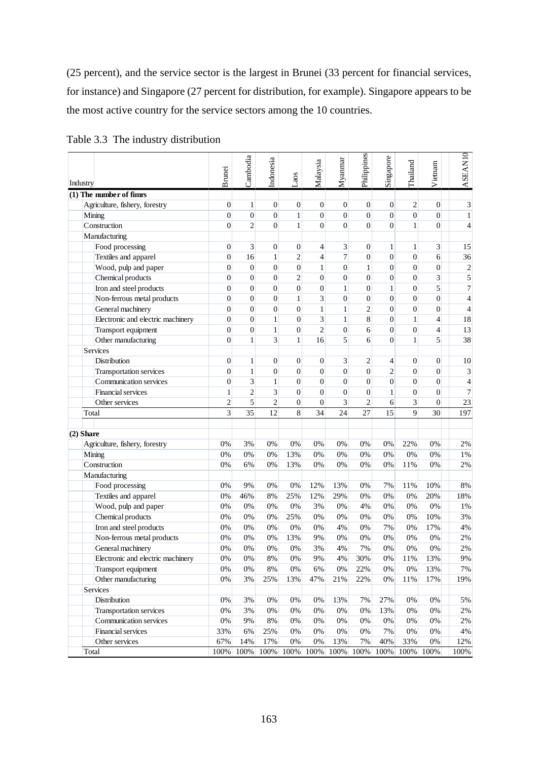(25 percent), and the service sector is the largest in Brunei (33 percent for financial services, for instance) and Singapore (27 percent for distribution, for example). Singapore appears to be the most active country for the service sectors among the 10 countries.

| Industry                          | <b>Brunei</b>    | Cambodia         | Indonesia        | $\mathsf{Laos}\xspace$ | Malaysia         | Myanmar        | Philippines      | Singapore      | Thailand         | Vietnam          | ASEAN10        |
|-----------------------------------|------------------|------------------|------------------|------------------------|------------------|----------------|------------------|----------------|------------------|------------------|----------------|
| $(1)$ The number of fimms         |                  |                  |                  |                        |                  |                |                  |                |                  |                  |                |
| Agriculture, fishery, forestry    | $\overline{0}$   | 1                | $\boldsymbol{0}$ | $\boldsymbol{0}$       | $\theta$         | $\overline{0}$ | $\mathbf{0}$     | $\overline{0}$ | 2                | $\boldsymbol{0}$ | 3              |
| Mining                            | $\overline{0}$   | $\boldsymbol{0}$ | $\boldsymbol{0}$ | 1                      | $\overline{0}$   | $\overline{0}$ | $\overline{0}$   | $\overline{0}$ | $\boldsymbol{0}$ | $\boldsymbol{0}$ | $\mathbf{1}$   |
| Construction                      | $\theta$         | $\overline{2}$   | $\overline{0}$   | $\mathbf{1}$           | $\Omega$         | $\theta$       | $\theta$         | $\theta$       | $\mathbf{1}$     | $\overline{0}$   | $\overline{4}$ |
| Manufacturing                     |                  |                  |                  |                        |                  |                |                  |                |                  |                  |                |
| Food processing                   | $\overline{0}$   | 3                | $\boldsymbol{0}$ | $\boldsymbol{0}$       | $\overline{4}$   | 3              | $\boldsymbol{0}$ | 1              | $\mathbf{1}$     | 3                | 15             |
| Textiles and apparel              | $\boldsymbol{0}$ | 16               | $\mathbf{1}$     | $\overline{c}$         | $\overline{4}$   | 7              | $\overline{0}$   | $\overline{0}$ | $\boldsymbol{0}$ | 6                | 36             |
| Wood, pulp and paper              | $\overline{0}$   | $\boldsymbol{0}$ | $\boldsymbol{0}$ | $\boldsymbol{0}$       | $\mathbf{1}$     | $\overline{0}$ | $\mathbf{1}$     | $\overline{0}$ | $\boldsymbol{0}$ | $\boldsymbol{0}$ | $\overline{c}$ |
| Chemical products                 | $\boldsymbol{0}$ | $\boldsymbol{0}$ | $\boldsymbol{0}$ | $\overline{c}$         | $\overline{0}$   | $\overline{0}$ | $\overline{0}$   | $\mathbf{0}$   | $\boldsymbol{0}$ | 3                | 5              |
| Iron and steel products           | $\boldsymbol{0}$ | $\boldsymbol{0}$ | $\boldsymbol{0}$ | $\boldsymbol{0}$       | $\boldsymbol{0}$ | $\mathbf{1}$   | $\boldsymbol{0}$ | $\mathbf{1}$   | $\boldsymbol{0}$ | 5                | $\overline{7}$ |
| Non-ferrous metal products        | $\overline{0}$   | $\overline{0}$   | $\boldsymbol{0}$ | $\mathbf{1}$           | 3                | $\overline{0}$ | $\boldsymbol{0}$ | $\overline{0}$ | $\overline{0}$   | $\boldsymbol{0}$ | $\overline{4}$ |
| General machinery                 | $\overline{0}$   | $\boldsymbol{0}$ | $\boldsymbol{0}$ | $\boldsymbol{0}$       | $\mathbf{1}$     | $\mathbf{1}$   | $\mathfrak{2}$   | $\overline{0}$ | $\mathbf{0}$     | $\boldsymbol{0}$ | $\overline{4}$ |
| Electronic and electric machinery | $\overline{0}$   | $\boldsymbol{0}$ | $\mathbf{1}$     | $\boldsymbol{0}$       | 3                | $\mathbf{1}$   | 8                | $\overline{0}$ | $\mathbf{1}$     | $\overline{4}$   | 18             |
| Transport equipment               | $\overline{0}$   | $\boldsymbol{0}$ | $\mathbf{1}$     | $\boldsymbol{0}$       | $\overline{2}$   | $\overline{0}$ | 6                | $\overline{0}$ | $\boldsymbol{0}$ | $\overline{4}$   | 13             |
| Other manufacturing               | $\overline{0}$   | $\mathbf{1}$     | 3                | $\mathbf{1}$           | 16               | 5              | 6                | $\overline{0}$ | 1                | 5                | 38             |
| Services                          |                  |                  |                  |                        |                  |                |                  |                |                  |                  |                |
| Distribution                      | $\overline{0}$   | $\mathbf{1}$     | $\boldsymbol{0}$ | $\boldsymbol{0}$       | $\theta$         | 3              | 2                | 4              | $\overline{0}$   | $\boldsymbol{0}$ | 10             |
| Transportation services           | $\overline{0}$   | $\mathbf{1}$     | $\boldsymbol{0}$ | $\boldsymbol{0}$       | $\overline{0}$   | $\overline{0}$ | $\overline{0}$   | $\overline{2}$ | $\overline{0}$   | $\boldsymbol{0}$ | 3              |
| Communication services            | $\overline{0}$   | 3                | $\mathbf{1}$     | $\boldsymbol{0}$       | $\mathbf{0}$     | $\overline{0}$ | $\overline{0}$   | $\overline{0}$ | $\boldsymbol{0}$ | $\boldsymbol{0}$ | $\overline{4}$ |
| Financial services                | $\mathbf{1}$     | $\overline{c}$   | 3                | $\boldsymbol{0}$       | $\mathbf{0}$     | $\overline{0}$ | $\overline{0}$   | $\mathbf{1}$   | $\boldsymbol{0}$ | $\boldsymbol{0}$ | 7              |
| Other services                    | $\overline{2}$   | 5                | $\overline{c}$   | $\boldsymbol{0}$       | $\overline{0}$   | 3              | $\overline{c}$   | 6              | 3                | $\boldsymbol{0}$ | 23             |
| Total                             | 3                | $\overline{35}$  | 12               | 8                      | 34               | 24             | 27               | 15             | $\overline{Q}$   | 30               | 197            |
| $(2)$ Share                       |                  |                  |                  |                        |                  |                |                  |                |                  |                  |                |
| Agriculture, fishery, forestry    | 0%               | 3%               | 0%               | 0%                     | 0%               | 0%             | 0%               | 0%             | 22%              | 0%               | 2%             |
| Mining                            | 0%               | 0%               | 0%               | 13%                    | 0%               | 0%             | $0\%$            | 0%             | 0%               | 0%               | 1%             |
| Construction                      | 0%               | 6%               | 0%               | 13%                    | 0%               | 0%             | 0%               | 0%             | 11%              | 0%               | 2%             |
| Manufacturing                     |                  |                  |                  |                        |                  |                |                  |                |                  |                  |                |
| Food processing                   | 0%               | 9%               | 0%               | 0%                     | 12%              | 13%            | 0%               | 7%             | 11%              | 10%              | 8%             |
| Textiles and apparel              | 0%               | 46%              | 8%               | 25%                    | 12%              | 29%            | 0%               | 0%             | 0%               | 20%              | 18%            |
| Wood, pulp and paper              | 0%               | 0%               | 0%               | 0%                     | 3%               | 0%             | 4%               | 0%             | 0%               | 0%               | 1%             |
| Chemical products                 | 0%               | $0\%$            | 0%               | 25%                    | 0%               | 0%             | $0\%$            | 0%             | 0%               | 10%              | 3%             |
| Iron and steel products           | 0%               | 0%               | 0%               | 0%                     | 0%               | 4%             | $0\%$            | 7%             | 0%               | 17%              | 4%             |
| Non-ferrous metal products        | 0%               | 0%               | 0%               | 13%                    | 9%               | 0%             | 0%               | 0%             | 0%               | 0%               | 2%             |
| General machinery                 | 0%               | 0%               | 0%               | 0%                     | 3%               | 4%             | 7%               | 0%             | 0%               | 0%               | 2%             |
| Electronic and electric machinery | $0\%$            | $0\%$            | $8\%$            | $0\%$                  | 9%               | $4\%$          | 30%              | $0\%$          | 11%              | 13%              | 9%             |
| Transport equipment               | 0%               | 0%               | $8\%$            | 0%                     | 6%               | 0%             | 22%              | 0%             | 0%               | 13%              | 7%             |
| Other manufacturing               | $0\%$            | 3%               | 25%              | 13%                    | 47%              | 21%            | 22%              | $0\%$          | 11%              | 17%              | 19%            |
| Services                          |                  |                  |                  |                        |                  |                |                  |                |                  |                  |                |
| Distribution                      | $0\%$            | 3%               | 0%               | 0%                     | 0%               | 13%            | 7%               | 27%            | 0%               | 0%               | 5%             |
| Transportation services           | $0\%$            | $3\%$            | 0%               | 0%                     | $0\%$            | $0\%$          | 0%               | 13%            | 0%               | 0%               | $2\%$          |
| Communication services            | $0\%$            | 9%               | $8\%$            | 0%                     | $0\%$            | $0\%$          | 0%               | $0\%$          | $0\%$            | 0%               | $2\%$          |
| <b>Financial services</b>         | 33%              | 6%               | 25%              | $0\%$                  | $0\%$            | $0\%$          | 0%               | 7%             | $0\%$            | 0%               | $4\%$          |
| Other services                    | 67%              | 14%              | 17%              | $0\%$                  | $0\%$            | 13%            | 7%               | 40%            | 33%              | $0\%$            | 12%            |
| Total                             |                  | 100% 100%        | 100%             | 100%                   | 100%             | 100%           | 100%             |                | 100% 100%        | 100%             | 100%           |

Table 3.3 The industry distribution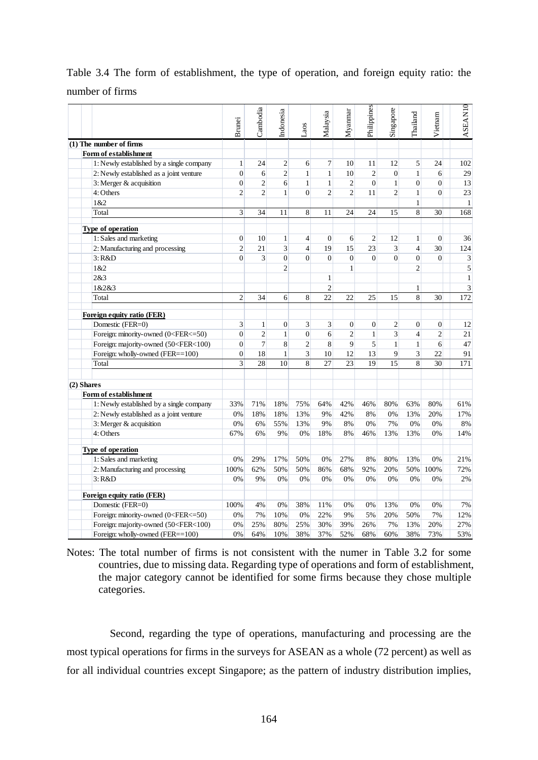|                 |  |  | Table 3.4 The form of establishment, the type of operation, and foreign equity ratio: the |  |  |  |  |  |
|-----------------|--|--|-------------------------------------------------------------------------------------------|--|--|--|--|--|
| number of firms |  |  |                                                                                           |  |  |  |  |  |

| $(1)$ The number of firms<br>Form of establishment<br>1: Newly established by a single company<br>2: Newly established as a joint venture<br>3: Merger & acquisition<br>4: Others<br>1&2<br>Total                                                                                                                                                                   | Brunei<br>$\mathbf{1}$<br>$\overline{0}$<br>$\overline{0}$ | Cambodia       | Indonesia      | Laos           | Malaysia       | Myannar                 | Philippines      | Singapore        | Thailand         | Vietnam          | <b>ASEAN10</b>      |
|---------------------------------------------------------------------------------------------------------------------------------------------------------------------------------------------------------------------------------------------------------------------------------------------------------------------------------------------------------------------|------------------------------------------------------------|----------------|----------------|----------------|----------------|-------------------------|------------------|------------------|------------------|------------------|---------------------|
|                                                                                                                                                                                                                                                                                                                                                                     |                                                            |                |                |                |                |                         |                  |                  |                  |                  |                     |
|                                                                                                                                                                                                                                                                                                                                                                     |                                                            |                |                |                |                |                         |                  |                  |                  |                  |                     |
|                                                                                                                                                                                                                                                                                                                                                                     |                                                            | 24             | 2              | 6              | 7              | 10                      | 11               | 12               | 5                | 24               | 102                 |
|                                                                                                                                                                                                                                                                                                                                                                     |                                                            | 6              | $\overline{c}$ | $\mathbf{1}$   | $\mathbf{1}$   | 10                      | $\overline{c}$   | $\boldsymbol{0}$ | $\mathbf{1}$     | 6                | 29                  |
|                                                                                                                                                                                                                                                                                                                                                                     |                                                            | $\overline{2}$ | 6              | $\mathbf{1}$   | $\mathbf{1}$   | $\overline{\mathbf{c}}$ | $\boldsymbol{0}$ | $\mathbf{1}$     | $\boldsymbol{0}$ | $\overline{0}$   | 13                  |
|                                                                                                                                                                                                                                                                                                                                                                     | $\overline{2}$                                             | $\overline{2}$ | $\mathbf{1}$   | $\overline{0}$ | $\overline{c}$ | $\overline{c}$          | 11               | $\overline{2}$   | $\mathbf{1}$     | $\overline{0}$   | 23                  |
|                                                                                                                                                                                                                                                                                                                                                                     | $\overline{3}$                                             | 34             |                | 8              |                | 24                      | 24               | 15               | 1<br>8           |                  | $\mathbf{1}$<br>168 |
|                                                                                                                                                                                                                                                                                                                                                                     |                                                            |                | 11             |                | 11             |                         |                  |                  |                  | 30               |                     |
| Type of operation                                                                                                                                                                                                                                                                                                                                                   |                                                            |                |                |                |                |                         |                  |                  |                  |                  |                     |
| 1: Sales and marketing                                                                                                                                                                                                                                                                                                                                              | $\boldsymbol{0}$                                           | 10             | $\mathbf{1}$   | $\overline{4}$ | $\mathbf{0}$   | 6                       | $\mathbf{2}$     | 12               | $\mathbf{1}$     | $\overline{0}$   | 36                  |
| 2: Manufacturing and processing                                                                                                                                                                                                                                                                                                                                     | $\overline{2}$                                             | 21             | 3              | $\overline{4}$ | 19             | 15                      | 23               | 3                | $\overline{4}$   | 30               | 124                 |
| 3: R&D                                                                                                                                                                                                                                                                                                                                                              | $\theta$                                                   | 3              | $\overline{0}$ | $\overline{0}$ | $\mathbf{0}$   | $\boldsymbol{0}$        | $\overline{0}$   | $\overline{0}$   | $\overline{0}$   | $\mathbf{0}$     | 3                   |
| 1&2                                                                                                                                                                                                                                                                                                                                                                 |                                                            |                | $\overline{c}$ |                |                | $\mathbf{1}$            |                  |                  | $\overline{2}$   |                  | 5                   |
| 2&3                                                                                                                                                                                                                                                                                                                                                                 |                                                            |                |                |                | 1              |                         |                  |                  |                  |                  | $\mathbf{1}$        |
| 1&2&3                                                                                                                                                                                                                                                                                                                                                               |                                                            |                |                |                | $\overline{2}$ |                         |                  |                  | 1                |                  | 3                   |
| Total                                                                                                                                                                                                                                                                                                                                                               | $\overline{2}$                                             | 34             | 6              | 8              | 22             | 22                      | 25               | 15               | 8                | 30               | 172                 |
| Foreign equity ratio (FER)                                                                                                                                                                                                                                                                                                                                          |                                                            |                |                |                |                |                         |                  |                  |                  |                  |                     |
| Domestic (FER=0)                                                                                                                                                                                                                                                                                                                                                    | 3                                                          | 1              | 0              | $\overline{3}$ | 3              | $\boldsymbol{0}$        | $\boldsymbol{0}$ | $\overline{c}$   | $\boldsymbol{0}$ | $\boldsymbol{0}$ | 12                  |
| Foreign: minority-owned (0 <fer<=50)< td=""><td><math>\overline{0}</math></td><td><math>\overline{2}</math></td><td><math>\mathbf{1}</math></td><td><math>\overline{0}</math></td><td>6</td><td><math>\overline{c}</math></td><td><math>\mathbf{1}</math></td><td>3</td><td><math>\overline{4}</math></td><td><math>\overline{2}</math></td><td>21</td></fer<=50)<> | $\overline{0}$                                             | $\overline{2}$ | $\mathbf{1}$   | $\overline{0}$ | 6              | $\overline{c}$          | $\mathbf{1}$     | 3                | $\overline{4}$   | $\overline{2}$   | 21                  |
| Foreign: majority-owned (50 <fer<100)< td=""><td><math>\overline{0}</math></td><td>7</td><td>8</td><td><math display="inline">\sqrt{2}</math></td><td>8</td><td>9</td><td>5</td><td>1</td><td><math>\mathbf{1}</math></td><td>6</td><td>47</td></fer<100)<>                                                                                                         | $\overline{0}$                                             | 7              | 8              | $\sqrt{2}$     | 8              | 9                       | 5                | 1                | $\mathbf{1}$     | 6                | 47                  |
| Foreign: wholly-owned (FER==100)                                                                                                                                                                                                                                                                                                                                    | $\overline{0}$                                             | 18             | $\mathbf{1}$   | $\overline{3}$ | 10             | 12                      | 13               | 9                | 3                | 22               | 91                  |
| Total                                                                                                                                                                                                                                                                                                                                                               | $\overline{\mathbf{3}}$                                    | 28             | 10             | $\overline{8}$ | 27             | 23                      | 19               | 15               | $8\,$            | 30               | 171                 |
|                                                                                                                                                                                                                                                                                                                                                                     |                                                            |                |                |                |                |                         |                  |                  |                  |                  |                     |
| (2) Shares                                                                                                                                                                                                                                                                                                                                                          |                                                            |                |                |                |                |                         |                  |                  |                  |                  |                     |
| Form of establishment                                                                                                                                                                                                                                                                                                                                               |                                                            |                |                |                |                |                         |                  |                  |                  |                  |                     |
| 1: Newly established by a single company                                                                                                                                                                                                                                                                                                                            | 33%                                                        | 71%            | 18%            | 75%            | 64%            | 42%                     | 46%              | 80%              | 63%              | 80%              | 61%                 |
| 2: Newly established as a joint venture                                                                                                                                                                                                                                                                                                                             | 0%                                                         | 18%            | 18%            | 13%            | 9%<br>9%       | 42%<br>8%               | 8%               | 0%<br>7%         | 13%              | 20%              | 17%                 |
| 3: Merger & acquisition<br>4: Others                                                                                                                                                                                                                                                                                                                                | 0%<br>67%                                                  | 6%<br>6%       | 55%<br>9%      | 13%<br>0%      | 18%            | 8%                      | 0%<br>46%        | 13%              | 0%<br>13%        | 0%<br>0%         | $8\%$<br>14%        |
|                                                                                                                                                                                                                                                                                                                                                                     |                                                            |                |                |                |                |                         |                  |                  |                  |                  |                     |
| Type of operation                                                                                                                                                                                                                                                                                                                                                   |                                                            |                |                |                |                |                         |                  |                  |                  |                  |                     |
| 1: Sales and marketing                                                                                                                                                                                                                                                                                                                                              | 0%                                                         | 29%            | 17%            | 50%            | 0%             | 27%                     | 8%               | 80%              | 13%              | 0%               | 21%                 |
| 2: Manufacturing and processing                                                                                                                                                                                                                                                                                                                                     | 100%                                                       | 62%            | 50%            | 50%            | 86%            | 68%                     | 92%              | 20%              | 50%              | 100%             | 72%                 |
| 3: R&D                                                                                                                                                                                                                                                                                                                                                              | 0%                                                         | 9%             | 0%             | 0%             | 0%             | 0%                      | 0%               | 0%               | 0%               | 0%               | 2%                  |
| Foreign equity ratio (FER)                                                                                                                                                                                                                                                                                                                                          |                                                            |                |                |                |                |                         |                  |                  |                  |                  |                     |
|                                                                                                                                                                                                                                                                                                                                                                     | 100%                                                       | 4%             | 0%             | 38%            | 11%            | 0%                      | 0%               | 13%              | 0%               | 0%               | 7%                  |
| Domestic (FER=0)                                                                                                                                                                                                                                                                                                                                                    |                                                            | 7%             | 10%            | 0%             | 22%            | 9%                      | 5%               | 20%              | 50%              | 7%               | 12%                 |
| Foreign: minority-owned (0 <fer<=50)< td=""><td>0%</td><td></td><td></td><td>25%</td><td>30%</td><td>39%</td><td>26%</td><td>7%</td><td>13%</td><td>20%</td><td></td></fer<=50)<>                                                                                                                                                                                   | 0%                                                         |                |                | 25%            | 30%            | 39%                     | 26%              | 7%               | 13%              | 20%              |                     |
| Foreign: majority-owned (50 <fer<100)< td=""><td>0%</td><td>25%</td><td>80%</td><td></td><td></td><td></td><td></td><td></td><td></td><td></td><td>27%</td></fer<100)<>                                                                                                                                                                                             | 0%                                                         | 25%            | 80%            |                |                |                         |                  |                  |                  |                  | 27%                 |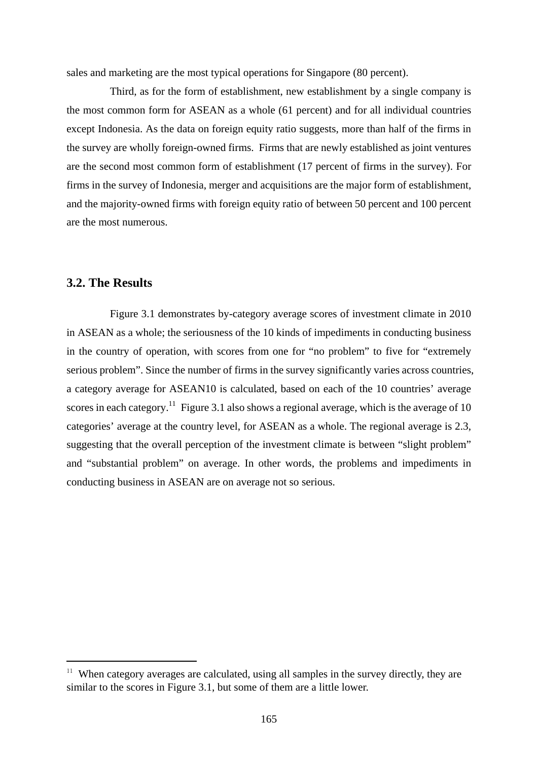sales and marketing are the most typical operations for Singapore (80 percent).

Third, as for the form of establishment, new establishment by a single company is the most common form for ASEAN as a whole (61 percent) and for all individual countries except Indonesia. As the data on foreign equity ratio suggests, more than half of the firms in the survey are wholly foreign-owned firms. Firms that are newly established as joint ventures are the second most common form of establishment (17 percent of firms in the survey). For firms in the survey of Indonesia, merger and acquisitions are the major form of establishment, and the majority-owned firms with foreign equity ratio of between 50 percent and 100 percent are the most numerous.

#### **3.2. The Results**

l,

Figure 3.1 demonstrates by-category average scores of investment climate in 2010 in ASEAN as a whole; the seriousness of the 10 kinds of impediments in conducting business in the country of operation, with scores from one for "no problem" to five for "extremely serious problem". Since the number of firms in the survey significantly varies across countries, a category average for ASEAN10 is calculated, based on each of the 10 countries' average scores in each category.<sup>11</sup> Figure 3.1 also shows a regional average, which is the average of 10 categories' average at the country level, for ASEAN as a whole. The regional average is 2.3, suggesting that the overall perception of the investment climate is between "slight problem" and "substantial problem" on average. In other words, the problems and impediments in conducting business in ASEAN are on average not so serious.

 $11$  When category averages are calculated, using all samples in the survey directly, they are similar to the scores in Figure 3.1, but some of them are a little lower.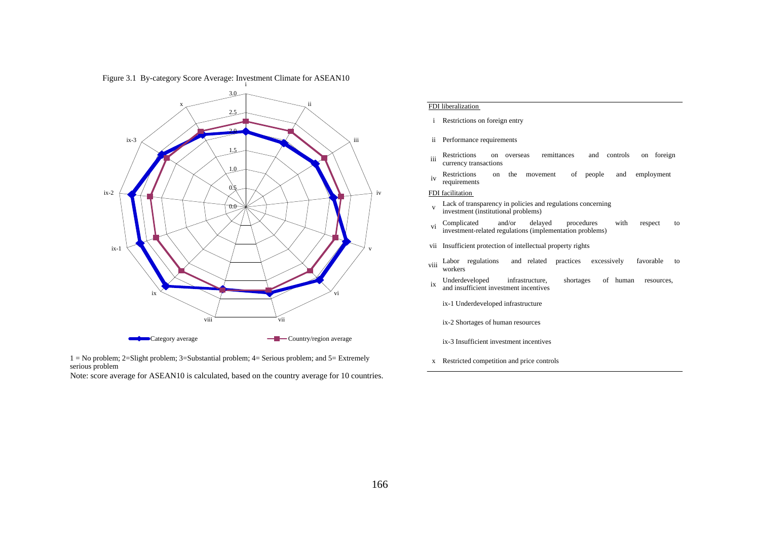

Figure 3.1 By-category Score Average: Investment Climate for ASEAN10

#### FDI liberalization

- i Restrictions on foreign entry
- ii Performance requirements
- iii Restrictions on overseas remittances and controls on foreign currency transactions
- iv Restrictions on the movement of people and employment requirements

#### FDI facilitation

- vLack of transparency in policies and regulations concerning investment (institutional problems)
- viComplicated and/or delayed procedures with respec<sup>t</sup> to investment-related regulations (implementation problems)
- vii Insufficient protection of intellectual property rights
- viiiLabor regulations and related practices excessively favorable to workers
- ix Underdeveloped infrastructure, shortages of human resources, and insufficient investment incentives
	- ix-1 Underdeveloped infrastructure
	- ix-2 Shortages of human resources
	- ix-3 Insufficient investment incentives
- <sup>x</sup> Restricted competition and price controls

1 = No problem; 2=Slight problem; 3=Substantial problem; 4= Serious problem; and 5= Extremely serious problem

Note: score average for ASEAN10 is calculated, based on the country average for 10 countries.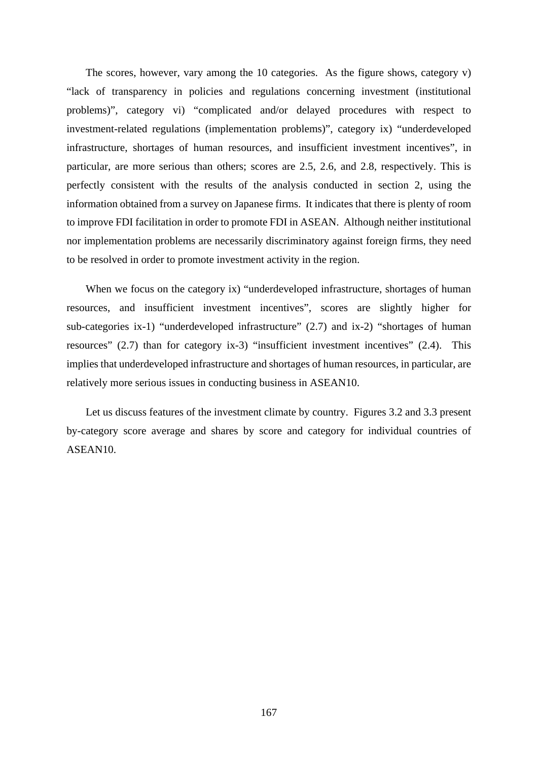The scores, however, vary among the 10 categories. As the figure shows, category v) "lack of transparency in policies and regulations concerning investment (institutional problems)", category vi) "complicated and/or delayed procedures with respect to investment-related regulations (implementation problems)", category ix) "underdeveloped infrastructure, shortages of human resources, and insufficient investment incentives", in particular, are more serious than others; scores are 2.5, 2.6, and 2.8, respectively. This is perfectly consistent with the results of the analysis conducted in section 2, using the information obtained from a survey on Japanese firms. It indicates that there is plenty of room to improve FDI facilitation in order to promote FDI in ASEAN. Although neither institutional nor implementation problems are necessarily discriminatory against foreign firms, they need to be resolved in order to promote investment activity in the region.

When we focus on the category ix) "underdeveloped infrastructure, shortages of human resources, and insufficient investment incentives", scores are slightly higher for sub-categories ix-1) "underdeveloped infrastructure" (2.7) and ix-2) "shortages of human resources" (2.7) than for category ix-3) "insufficient investment incentives" (2.4). This implies that underdeveloped infrastructure and shortages of human resources, in particular, are relatively more serious issues in conducting business in ASEAN10.

Let us discuss features of the investment climate by country. Figures 3.2 and 3.3 present by-category score average and shares by score and category for individual countries of ASEAN10.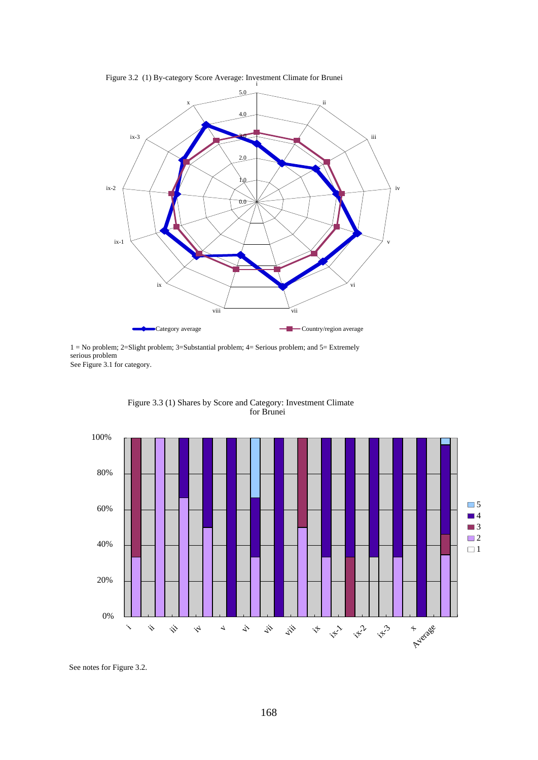

Figure 3.2 (1) By-category Score Average: Investment Climate for Brunei

See Figure 3.1 for category. 1 = No problem; 2=Slight problem; 3=Substantial problem; 4= Serious problem; and 5= Extremely serious problem



Figure 3.3 (1) Shares by Score and Category: Investment Climate for Brunei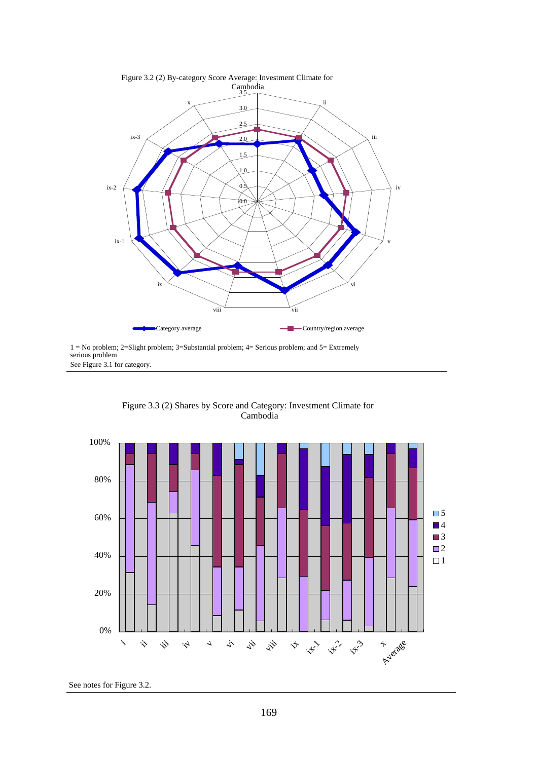

See Figure 3.1 for category. 1 = No problem; 2=Slight problem; 3=Substantial problem; 4= Serious problem; and 5= Extremely serious problem



Figure 3.3 (2) Shares by Score and Category: Investment Climate for Cambodia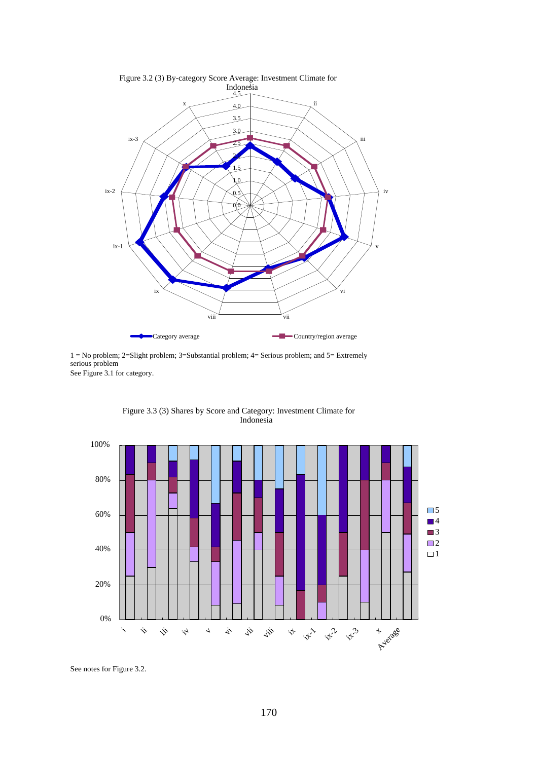

See Figure 3.1 for category. 1 = No problem; 2=Slight problem; 3=Substantial problem; 4= Serious problem; and 5= Extremely serious problem



Figure 3.3 (3) Shares by Score and Category: Investment Climate for Indonesia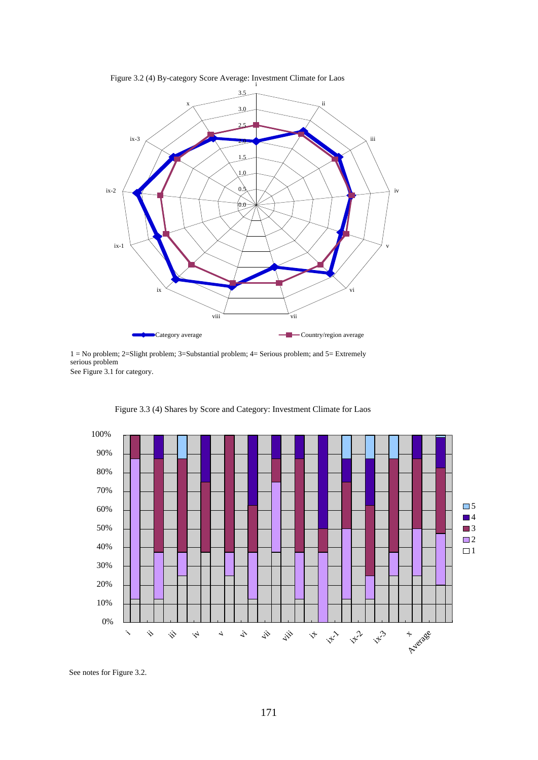

Figure 3.2 (4) By-category Score Average: Investment Climate for Laos

See Figure 3.1 for category. 1 = No problem; 2=Slight problem; 3=Substantial problem; 4= Serious problem; and 5= Extremely serious problem



Figure 3.3 (4) Shares by Score and Category: Investment Climate for Laos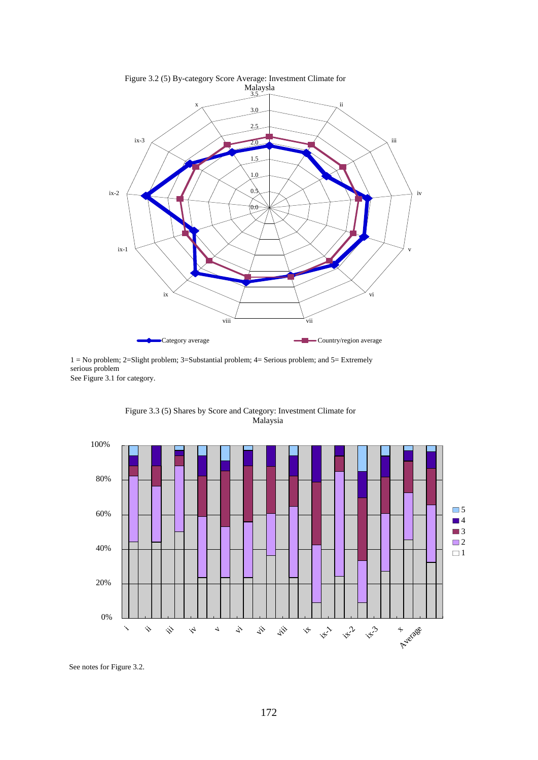

See Figure 3.1 for category. 1 = No problem; 2=Slight problem; 3=Substantial problem; 4= Serious problem; and 5= Extremely serious problem



Figure 3.3 (5) Shares by Score and Category: Investment Climate for Malaysia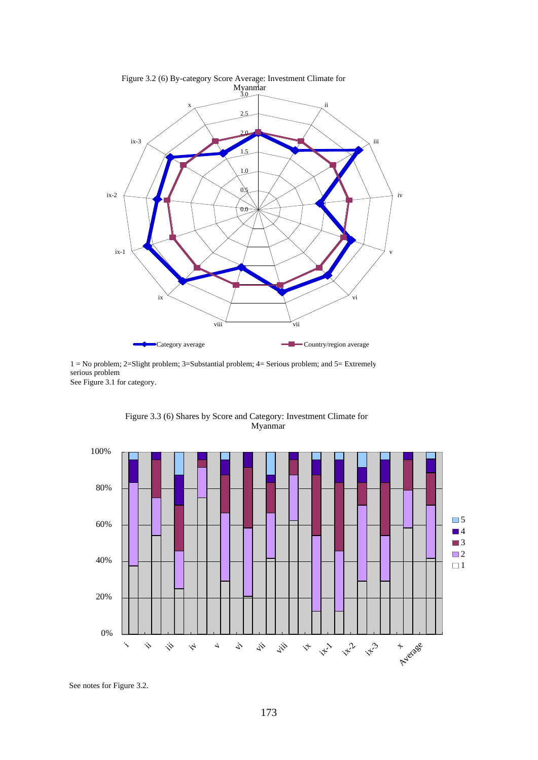

See Figure 3.1 for category. 1 = No problem; 2=Slight problem; 3=Substantial problem; 4= Serious problem; and 5= Extremely serious problem



Figure 3.3 (6) Shares by Score and Category: Investment Climate for Myanmar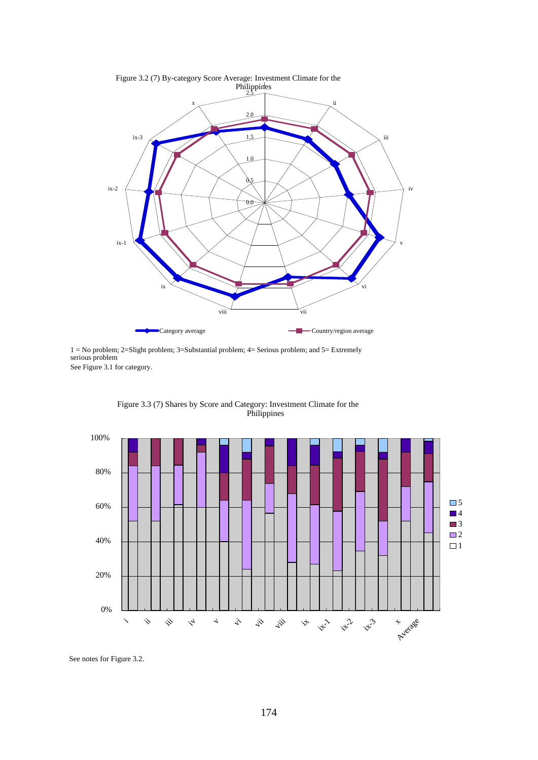

Figure 3.2 (7) By-category Score Average: Investment Climate for the

See Figure 3.1 for category. 1 = No problem; 2=Slight problem; 3=Substantial problem; 4= Serious problem; and 5= Extremely serious problem



Figure 3.3 (7) Shares by Score and Category: Investment Climate for the Philippines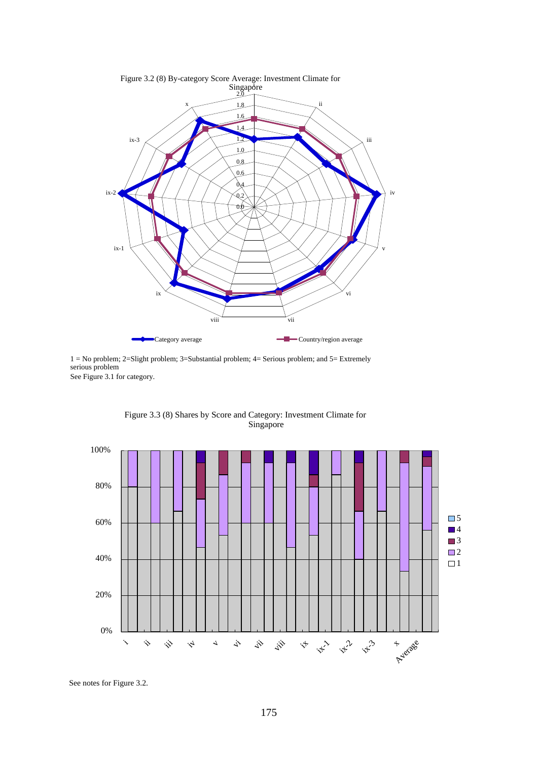

See Figure 3.1 for category. 1 = No problem; 2=Slight problem; 3=Substantial problem; 4= Serious problem; and 5= Extremely serious problem



Figure 3.3 (8) Shares by Score and Category: Investment Climate for Singapore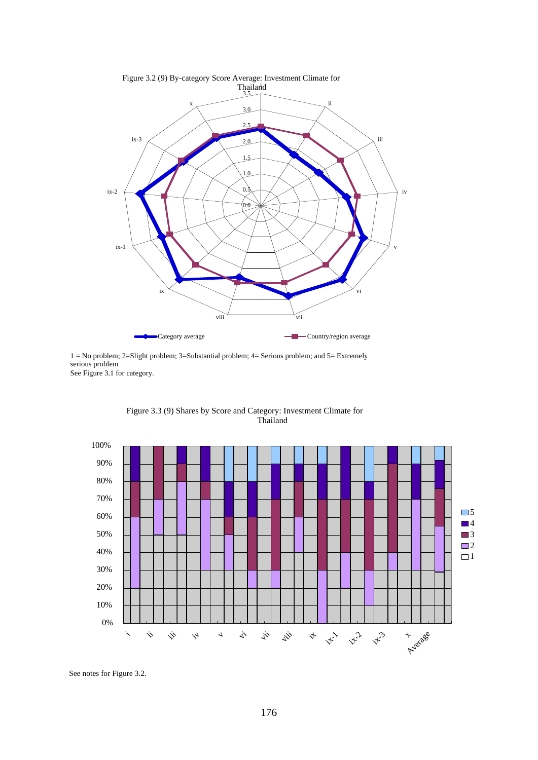

See Figure 3.1 for category. 1 = No problem; 2=Slight problem; 3=Substantial problem; 4= Serious problem; and 5= Extremely serious problem



Figure 3.3 (9) Shares by Score and Category: Investment Climate for Thailand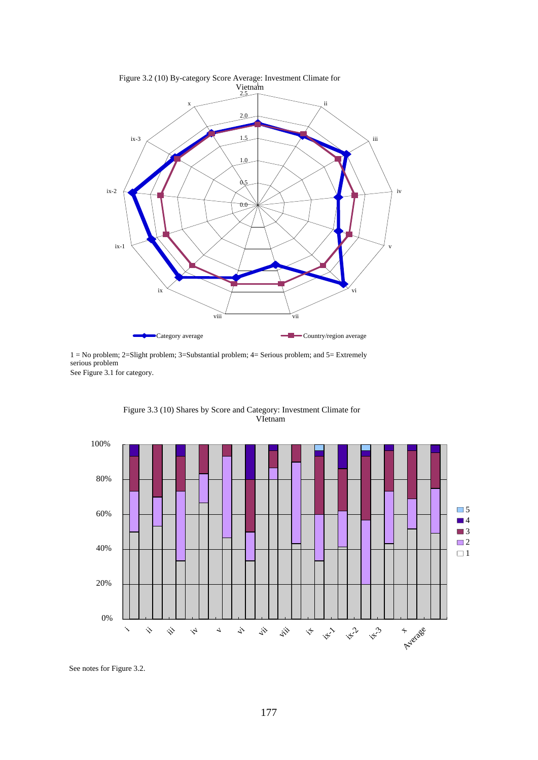

See Figure 3.1 for category. 1 = No problem; 2=Slight problem; 3=Substantial problem; 4= Serious problem; and 5= Extremely serious problem



Figure 3.3 (10) Shares by Score and Category: Investment Climate for VIetnam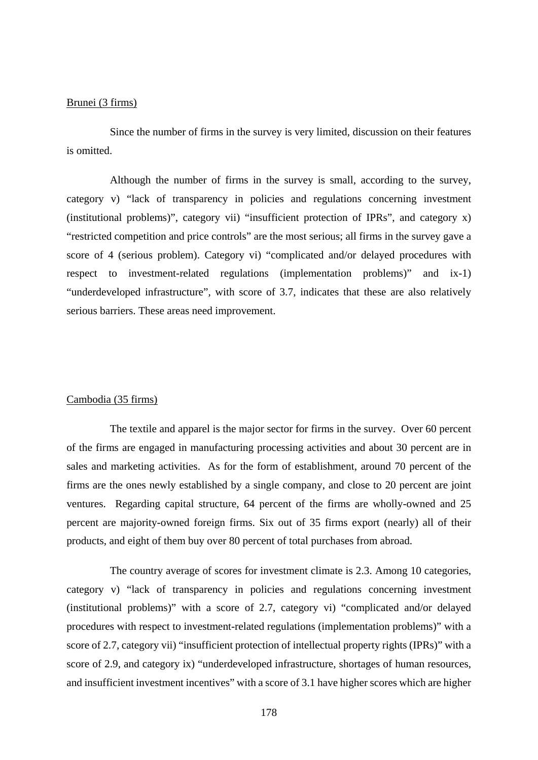#### Brunei (3 firms)

Since the number of firms in the survey is very limited, discussion on their features is omitted.

Although the number of firms in the survey is small, according to the survey, category v) "lack of transparency in policies and regulations concerning investment (institutional problems)", category vii) "insufficient protection of IPRs", and category x) "restricted competition and price controls" are the most serious; all firms in the survey gave a score of 4 (serious problem). Category vi) "complicated and/or delayed procedures with respect to investment-related regulations (implementation problems)" and ix-1) "underdeveloped infrastructure", with score of 3.7, indicates that these are also relatively serious barriers. These areas need improvement.

#### Cambodia (35 firms)

 The textile and apparel is the major sector for firms in the survey. Over 60 percent of the firms are engaged in manufacturing processing activities and about 30 percent are in sales and marketing activities. As for the form of establishment, around 70 percent of the firms are the ones newly established by a single company, and close to 20 percent are joint ventures. Regarding capital structure, 64 percent of the firms are wholly-owned and 25 percent are majority-owned foreign firms. Six out of 35 firms export (nearly) all of their products, and eight of them buy over 80 percent of total purchases from abroad.

 The country average of scores for investment climate is 2.3. Among 10 categories, category v) "lack of transparency in policies and regulations concerning investment (institutional problems)" with a score of 2.7, category vi) "complicated and/or delayed procedures with respect to investment-related regulations (implementation problems)" with a score of 2.7, category vii) "insufficient protection of intellectual property rights (IPRs)" with a score of 2.9, and category ix) "underdeveloped infrastructure, shortages of human resources, and insufficient investment incentives" with a score of 3.1 have higher scores which are higher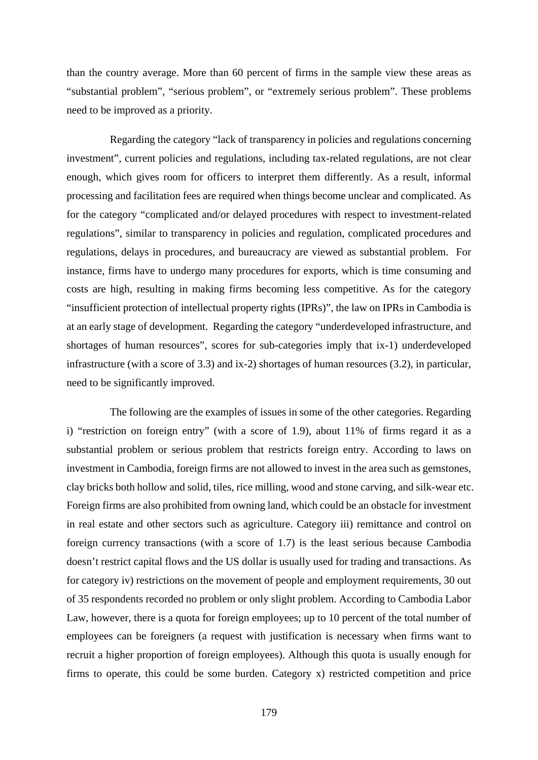than the country average. More than 60 percent of firms in the sample view these areas as "substantial problem", "serious problem", or "extremely serious problem". These problems need to be improved as a priority.

Regarding the category "lack of transparency in policies and regulations concerning investment", current policies and regulations, including tax-related regulations, are not clear enough, which gives room for officers to interpret them differently. As a result, informal processing and facilitation fees are required when things become unclear and complicated. As for the category "complicated and/or delayed procedures with respect to investment-related regulations", similar to transparency in policies and regulation, complicated procedures and regulations, delays in procedures, and bureaucracy are viewed as substantial problem. For instance, firms have to undergo many procedures for exports, which is time consuming and costs are high, resulting in making firms becoming less competitive. As for the category "insufficient protection of intellectual property rights (IPRs)", the law on IPRs in Cambodia is at an early stage of development. Regarding the category "underdeveloped infrastructure, and shortages of human resources", scores for sub-categories imply that ix-1) underdeveloped infrastructure (with a score of 3.3) and ix-2) shortages of human resources (3.2), in particular, need to be significantly improved.

 The following are the examples of issues in some of the other categories. Regarding i) "restriction on foreign entry" (with a score of 1.9), about 11% of firms regard it as a substantial problem or serious problem that restricts foreign entry. According to laws on investment in Cambodia, foreign firms are not allowed to invest in the area such as gemstones, clay bricks both hollow and solid, tiles, rice milling, wood and stone carving, and silk-wear etc. Foreign firms are also prohibited from owning land, which could be an obstacle for investment in real estate and other sectors such as agriculture. Category iii) remittance and control on foreign currency transactions (with a score of 1.7) is the least serious because Cambodia doesn't restrict capital flows and the US dollar is usually used for trading and transactions. As for category iv) restrictions on the movement of people and employment requirements, 30 out of 35 respondents recorded no problem or only slight problem. According to Cambodia Labor Law, however, there is a quota for foreign employees; up to 10 percent of the total number of employees can be foreigners (a request with justification is necessary when firms want to recruit a higher proportion of foreign employees). Although this quota is usually enough for firms to operate, this could be some burden. Category x) restricted competition and price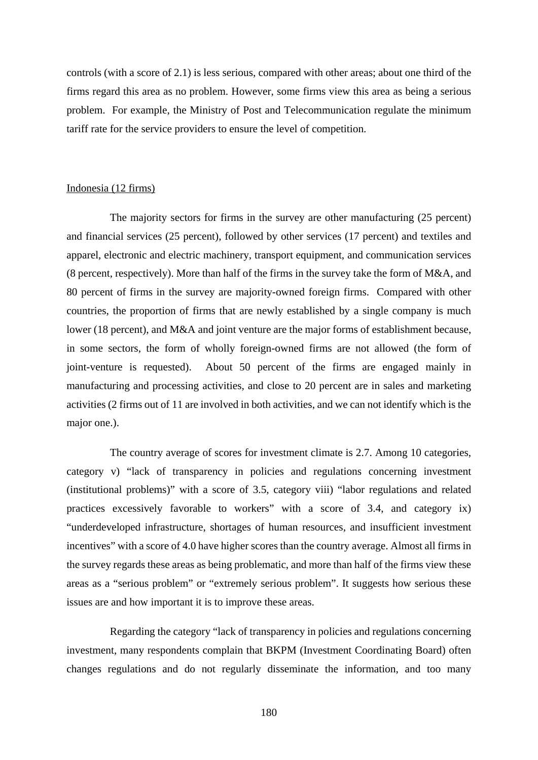controls (with a score of 2.1) is less serious, compared with other areas; about one third of the firms regard this area as no problem. However, some firms view this area as being a serious problem. For example, the Ministry of Post and Telecommunication regulate the minimum tariff rate for the service providers to ensure the level of competition.

#### Indonesia (12 firms)

The majority sectors for firms in the survey are other manufacturing (25 percent) and financial services (25 percent), followed by other services (17 percent) and textiles and apparel, electronic and electric machinery, transport equipment, and communication services (8 percent, respectively). More than half of the firms in the survey take the form of M&A, and 80 percent of firms in the survey are majority-owned foreign firms. Compared with other countries, the proportion of firms that are newly established by a single company is much lower (18 percent), and M&A and joint venture are the major forms of establishment because, in some sectors, the form of wholly foreign-owned firms are not allowed (the form of joint-venture is requested). About 50 percent of the firms are engaged mainly in manufacturing and processing activities, and close to 20 percent are in sales and marketing activities (2 firms out of 11 are involved in both activities, and we can not identify which is the major one.).

 The country average of scores for investment climate is 2.7. Among 10 categories, category v) "lack of transparency in policies and regulations concerning investment (institutional problems)" with a score of 3.5, category viii) "labor regulations and related practices excessively favorable to workers" with a score of 3.4, and category ix) "underdeveloped infrastructure, shortages of human resources, and insufficient investment incentives" with a score of 4.0 have higher scores than the country average. Almost all firms in the survey regards these areas as being problematic, and more than half of the firms view these areas as a "serious problem" or "extremely serious problem". It suggests how serious these issues are and how important it is to improve these areas.

 Regarding the category "lack of transparency in policies and regulations concerning investment, many respondents complain that BKPM (Investment Coordinating Board) often changes regulations and do not regularly disseminate the information, and too many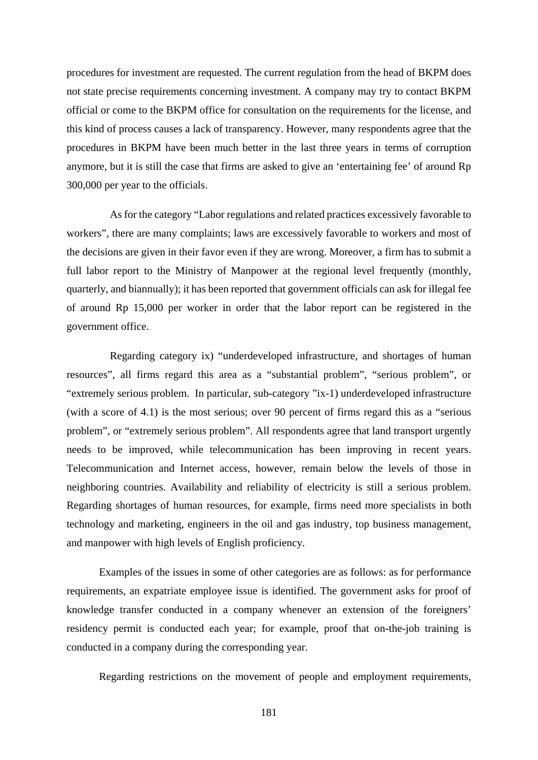procedures for investment are requested. The current regulation from the head of BKPM does not state precise requirements concerning investment. A company may try to contact BKPM official or come to the BKPM office for consultation on the requirements for the license, and this kind of process causes a lack of transparency. However, many respondents agree that the procedures in BKPM have been much better in the last three years in terms of corruption anymore, but it is still the case that firms are asked to give an 'entertaining fee' of around Rp 300,000 per year to the officials.

As for the category "Labor regulations and related practices excessively favorable to workers", there are many complaints; laws are excessively favorable to workers and most of the decisions are given in their favor even if they are wrong. Moreover, a firm has to submit a full labor report to the Ministry of Manpower at the regional level frequently (monthly, quarterly, and biannually); it has been reported that government officials can ask for illegal fee of around Rp 15,000 per worker in order that the labor report can be registered in the government office.

Regarding category ix) "underdeveloped infrastructure, and shortages of human resources", all firms regard this area as a "substantial problem", "serious problem", or "extremely serious problem. In particular, sub-category "ix-1) underdeveloped infrastructure (with a score of 4.1) is the most serious; over 90 percent of firms regard this as a "serious problem", or "extremely serious problem". All respondents agree that land transport urgently needs to be improved, while telecommunication has been improving in recent years. Telecommunication and Internet access, however, remain below the levels of those in neighboring countries. Availability and reliability of electricity is still a serious problem. Regarding shortages of human resources, for example, firms need more specialists in both technology and marketing, engineers in the oil and gas industry, top business management, and manpower with high levels of English proficiency.

Examples of the issues in some of other categories are as follows: as for performance requirements, an expatriate employee issue is identified. The government asks for proof of knowledge transfer conducted in a company whenever an extension of the foreigners' residency permit is conducted each year; for example, proof that on-the-job training is conducted in a company during the corresponding year.

Regarding restrictions on the movement of people and employment requirements,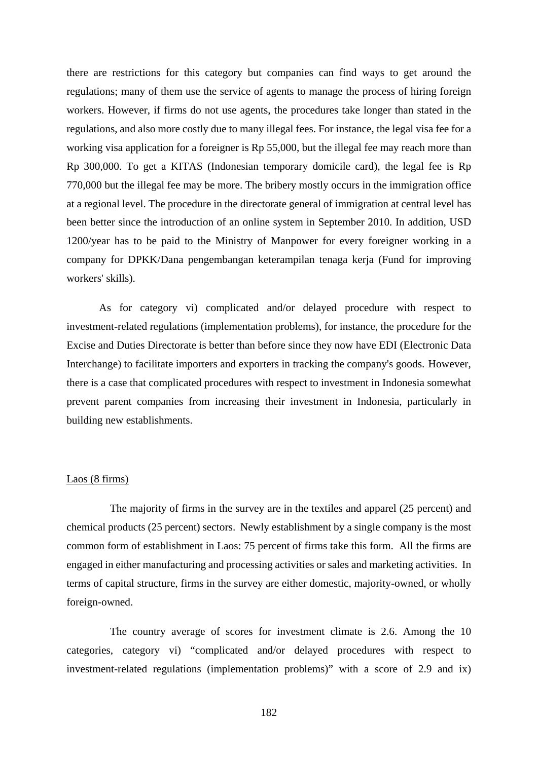there are restrictions for this category but companies can find ways to get around the regulations; many of them use the service of agents to manage the process of hiring foreign workers. However, if firms do not use agents, the procedures take longer than stated in the regulations, and also more costly due to many illegal fees. For instance, the legal visa fee for a working visa application for a foreigner is Rp 55,000, but the illegal fee may reach more than Rp 300,000. To get a KITAS (Indonesian temporary domicile card), the legal fee is Rp 770,000 but the illegal fee may be more. The bribery mostly occurs in the immigration office at a regional level. The procedure in the directorate general of immigration at central level has been better since the introduction of an online system in September 2010. In addition, USD 1200/year has to be paid to the Ministry of Manpower for every foreigner working in a company for DPKK/Dana pengembangan keterampilan tenaga kerja (Fund for improving workers' skills).

As for category vi) complicated and/or delayed procedure with respect to investment-related regulations (implementation problems), for instance, the procedure for the Excise and Duties Directorate is better than before since they now have EDI (Electronic Data Interchange) to facilitate importers and exporters in tracking the company's goods. However, there is a case that complicated procedures with respect to investment in Indonesia somewhat prevent parent companies from increasing their investment in Indonesia, particularly in building new establishments.

#### Laos (8 firms)

The majority of firms in the survey are in the textiles and apparel (25 percent) and chemical products (25 percent) sectors. Newly establishment by a single company is the most common form of establishment in Laos: 75 percent of firms take this form. All the firms are engaged in either manufacturing and processing activities or sales and marketing activities. In terms of capital structure, firms in the survey are either domestic, majority-owned, or wholly foreign-owned.

 The country average of scores for investment climate is 2.6. Among the 10 categories, category vi) "complicated and/or delayed procedures with respect to investment-related regulations (implementation problems)" with a score of 2.9 and ix)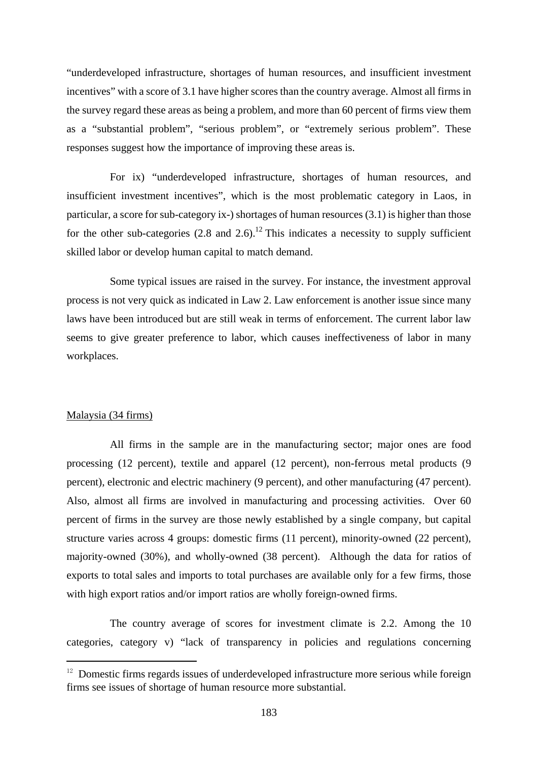"underdeveloped infrastructure, shortages of human resources, and insufficient investment incentives" with a score of 3.1 have higher scores than the country average. Almost all firms in the survey regard these areas as being a problem, and more than 60 percent of firms view them as a "substantial problem", "serious problem", or "extremely serious problem". These responses suggest how the importance of improving these areas is.

For ix) "underdeveloped infrastructure, shortages of human resources, and insufficient investment incentives", which is the most problematic category in Laos, in particular, a score for sub-category ix-) shortages of human resources (3.1) is higher than those for the other sub-categories  $(2.8 \text{ and } 2.6)$ .<sup>12</sup> This indicates a necessity to supply sufficient skilled labor or develop human capital to match demand.

Some typical issues are raised in the survey. For instance, the investment approval process is not very quick as indicated in Law 2. Law enforcement is another issue since many laws have been introduced but are still weak in terms of enforcement. The current labor law seems to give greater preference to labor, which causes ineffectiveness of labor in many workplaces.

#### Malaysia (34 firms)

l,

All firms in the sample are in the manufacturing sector; major ones are food processing (12 percent), textile and apparel (12 percent), non-ferrous metal products (9 percent), electronic and electric machinery (9 percent), and other manufacturing (47 percent). Also, almost all firms are involved in manufacturing and processing activities. Over 60 percent of firms in the survey are those newly established by a single company, but capital structure varies across 4 groups: domestic firms (11 percent), minority-owned (22 percent), majority-owned (30%), and wholly-owned (38 percent). Although the data for ratios of exports to total sales and imports to total purchases are available only for a few firms, those with high export ratios and/or import ratios are wholly foreign-owned firms.

The country average of scores for investment climate is 2.2. Among the 10 categories, category v) "lack of transparency in policies and regulations concerning

 $12$  Domestic firms regards issues of underdeveloped infrastructure more serious while foreign firms see issues of shortage of human resource more substantial.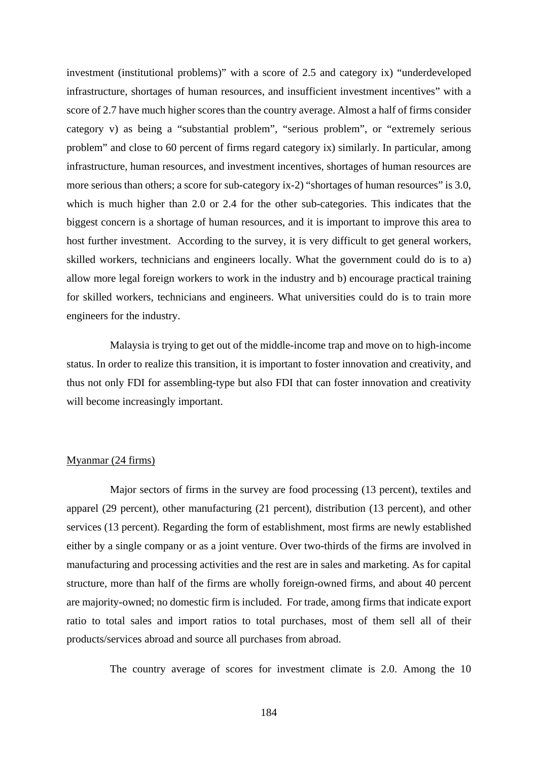investment (institutional problems)" with a score of 2.5 and category ix) "underdeveloped infrastructure, shortages of human resources, and insufficient investment incentives" with a score of 2.7 have much higher scores than the country average. Almost a half of firms consider category v) as being a "substantial problem", "serious problem", or "extremely serious problem" and close to 60 percent of firms regard category ix) similarly. In particular, among infrastructure, human resources, and investment incentives, shortages of human resources are more serious than others; a score for sub-category ix-2) "shortages of human resources" is 3.0, which is much higher than 2.0 or 2.4 for the other sub-categories. This indicates that the biggest concern is a shortage of human resources, and it is important to improve this area to host further investment. According to the survey, it is very difficult to get general workers, skilled workers, technicians and engineers locally. What the government could do is to a) allow more legal foreign workers to work in the industry and b) encourage practical training for skilled workers, technicians and engineers. What universities could do is to train more engineers for the industry.

Malaysia is trying to get out of the middle-income trap and move on to high-income status. In order to realize this transition, it is important to foster innovation and creativity, and thus not only FDI for assembling-type but also FDI that can foster innovation and creativity will become increasingly important.

#### Myanmar (24 firms)

Major sectors of firms in the survey are food processing (13 percent), textiles and apparel (29 percent), other manufacturing (21 percent), distribution (13 percent), and other services (13 percent). Regarding the form of establishment, most firms are newly established either by a single company or as a joint venture. Over two-thirds of the firms are involved in manufacturing and processing activities and the rest are in sales and marketing. As for capital structure, more than half of the firms are wholly foreign-owned firms, and about 40 percent are majority-owned; no domestic firm is included. For trade, among firms that indicate export ratio to total sales and import ratios to total purchases, most of them sell all of their products/services abroad and source all purchases from abroad.

The country average of scores for investment climate is 2.0. Among the 10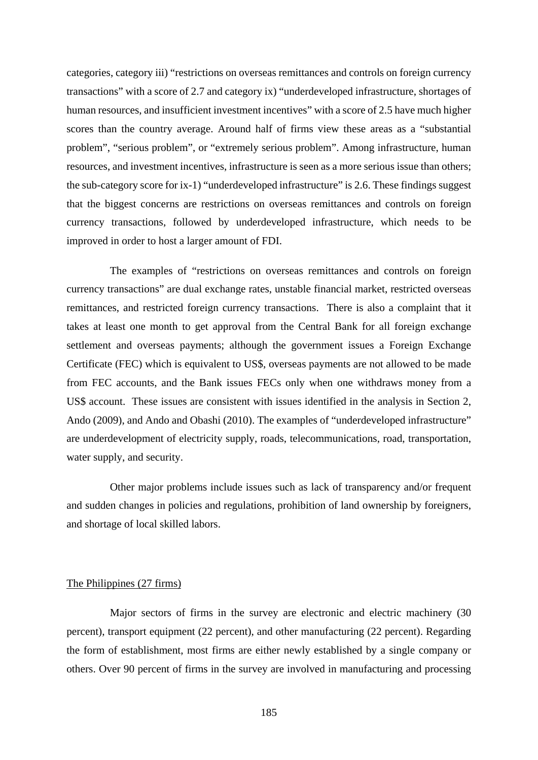categories, category iii) "restrictions on overseas remittances and controls on foreign currency transactions" with a score of 2.7 and category ix) "underdeveloped infrastructure, shortages of human resources, and insufficient investment incentives" with a score of 2.5 have much higher scores than the country average. Around half of firms view these areas as a "substantial problem", "serious problem", or "extremely serious problem". Among infrastructure, human resources, and investment incentives, infrastructure is seen as a more serious issue than others; the sub-category score for ix-1) "underdeveloped infrastructure" is 2.6. These findings suggest that the biggest concerns are restrictions on overseas remittances and controls on foreign currency transactions, followed by underdeveloped infrastructure, which needs to be improved in order to host a larger amount of FDI.

The examples of "restrictions on overseas remittances and controls on foreign currency transactions" are dual exchange rates, unstable financial market, restricted overseas remittances, and restricted foreign currency transactions. There is also a complaint that it takes at least one month to get approval from the Central Bank for all foreign exchange settlement and overseas payments; although the government issues a Foreign Exchange Certificate (FEC) which is equivalent to US\$, overseas payments are not allowed to be made from FEC accounts, and the Bank issues FECs only when one withdraws money from a US\$ account. These issues are consistent with issues identified in the analysis in Section 2, Ando (2009), and Ando and Obashi (2010). The examples of "underdeveloped infrastructure" are underdevelopment of electricity supply, roads, telecommunications, road, transportation, water supply, and security.

Other major problems include issues such as lack of transparency and/or frequent and sudden changes in policies and regulations, prohibition of land ownership by foreigners, and shortage of local skilled labors.

#### The Philippines (27 firms)

Major sectors of firms in the survey are electronic and electric machinery (30 percent), transport equipment (22 percent), and other manufacturing (22 percent). Regarding the form of establishment, most firms are either newly established by a single company or others. Over 90 percent of firms in the survey are involved in manufacturing and processing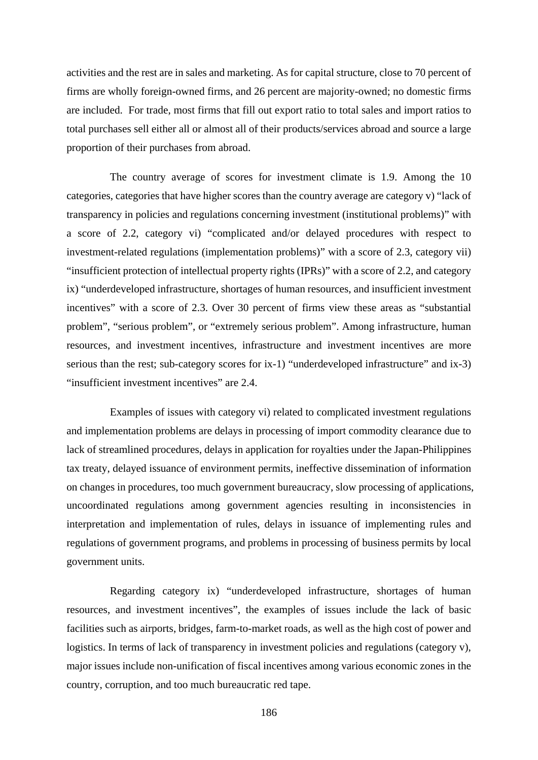activities and the rest are in sales and marketing. As for capital structure, close to 70 percent of firms are wholly foreign-owned firms, and 26 percent are majority-owned; no domestic firms are included. For trade, most firms that fill out export ratio to total sales and import ratios to total purchases sell either all or almost all of their products/services abroad and source a large proportion of their purchases from abroad.

The country average of scores for investment climate is 1.9. Among the 10 categories, categories that have higher scores than the country average are category v) "lack of transparency in policies and regulations concerning investment (institutional problems)" with a score of 2.2, category vi) "complicated and/or delayed procedures with respect to investment-related regulations (implementation problems)" with a score of 2.3, category vii) "insufficient protection of intellectual property rights (IPRs)" with a score of 2.2, and category ix) "underdeveloped infrastructure, shortages of human resources, and insufficient investment incentives" with a score of 2.3. Over 30 percent of firms view these areas as "substantial problem", "serious problem", or "extremely serious problem". Among infrastructure, human resources, and investment incentives, infrastructure and investment incentives are more serious than the rest; sub-category scores for ix-1) "underdeveloped infrastructure" and ix-3) "insufficient investment incentives" are 2.4.

Examples of issues with category vi) related to complicated investment regulations and implementation problems are delays in processing of import commodity clearance due to lack of streamlined procedures, delays in application for royalties under the Japan-Philippines tax treaty, delayed issuance of environment permits, ineffective dissemination of information on changes in procedures, too much government bureaucracy, slow processing of applications, uncoordinated regulations among government agencies resulting in inconsistencies in interpretation and implementation of rules, delays in issuance of implementing rules and regulations of government programs, and problems in processing of business permits by local government units.

Regarding category ix) "underdeveloped infrastructure, shortages of human resources, and investment incentives", the examples of issues include the lack of basic facilities such as airports, bridges, farm-to-market roads, as well as the high cost of power and logistics. In terms of lack of transparency in investment policies and regulations (category v), major issues include non-unification of fiscal incentives among various economic zones in the country, corruption, and too much bureaucratic red tape.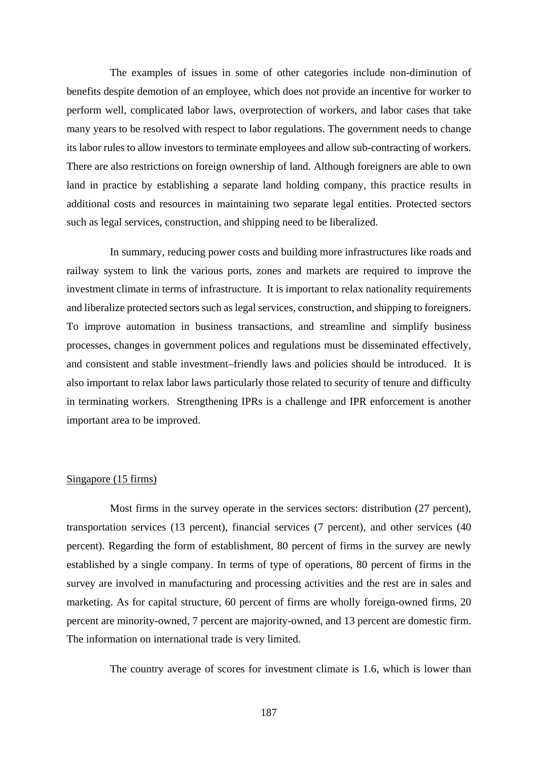The examples of issues in some of other categories include non-diminution of benefits despite demotion of an employee, which does not provide an incentive for worker to perform well, complicated labor laws, overprotection of workers, and labor cases that take many years to be resolved with respect to labor regulations. The government needs to change its labor rules to allow investors to terminate employees and allow sub-contracting of workers. There are also restrictions on foreign ownership of land. Although foreigners are able to own land in practice by establishing a separate land holding company, this practice results in additional costs and resources in maintaining two separate legal entities. Protected sectors such as legal services, construction, and shipping need to be liberalized.

In summary, reducing power costs and building more infrastructures like roads and railway system to link the various ports, zones and markets are required to improve the investment climate in terms of infrastructure. It is important to relax nationality requirements and liberalize protected sectors such as legal services, construction, and shipping to foreigners. To improve automation in business transactions, and streamline and simplify business processes, changes in government polices and regulations must be disseminated effectively, and consistent and stable investment–friendly laws and policies should be introduced. It is also important to relax labor laws particularly those related to security of tenure and difficulty in terminating workers. Strengthening IPRs is a challenge and IPR enforcement is another important area to be improved.

#### Singapore (15 firms)

Most firms in the survey operate in the services sectors: distribution (27 percent), transportation services (13 percent), financial services (7 percent), and other services (40 percent). Regarding the form of establishment, 80 percent of firms in the survey are newly established by a single company. In terms of type of operations, 80 percent of firms in the survey are involved in manufacturing and processing activities and the rest are in sales and marketing. As for capital structure, 60 percent of firms are wholly foreign-owned firms, 20 percent are minority-owned, 7 percent are majority-owned, and 13 percent are domestic firm. The information on international trade is very limited.

The country average of scores for investment climate is 1.6, which is lower than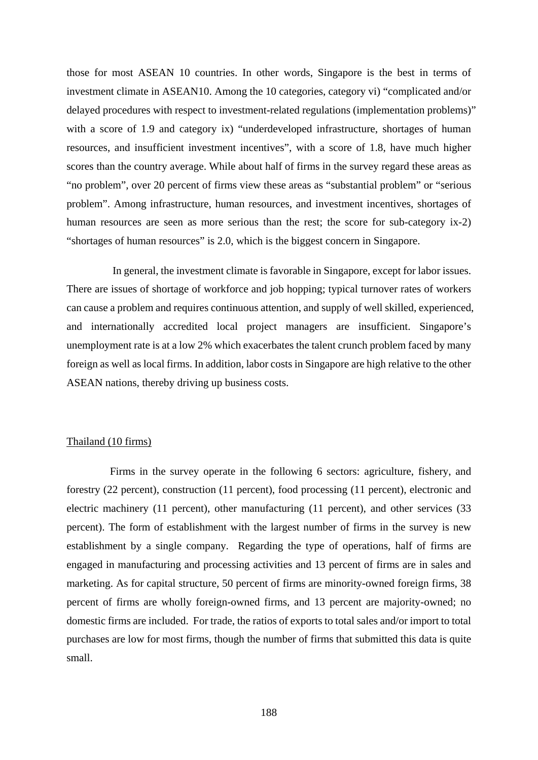those for most ASEAN 10 countries. In other words, Singapore is the best in terms of investment climate in ASEAN10. Among the 10 categories, category vi) "complicated and/or delayed procedures with respect to investment-related regulations (implementation problems)" with a score of 1.9 and category ix) "underdeveloped infrastructure, shortages of human resources, and insufficient investment incentives", with a score of 1.8, have much higher scores than the country average. While about half of firms in the survey regard these areas as "no problem", over 20 percent of firms view these areas as "substantial problem" or "serious problem". Among infrastructure, human resources, and investment incentives, shortages of human resources are seen as more serious than the rest; the score for sub-category ix-2) "shortages of human resources" is 2.0, which is the biggest concern in Singapore.

 In general, the investment climate is favorable in Singapore, except for labor issues. There are issues of shortage of workforce and job hopping; typical turnover rates of workers can cause a problem and requires continuous attention, and supply of well skilled, experienced, and internationally accredited local project managers are insufficient. Singapore's unemployment rate is at a low 2% which exacerbates the talent crunch problem faced by many foreign as well as local firms. In addition, labor costs in Singapore are high relative to the other ASEAN nations, thereby driving up business costs.

#### Thailand (10 firms)

Firms in the survey operate in the following 6 sectors: agriculture, fishery, and forestry (22 percent), construction (11 percent), food processing (11 percent), electronic and electric machinery (11 percent), other manufacturing (11 percent), and other services (33 percent). The form of establishment with the largest number of firms in the survey is new establishment by a single company. Regarding the type of operations, half of firms are engaged in manufacturing and processing activities and 13 percent of firms are in sales and marketing. As for capital structure, 50 percent of firms are minority-owned foreign firms, 38 percent of firms are wholly foreign-owned firms, and 13 percent are majority-owned; no domestic firms are included. For trade, the ratios of exports to total sales and/or import to total purchases are low for most firms, though the number of firms that submitted this data is quite small.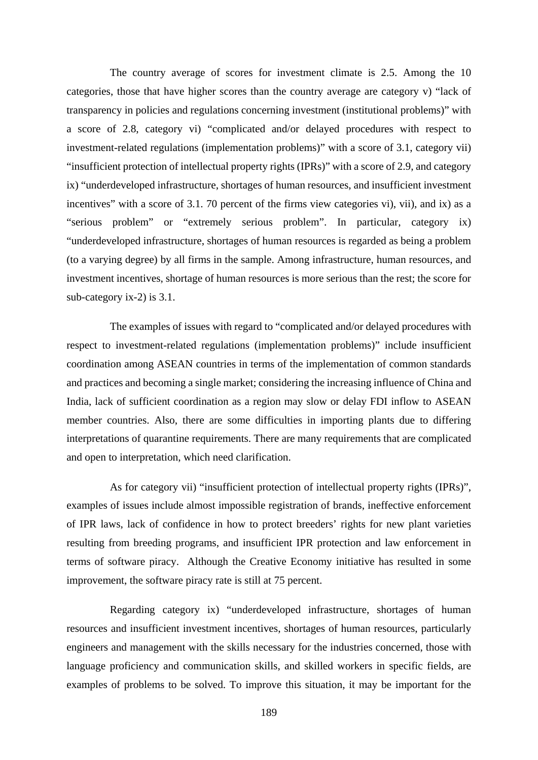The country average of scores for investment climate is 2.5. Among the 10 categories, those that have higher scores than the country average are category v) "lack of transparency in policies and regulations concerning investment (institutional problems)" with a score of 2.8, category vi) "complicated and/or delayed procedures with respect to investment-related regulations (implementation problems)" with a score of 3.1, category vii) "insufficient protection of intellectual property rights (IPRs)" with a score of 2.9, and category ix) "underdeveloped infrastructure, shortages of human resources, and insufficient investment incentives" with a score of 3.1. 70 percent of the firms view categories vi), vii), and ix) as a "serious problem" or "extremely serious problem". In particular, category ix) "underdeveloped infrastructure, shortages of human resources is regarded as being a problem (to a varying degree) by all firms in the sample. Among infrastructure, human resources, and investment incentives, shortage of human resources is more serious than the rest; the score for sub-category ix-2) is 3.1.

The examples of issues with regard to "complicated and/or delayed procedures with respect to investment-related regulations (implementation problems)" include insufficient coordination among ASEAN countries in terms of the implementation of common standards and practices and becoming a single market; considering the increasing influence of China and India, lack of sufficient coordination as a region may slow or delay FDI inflow to ASEAN member countries. Also, there are some difficulties in importing plants due to differing interpretations of quarantine requirements. There are many requirements that are complicated and open to interpretation, which need clarification.

As for category vii) "insufficient protection of intellectual property rights (IPRs)", examples of issues include almost impossible registration of brands, ineffective enforcement of IPR laws, lack of confidence in how to protect breeders' rights for new plant varieties resulting from breeding programs, and insufficient IPR protection and law enforcement in terms of software piracy. Although the Creative Economy initiative has resulted in some improvement, the software piracy rate is still at 75 percent.

Regarding category ix) "underdeveloped infrastructure, shortages of human resources and insufficient investment incentives, shortages of human resources, particularly engineers and management with the skills necessary for the industries concerned, those with language proficiency and communication skills, and skilled workers in specific fields, are examples of problems to be solved. To improve this situation, it may be important for the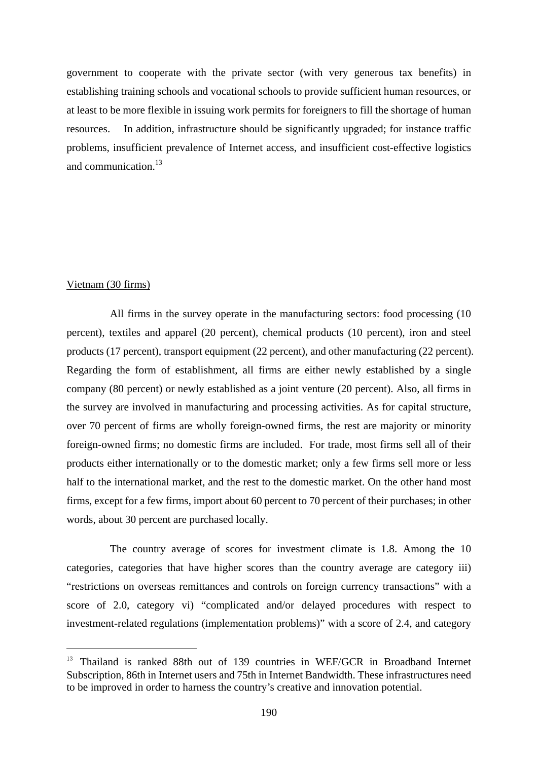government to cooperate with the private sector (with very generous tax benefits) in establishing training schools and vocational schools to provide sufficient human resources, or at least to be more flexible in issuing work permits for foreigners to fill the shortage of human resources. In addition, infrastructure should be significantly upgraded; for instance traffic problems, insufficient prevalence of Internet access, and insufficient cost-effective logistics and communication. $13$ 

#### Vietnam (30 firms)

l,

All firms in the survey operate in the manufacturing sectors: food processing (10 percent), textiles and apparel (20 percent), chemical products (10 percent), iron and steel products (17 percent), transport equipment (22 percent), and other manufacturing (22 percent). Regarding the form of establishment, all firms are either newly established by a single company (80 percent) or newly established as a joint venture (20 percent). Also, all firms in the survey are involved in manufacturing and processing activities. As for capital structure, over 70 percent of firms are wholly foreign-owned firms, the rest are majority or minority foreign-owned firms; no domestic firms are included. For trade, most firms sell all of their products either internationally or to the domestic market; only a few firms sell more or less half to the international market, and the rest to the domestic market. On the other hand most firms, except for a few firms, import about 60 percent to 70 percent of their purchases; in other words, about 30 percent are purchased locally.

The country average of scores for investment climate is 1.8. Among the 10 categories, categories that have higher scores than the country average are category iii) "restrictions on overseas remittances and controls on foreign currency transactions" with a score of 2.0, category vi) "complicated and/or delayed procedures with respect to investment-related regulations (implementation problems)" with a score of 2.4, and category

<sup>&</sup>lt;sup>13</sup> Thailand is ranked 88th out of 139 countries in WEF/GCR in Broadband Internet Subscription, 86th in Internet users and 75th in Internet Bandwidth. These infrastructures need to be improved in order to harness the country's creative and innovation potential.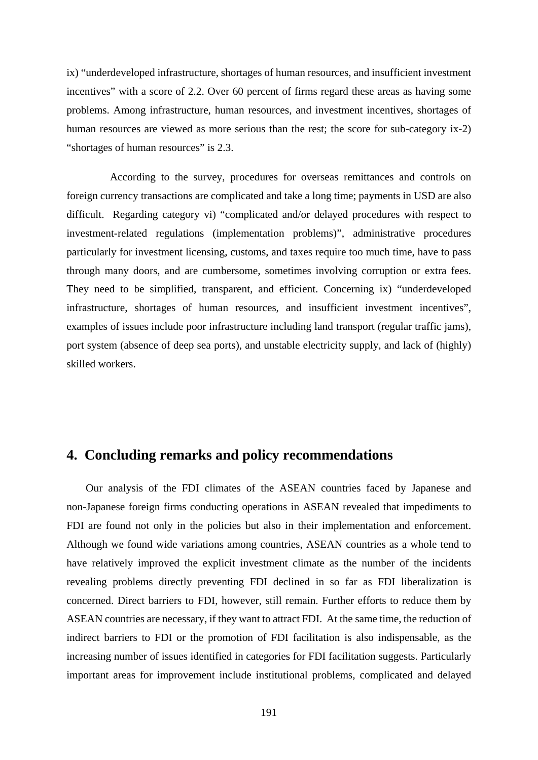ix) "underdeveloped infrastructure, shortages of human resources, and insufficient investment incentives" with a score of 2.2. Over 60 percent of firms regard these areas as having some problems. Among infrastructure, human resources, and investment incentives, shortages of human resources are viewed as more serious than the rest; the score for sub-category ix-2) "shortages of human resources" is 2.3.

According to the survey, procedures for overseas remittances and controls on foreign currency transactions are complicated and take a long time; payments in USD are also difficult. Regarding category vi) "complicated and/or delayed procedures with respect to investment-related regulations (implementation problems)", administrative procedures particularly for investment licensing, customs, and taxes require too much time, have to pass through many doors, and are cumbersome, sometimes involving corruption or extra fees. They need to be simplified, transparent, and efficient. Concerning ix) "underdeveloped infrastructure, shortages of human resources, and insufficient investment incentives", examples of issues include poor infrastructure including land transport (regular traffic jams), port system (absence of deep sea ports), and unstable electricity supply, and lack of (highly) skilled workers.

#### **4. Concluding remarks and policy recommendations**

Our analysis of the FDI climates of the ASEAN countries faced by Japanese and non-Japanese foreign firms conducting operations in ASEAN revealed that impediments to FDI are found not only in the policies but also in their implementation and enforcement. Although we found wide variations among countries, ASEAN countries as a whole tend to have relatively improved the explicit investment climate as the number of the incidents revealing problems directly preventing FDI declined in so far as FDI liberalization is concerned. Direct barriers to FDI, however, still remain. Further efforts to reduce them by ASEAN countries are necessary, if they want to attract FDI. At the same time, the reduction of indirect barriers to FDI or the promotion of FDI facilitation is also indispensable, as the increasing number of issues identified in categories for FDI facilitation suggests. Particularly important areas for improvement include institutional problems, complicated and delayed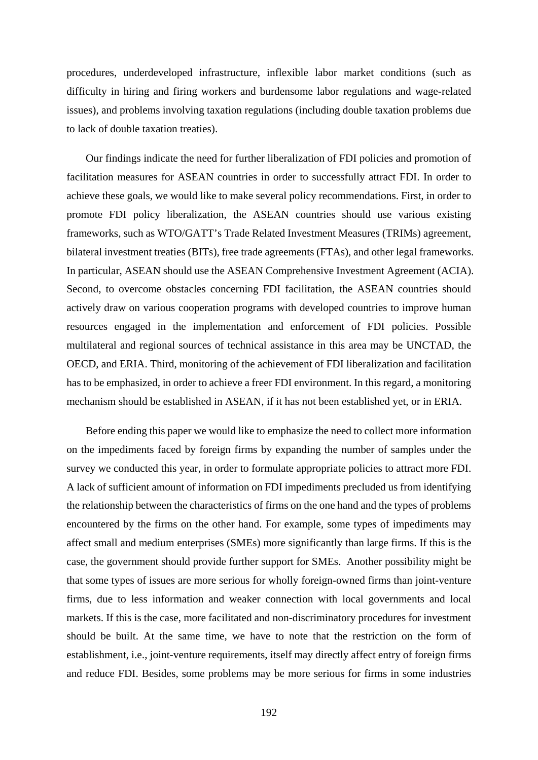procedures, underdeveloped infrastructure, inflexible labor market conditions (such as difficulty in hiring and firing workers and burdensome labor regulations and wage-related issues), and problems involving taxation regulations (including double taxation problems due to lack of double taxation treaties).

Our findings indicate the need for further liberalization of FDI policies and promotion of facilitation measures for ASEAN countries in order to successfully attract FDI. In order to achieve these goals, we would like to make several policy recommendations. First, in order to promote FDI policy liberalization, the ASEAN countries should use various existing frameworks, such as WTO/GATT's Trade Related Investment Measures (TRIMs) agreement, bilateral investment treaties (BITs), free trade agreements (FTAs), and other legal frameworks. In particular, ASEAN should use the ASEAN Comprehensive Investment Agreement (ACIA). Second, to overcome obstacles concerning FDI facilitation, the ASEAN countries should actively draw on various cooperation programs with developed countries to improve human resources engaged in the implementation and enforcement of FDI policies. Possible multilateral and regional sources of technical assistance in this area may be UNCTAD, the OECD, and ERIA. Third, monitoring of the achievement of FDI liberalization and facilitation has to be emphasized, in order to achieve a freer FDI environment. In this regard, a monitoring mechanism should be established in ASEAN, if it has not been established yet, or in ERIA.

Before ending this paper we would like to emphasize the need to collect more information on the impediments faced by foreign firms by expanding the number of samples under the survey we conducted this year, in order to formulate appropriate policies to attract more FDI. A lack of sufficient amount of information on FDI impediments precluded us from identifying the relationship between the characteristics of firms on the one hand and the types of problems encountered by the firms on the other hand. For example, some types of impediments may affect small and medium enterprises (SMEs) more significantly than large firms. If this is the case, the government should provide further support for SMEs. Another possibility might be that some types of issues are more serious for wholly foreign-owned firms than joint-venture firms, due to less information and weaker connection with local governments and local markets. If this is the case, more facilitated and non-discriminatory procedures for investment should be built. At the same time, we have to note that the restriction on the form of establishment, i.e., joint-venture requirements, itself may directly affect entry of foreign firms and reduce FDI. Besides, some problems may be more serious for firms in some industries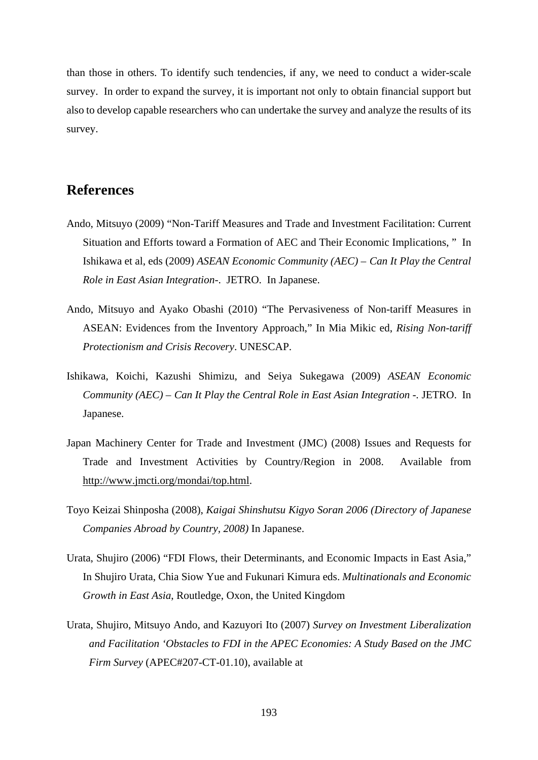than those in others. To identify such tendencies, if any, we need to conduct a wider-scale survey. In order to expand the survey, it is important not only to obtain financial support but also to develop capable researchers who can undertake the survey and analyze the results of its survey.

#### **References**

- Ando, Mitsuyo (2009) "Non-Tariff Measures and Trade and Investment Facilitation: Current Situation and Efforts toward a Formation of AEC and Their Economic Implications, " In Ishikawa et al, eds (2009) *ASEAN Economic Community (AEC) – Can It Play the Central Role in East Asian Integration-*. JETRO. In Japanese.
- Ando, Mitsuyo and Ayako Obashi (2010) "The Pervasiveness of Non-tariff Measures in ASEAN: Evidences from the Inventory Approach," In Mia Mikic ed, *Rising Non-tariff Protectionism and Crisis Recovery*. UNESCAP.
- Ishikawa, Koichi, Kazushi Shimizu, and Seiya Sukegawa (2009) *ASEAN Economic Community (AEC) – Can It Play the Central Role in East Asian Integration -.* JETRO. In Japanese.
- Japan Machinery Center for Trade and Investment (JMC) (2008) Issues and Requests for Trade and Investment Activities by Country/Region in 2008. Available from http://www.jmcti.org/mondai/top.html.
- Toyo Keizai Shinposha (2008), *Kaigai Shinshutsu Kigyo Soran 2006 (Directory of Japanese Companies Abroad by Country, 2008)* In Japanese.
- Urata, Shujiro (2006) "FDI Flows, their Determinants, and Economic Impacts in East Asia," In Shujiro Urata, Chia Siow Yue and Fukunari Kimura eds. *Multinationals and Economic Growth in East Asia*, Routledge, Oxon, the United Kingdom
- Urata, Shujiro, Mitsuyo Ando, and Kazuyori Ito (2007) *Survey on Investment Liberalization and Facilitation 'Obstacles to FDI in the APEC Economies: A Study Based on the JMC Firm Survey* (APEC#207-CT-01.10), available at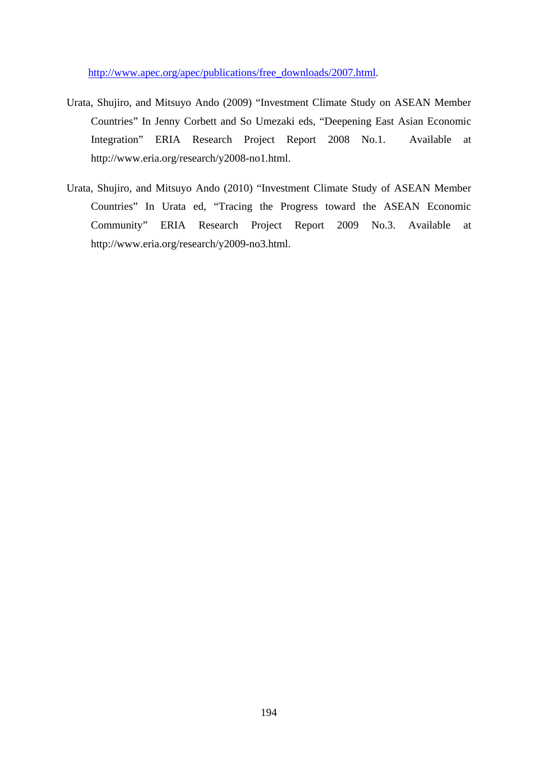http://www.apec.org/apec/publications/free\_downloads/2007.html.

- Urata, Shujiro, and Mitsuyo Ando (2009) "Investment Climate Study on ASEAN Member Countries" In Jenny Corbett and So Umezaki eds, "Deepening East Asian Economic Integration" ERIA Research Project Report 2008 No.1. Available at http://www.eria.org/research/y2008-no1.html.
- Urata, Shujiro, and Mitsuyo Ando (2010) "Investment Climate Study of ASEAN Member Countries" In Urata ed, "Tracing the Progress toward the ASEAN Economic Community" ERIA Research Project Report 2009 No.3. Available at http://www.eria.org/research/y2009-no3.html.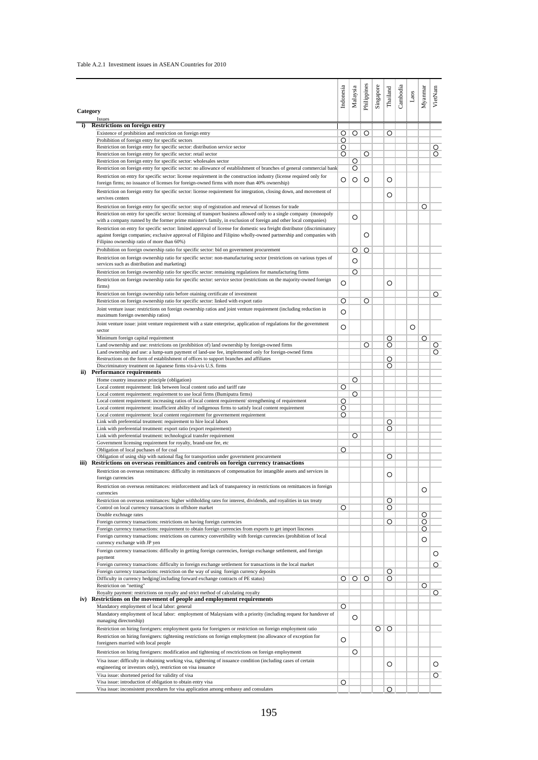#### Table A.2.1 Investment issues in ASEAN Countries for 2010

|          |                                                                                                                                                                                                                                                  | Indonesia | Malaysia | Philippines | Singapore | Thailand | Cambodia | $\operatorname{Laos}$ | Myanmar | VietNam |
|----------|--------------------------------------------------------------------------------------------------------------------------------------------------------------------------------------------------------------------------------------------------|-----------|----------|-------------|-----------|----------|----------|-----------------------|---------|---------|
| Category | Issues                                                                                                                                                                                                                                           |           |          |             |           |          |          |                       |         |         |
|          | <b>Restrictions on foreign entry</b>                                                                                                                                                                                                             |           |          |             |           |          |          |                       |         |         |
|          | Existence of prohibition and restriction on foreign entry                                                                                                                                                                                        | O         | $\circ$  | $\circ$     |           | O        |          |                       |         |         |
|          | Prohibition of foreign entry for specific sectors                                                                                                                                                                                                | O         |          |             |           |          |          |                       |         |         |
|          | Restriction on foreign entry for specific sector: distribution service sector                                                                                                                                                                    | O         |          |             |           |          |          |                       |         | $\circ$ |
|          | Restriction on foreign entry for specific sector: retail sector                                                                                                                                                                                  | O         |          | O           |           |          |          |                       |         | O       |
|          | Restriction on foreign entry for specific sector: wholesales sector<br>Restriction on foreign entry for specific sector: no allowance of establishment of branches of general commercial bank                                                    |           | O<br>O   |             |           |          |          |                       |         |         |
|          |                                                                                                                                                                                                                                                  |           |          |             |           |          |          |                       |         |         |
|          | Restriction on entry for specific sector: license requirement in the construction industry (license required only for<br>foreign firms; no issuance of licenses for foreign-owned firms with more than 40% ownership)                            | O         | $\circ$  | O           |           | O        |          |                       |         |         |
|          | Restriction on foreign entry for specific sector: license requirement for integration, closing down, and movement of                                                                                                                             |           |          |             |           |          |          |                       |         |         |
|          | servives centers                                                                                                                                                                                                                                 |           |          |             |           | O        |          |                       |         |         |
|          | Restriction on foreign entry for specific sector: stop of registration and renewal of licenses for trade                                                                                                                                         |           |          |             |           |          |          |                       | Ο       |         |
|          | Restriction on entry for specific sector: licensing of transport business allowed only to a single company (monopoly                                                                                                                             |           | $\circ$  |             |           |          |          |                       |         |         |
|          | with a company runned by the former prime minister's family, in exclusion of foreign and other local companies)                                                                                                                                  |           |          |             |           |          |          |                       |         |         |
|          | Restriction on entry for specific sector: limited approval of license for domestic sea freight distributor (discriminatory<br>against foreign companies; exclusive approval of Filipino and Filipino wholly-owned partnership and companies with |           |          | O           |           |          |          |                       |         |         |
|          | Filipino ownership ratio of more than 60%)                                                                                                                                                                                                       |           |          |             |           |          |          |                       |         |         |
|          | Prohibition on foreign ownership ratio for specific sector: bid on government procurement                                                                                                                                                        |           | O        | O           |           |          |          |                       |         |         |
|          | Restriction on foreign ownership ratio for specific sector: non-manufacturing sector (restrictions on various types of                                                                                                                           |           | O        |             |           |          |          |                       |         |         |
|          | services such as distribution and marketing)                                                                                                                                                                                                     |           |          |             |           |          |          |                       |         |         |
|          | Restriction on foreign ownership ratio for specific sector: remaining regulations for manufacturing firms                                                                                                                                        |           | O        |             |           |          |          |                       |         |         |
|          | Restriction on foreign ownership ratio for specific sector: service sector (restrictions on the majority-owned foreign                                                                                                                           | O         |          |             |           | O        |          |                       |         |         |
|          | firms)                                                                                                                                                                                                                                           |           |          |             |           |          |          |                       |         |         |
|          | Restriction on foreign ownership ratio before otaining certificate of investment<br>Restriction on foreign ownership ratio for specific sector: linked with export ratio                                                                         | O         |          |             |           |          |          |                       |         | O       |
|          | Joint venture issue: restrictions on foreign ownership ratios and joint venture requirement (including reduction in                                                                                                                              |           |          | O           |           |          |          |                       |         |         |
|          | maximum foreign ownership ratios)                                                                                                                                                                                                                | O         |          |             |           |          |          |                       |         |         |
|          | Joint venture issue: joint venture requirement with a state enterprise, application of regulations for the government<br>sector                                                                                                                  | O         |          |             |           |          |          | O                     |         |         |
|          | Minimum foreign capital requirement                                                                                                                                                                                                              |           |          |             |           | O        |          |                       | O       |         |
|          | Land ownership and use: restrictions on (prohibition of) land ownership by foreign-owned firms                                                                                                                                                   |           |          | O           |           | Ο        |          |                       |         | $\circ$ |
|          | Land ownership and use: a lump-sum payment of land-use fee, implemented only for foreign-owned firms                                                                                                                                             |           |          |             |           |          |          |                       |         | O       |
|          | Restructions on the form of establishment of offices to support branches and affiliates                                                                                                                                                          |           |          |             |           | O        |          |                       |         |         |
|          | Discriminatory treatment on Japanese firms vis-à-vis U.S. firms                                                                                                                                                                                  |           |          |             |           | O        |          |                       |         |         |
|          | ii) Performance requirements                                                                                                                                                                                                                     |           |          |             |           |          |          |                       |         |         |
|          | Home country insurance principle (obligation)                                                                                                                                                                                                    |           | O        |             |           |          |          |                       |         |         |
|          | Local content requirement: link between local content ratio and tariff rate                                                                                                                                                                      | O         |          |             |           |          |          |                       |         |         |
|          | Local content requirement: requirement to use local firms (Bumiputra firms)                                                                                                                                                                      |           | O        |             |           |          |          |                       |         |         |
|          | Local content requirement: increasing ratios of local content requirement/ strengthening of requirement<br>Local content requirement: insufficient ability of indigenous firms to satisfy local content requirement                              | O<br>O    |          |             |           |          |          |                       |         |         |
|          | Local content requirement: local content requirement for governement requirement                                                                                                                                                                 | O         |          |             |           |          |          |                       |         |         |
|          | Link with preferential treatment: requirement to hire local labors                                                                                                                                                                               |           |          |             |           | O        |          |                       |         |         |
|          | Link with preferential treatment: export ratio (export requirement)                                                                                                                                                                              |           |          |             |           | O        |          |                       |         |         |
|          | Link with preferential treatment: technological transfer requirement                                                                                                                                                                             |           | O        |             |           |          |          |                       |         |         |
|          | Government licensing requirement for royalty, brand-use fee, etc                                                                                                                                                                                 |           |          |             |           |          |          |                       |         |         |
|          | Obligation of local puchases of for coal                                                                                                                                                                                                         | O         |          |             |           |          |          |                       |         |         |
|          | Obligation of using ship with national flag for transportion under government procurement<br>iii) Restrictions on overseas remittances and controls on foreign currency transactions                                                             |           |          |             |           | O        |          |                       |         |         |
|          | Restriction on overseas remittances: difficulty in remittances of compensation for intangible assets and services in                                                                                                                             |           |          |             |           |          |          |                       |         |         |
|          | foreign currencies                                                                                                                                                                                                                               |           |          |             |           | Ο        |          |                       |         |         |
|          | Restriction on overseas remittances: reinforcement and lack of transparency in restrictions on remittances in foreign                                                                                                                            |           |          |             |           |          |          |                       |         |         |
|          | currencies                                                                                                                                                                                                                                       |           |          |             |           |          |          |                       | O       |         |
|          | Restriction on overseas remittances: higher withholding rates for interest, dividends, and royalities in tax treaty                                                                                                                              |           |          |             |           | O        |          |                       |         |         |
|          | Control on local currency transactions in offshore market                                                                                                                                                                                        | O         |          |             |           | O        |          |                       |         |         |
|          | Double exchnage rates<br>Foreign currency transactions: restrictions on having foreign currencies                                                                                                                                                |           |          |             |           |          |          |                       | O       |         |
|          | Foreign currency transactions: requirement to obtain foreign currencies from exports to get import linceses                                                                                                                                      |           |          |             |           | O        |          |                       | O<br>Ο  |         |
|          | Foreign currency transactions: restrictions on currency convertibility with foreign currencies (prohibition of local                                                                                                                             |           |          |             |           |          |          |                       |         |         |
|          | currency exchange with JP yen                                                                                                                                                                                                                    |           |          |             |           |          |          |                       | O       |         |
|          | Foreign currency transactions: difficulty in getting foreign currencies, foreign exchange settlement, and foreign                                                                                                                                |           |          |             |           |          |          |                       |         | O       |
|          | payment                                                                                                                                                                                                                                          |           |          |             |           |          |          |                       |         |         |
|          | Foreign currency transactions: difficulty in foreign exchange settlement for transactions in the local market                                                                                                                                    |           |          |             |           |          |          |                       |         | O       |
|          | Foreign currency transactions: restriction on the way of using foreign currency deposits                                                                                                                                                         |           |          |             |           | O<br>O   |          |                       |         |         |
|          | Difficulty in currency hedging(including forward exchange contracts of PE status)<br>Restriction on "netting"                                                                                                                                    | O         | $\circ$  | $\circ$     |           |          |          |                       | Ο       |         |
|          | Royalty payment: restrictions on royalty and strict method of calculating royalty                                                                                                                                                                |           |          |             |           |          |          |                       |         | O       |
|          | iv) Restrictions on the movement of people and employment requirements                                                                                                                                                                           |           |          |             |           |          |          |                       |         |         |
|          | Mandatory employment of local labor: general                                                                                                                                                                                                     | O         |          |             |           |          |          |                       |         |         |
|          | Mandatory employment of local labor: employment of Malaysians with a priority (including request for handover of                                                                                                                                 |           | O        |             |           |          |          |                       |         |         |
|          | managing directorship)                                                                                                                                                                                                                           |           |          |             |           |          |          |                       |         |         |
|          | Restriction on hiring foreigners: employment quota for foreigners or restriction on foreign employment ratio                                                                                                                                     |           |          |             |           | ○∣○      |          |                       |         |         |
|          | Restriction on hiring foreigners: tightening restrictions on foreign employment (no allowance of exception for<br>foreigners married with local people                                                                                           | O         |          |             |           |          |          |                       |         |         |
|          | Restriction on hiring foreigners: modification and tightening of resctrictions on foreign employment                                                                                                                                             |           | O        |             |           |          |          |                       |         |         |
|          | Visa issue: difficulty in obtaining working visa, tightening of issuance condition (including cases of certain                                                                                                                                   |           |          |             |           |          |          |                       |         |         |
|          | engineering or investors only), restriction on visa issuance                                                                                                                                                                                     |           |          |             |           | O        |          |                       |         | O       |
|          | Visa issue: shortened period for validity of visa                                                                                                                                                                                                |           |          |             |           |          |          |                       |         | O       |
|          | Visa issue: introduction of obligation to obtain entry visa                                                                                                                                                                                      | O         |          |             |           |          |          |                       |         |         |
|          | Visa issue: inconsistent procedures for visa application among embassy and consulates                                                                                                                                                            |           |          |             |           | O        |          |                       |         |         |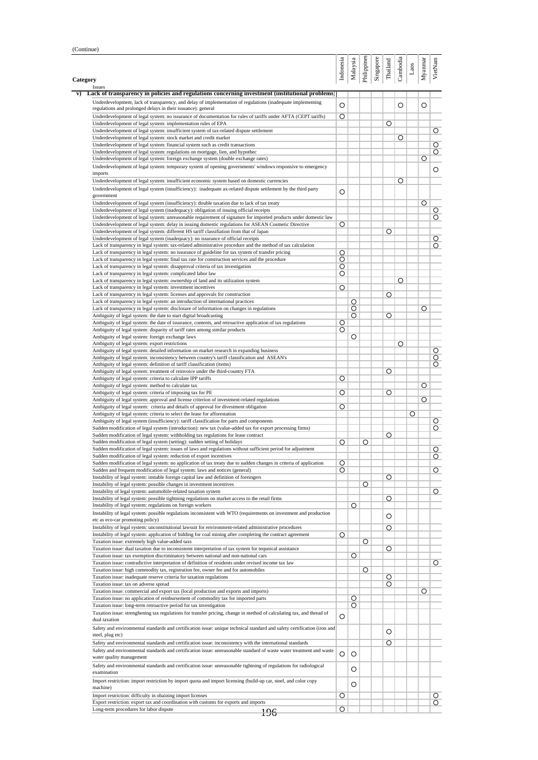| Category                                                                                                                                                                                  | Indonesia | Malaysia | Philippines | Singapore | Thailand | Cambodia | Laos    | Myannar |
|-------------------------------------------------------------------------------------------------------------------------------------------------------------------------------------------|-----------|----------|-------------|-----------|----------|----------|---------|---------|
| Issues<br>Lack of transparency in policies and regulations concerning investment (institutional problems)                                                                                 |           |          |             |           |          |          |         |         |
| Underdevelopment, lack of transparency, and delay of implementation of regulations (inadequate implementing                                                                               |           |          |             |           |          |          |         |         |
| regulations and prolonged delays in their issuance): general                                                                                                                              | O         |          |             |           |          | O        |         | O       |
| Underdevelopment of legal system: no issurance of documentation for rules of tariffs under AFTA (CEPT tariffs)                                                                            | O         |          |             |           |          |          |         |         |
| Underdevelopment of legal system: implementation rules of EPA                                                                                                                             |           |          |             |           | O        |          |         |         |
| Underdevelopment of legal system: insufficient system of tax-related dispute settlement                                                                                                   |           |          |             |           |          |          |         |         |
| Underdevelopment of legal system: stock market and credit market                                                                                                                          |           |          |             |           |          | O        |         |         |
| Underdevelopment of legal system: financial system such as credit transactions                                                                                                            |           |          |             |           |          |          |         |         |
| Underdevelopment of legal system: regulations on mortgage, lien, and hypothec<br>Underdevelopment of legal system: foreign exchange system (double exchange rates)                        |           |          |             |           |          |          |         | O       |
| Underdevelopment of legal system: temporary system of opening governments' windows responsive to emergency                                                                                |           |          |             |           |          |          |         |         |
| imports                                                                                                                                                                                   |           |          |             |           |          |          |         |         |
| Underdevelopment of legal system: insufficient economic system based on domestic currencies                                                                                               |           |          |             |           |          | O        |         |         |
| Underdevelopment of legal system (insufficiency): inadequate ax-related dispute settlement by the third party                                                                             |           |          |             |           |          |          |         |         |
| government                                                                                                                                                                                | O         |          |             |           |          |          |         |         |
| Underdevelopment of legal system (insufficiency): double taxation due to lack of tax treaty                                                                                               |           |          |             |           |          |          |         | O       |
| Underdevelopment of legal system (inadequacy): obligation of issuing official receipts                                                                                                    |           |          |             |           |          |          |         |         |
| Underdevelopment of legal system: unreasonable requirement of signature for imported products under domestic law                                                                          |           |          |             |           |          |          |         |         |
| Underdevelopment of legal system: delay in issuing domestic regulations for ASEAN Cosmetic Directive                                                                                      | O         |          |             |           |          |          |         |         |
| Underdevelopment of legal system: different HS tariff classifiation from that of Japan                                                                                                    |           |          |             |           | O        |          |         |         |
| Underdevelopment of legal system (inadequacy): no issurance of official receipts                                                                                                          |           |          |             |           |          |          |         |         |
| Lack of transparency in legal system: tax-related administrative procedure and the method of tax calculation                                                                              |           |          |             |           |          |          |         |         |
| Lack of transparency in legal system: no issurance of guideline for tax system of transfer pricing                                                                                        | O         |          |             |           |          |          |         |         |
| Lack of transparency in legal system: final tax rate for construction services and the procedure                                                                                          | O         |          |             |           |          |          |         |         |
| Lack of transparency in legal system: disapproval criteria of tax investigation                                                                                                           | O         |          |             |           |          |          |         |         |
| Lack of transparency in legal system: complicated labor law                                                                                                                               | O         |          |             |           |          |          |         |         |
| Lack of transparency in legal system: ownership of land and its utilization system                                                                                                        |           |          |             |           |          | O        |         |         |
| Lack of transparency in legal system: investment incentives                                                                                                                               | O         |          |             |           |          |          |         |         |
| Lack of transparency in legal system: licenses and approvals for construction                                                                                                             |           |          |             |           | O        |          |         |         |
| Lack of transparency in legal system: an introduction of international practices                                                                                                          |           | O        |             |           |          |          |         |         |
| Lack of transparency in legal system: disclosure of information on changes in regulations                                                                                                 |           | O        |             |           |          |          |         | O       |
| Ambiguity of legal system: the date to start digital broadcasting                                                                                                                         |           | O        |             |           | O        |          |         |         |
| Ambiguity of legal system: the date of issurance, contents, and retroactive application of tax regulations                                                                                | O         |          |             |           |          |          |         |         |
| Ambiguity of legal system: disparity of tariff rates among similar products<br>Ambiguity of legal system: foreign exchange laws                                                           | O         | O        |             |           |          |          |         |         |
| Ambiguity of legal system: export restrictions                                                                                                                                            |           |          |             |           |          | O        |         |         |
| Ambiguity of legal system: detailed information on market research in expanding business                                                                                                  |           |          |             |           |          |          |         |         |
| Ambiguity of legal system: inconsistency between country's tariff classification and ASEAN's                                                                                              |           |          |             |           |          |          |         |         |
| Ambiguity of legal system: definition of tariff classification (items)                                                                                                                    |           |          |             |           |          |          |         |         |
| Ambiguity of legal system: treatment of reinvoice under the third-country FTA                                                                                                             |           |          |             |           | O        |          |         |         |
| Ambiguity of legal system: criteria to calculate IPP tariffs                                                                                                                              | O         |          |             |           |          |          |         |         |
| Ambiguity of legal system: method to calculate tax                                                                                                                                        |           |          |             |           |          |          |         | O       |
| Ambiguity of legal system: criteria of imposing tax for PE                                                                                                                                | O         |          |             |           | Ο        |          |         |         |
| Ambiguity of legal system: approval and license criterion of investment-related regulations                                                                                               |           |          |             |           |          |          |         | O       |
| Ambiguity of legal system: criteria and details of approval for divestment obligation                                                                                                     | O         |          |             |           |          |          |         |         |
| Ambiguity of legal system: criteria to select the lease for afforestation                                                                                                                 |           |          |             |           |          |          | $\circ$ |         |
| Ambiguity of legal system (insufficiency): tariff classification for parts and components                                                                                                 |           |          |             |           |          |          |         |         |
| Sudden modification of legal system (introduction): new tax (value-added tax for export processing firms)                                                                                 |           |          |             |           |          |          |         |         |
| Sudden modification of legal system: withholding tax regulations for lease contract                                                                                                       |           |          |             |           | O        |          |         |         |
| Sudden modification of legal system (setting): sudden setting of holidays                                                                                                                 | O         |          | O           |           |          |          |         |         |
| Sudden modification of legal system: issues of laws and regulations without sufficient period for adjustment                                                                              |           |          |             |           |          |          |         |         |
| Sudden modification of legal system: reduction of export incentives<br>Sudden modification of legal system: no application of tax treaty due to sudden changes in criteria of application |           |          |             |           |          |          |         |         |
| Sudden and frequent modification of legal system: laws and notices (general)                                                                                                              | O         |          |             |           |          |          |         |         |
| Instability of legal system: instable foreign capital law and definition of foreingers                                                                                                    | O         |          |             |           | Ο        |          |         |         |
| Instability of legal system: possible changes in investment incentives                                                                                                                    |           |          | O           |           |          |          |         |         |
| Instability of legal system: automobile-related taxation system                                                                                                                           |           |          |             |           |          |          |         |         |
| Instability of legal system: possible tightning regulations on market access to the retail firms                                                                                          |           |          |             |           | O        |          |         |         |
| Instability of legal system: regulations on foreign workers                                                                                                                               |           | O        |             |           |          |          |         |         |
| Instability of legal system: possible regulations inconsistent with WTO (requirements on investment and production                                                                        |           |          |             |           |          |          |         |         |
| etc as eco-car promoting policy)                                                                                                                                                          |           |          |             |           | O        |          |         |         |
| Instability of legal system: unconstitutional lawsuit for environment-related administrative procedures                                                                                   |           |          |             |           | O        |          |         |         |
| Instability of legal system: application of bidding for coal mining after completing the contract agreement                                                                               | O         |          |             |           |          |          |         |         |
| Taxation issue: extremely high value-added taxs                                                                                                                                           |           |          | O           |           |          |          |         |         |
| Taxation issue: dual taxation due to inconsistemt interpretation of tax system for tequnical assistance                                                                                   |           |          |             |           | Ο        |          |         |         |
| Taxation issue: tax exemption discriminatory between national and non-national cars                                                                                                       |           | O        |             |           |          |          |         |         |
| Taxation issue: contradictive interpretation of definition of residents under revised income tax law                                                                                      |           |          |             |           |          |          |         |         |
| Taxation issue: high commodity tax, registration fee, owner fee and for automobiles                                                                                                       |           |          | O           |           |          |          |         |         |
| Taxation issue: inadequate reserve criteria for taxation regulations                                                                                                                      |           |          |             |           | O        |          |         |         |
| Taxation issue: tax on adverse spread                                                                                                                                                     |           |          |             |           | O        |          |         |         |
| Taxation issue: commercial and export tax (local production and exports and imports)                                                                                                      |           |          |             |           |          |          |         | O       |
| Taxation issue: no application of reinbursement of commodity tax for imported parts                                                                                                       |           | O        |             |           |          |          |         |         |
|                                                                                                                                                                                           |           | O        |             |           |          |          |         |         |
| Taxation issue: long-term retroactive period for tax investigation                                                                                                                        | O         |          |             |           |          |          |         |         |
| Taxation issue: strenghening tax regulations for transfer pricing, change in method of calculating tax, and thread of                                                                     |           |          |             |           |          |          |         |         |
| dual taxation                                                                                                                                                                             |           |          |             |           |          |          |         |         |
| Safety and environmental standards and certification issue: unique technical standard and safety certification (iron and                                                                  |           |          |             |           | O        |          |         |         |
| steel, plug etc)                                                                                                                                                                          |           |          |             |           | O        |          |         |         |
| Safety and environmental standards and certification issue: inconsistency with the international standards                                                                                |           |          |             |           |          |          |         |         |
| Safety and environmental standards and certification issue: unreasonable standard of waste water treatment and waste                                                                      |           |          |             |           |          |          |         |         |
| water quality management                                                                                                                                                                  | O         | O        |             |           |          |          |         |         |
| Safety and environmental standards and certification issue: unreasonable tightning of regulations for radiological                                                                        |           |          |             |           |          |          |         |         |
| examination                                                                                                                                                                               |           | O        |             |           |          |          |         |         |
|                                                                                                                                                                                           |           |          |             |           |          |          |         |         |
| Import restriction: import restriction by import quota and import licensing (build-up car, steel, and color copy<br>machine)                                                              |           | O        |             |           |          |          |         |         |
| Import restriction: difficulty in obaining import licenses                                                                                                                                | O         |          |             |           |          |          |         |         |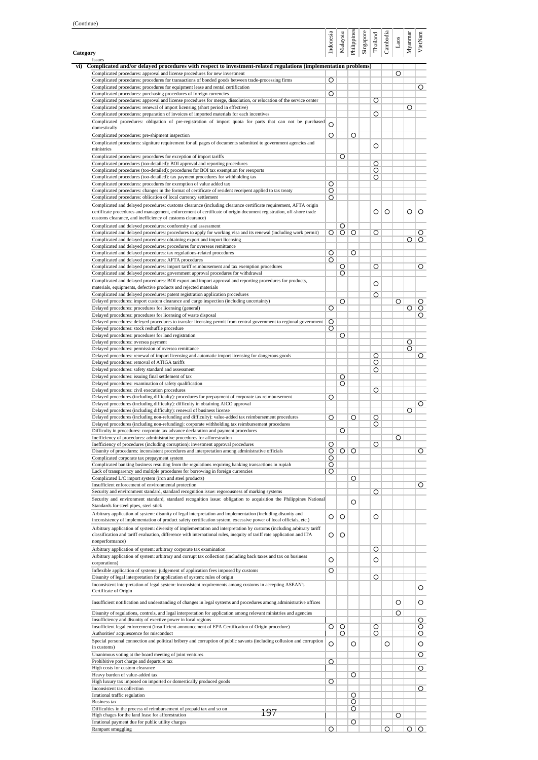|                                                                                                                                                                                                                                                  | Indonesia    | Malaysia        | Philippines | Singapore | Thailand     | Cambodia | $_{\rm Laos}$ | Myanmar | VietNam         |
|--------------------------------------------------------------------------------------------------------------------------------------------------------------------------------------------------------------------------------------------------|--------------|-----------------|-------------|-----------|--------------|----------|---------------|---------|-----------------|
| Category<br>Issues                                                                                                                                                                                                                               |              |                 |             |           |              |          |               |         |                 |
| Complicated and/or delayed procedures with respect to investment-related regulations (implementation problems)<br>Complicated procedures: approval and license procedures for new investment                                                     |              |                 |             |           |              |          | O             |         |                 |
| Complicated procedures: procedures for transactions of bonded goods between trade-processing firms                                                                                                                                               | O            |                 |             |           |              |          |               |         |                 |
| Complicated procedures: procedures for equipment lease and rental certification<br>Complicated procedures: purchasing procedures of foreign currencies                                                                                           | O            |                 |             |           |              |          |               |         | O               |
| Complicated procedures: approval and license procedures for merge, dissolution, or relocation of the service center                                                                                                                              |              |                 |             |           | O            |          |               |         |                 |
| Complicated procedures: renewal of import licensing (short period in effective)<br>Complicated procedures: preparation of invoices of imported materials for each incentives                                                                     |              |                 |             |           | O            |          |               | Ο       |                 |
| Complicated procedures: obligation of pre-registration of import quota for parts that can not be purchased                                                                                                                                       | O            |                 |             |           |              |          |               |         |                 |
| domestically                                                                                                                                                                                                                                     |              |                 |             |           |              |          |               |         |                 |
| Complicated procedures: pre-shipment inspection<br>Complicated procedures: signiture requirement for all pages of documents submitted to government agencies and                                                                                 | O            |                 | O           |           |              |          |               |         |                 |
| ministries                                                                                                                                                                                                                                       |              |                 |             |           | O            |          |               |         |                 |
| Complicated procedures: procedures for exception of import tariffs<br>Complicated procedures (too-detailed): BOI approval and reporting procedures                                                                                               |              | O               |             |           | Ο            |          |               |         |                 |
| Complicated procedures (too-detailed): procedures for BOI tax exemption for reexports                                                                                                                                                            |              |                 |             |           | O            |          |               |         |                 |
| Complicated procedures (too-detailed): tax payment procedures for withholding tax                                                                                                                                                                |              |                 |             |           | O            |          |               |         |                 |
| Complicated procedures: procedures for exemption of value added tax<br>Complicated procedures: changes in the format of certificate of resident receipent applied to tax treaty                                                                  | O<br>O       |                 |             |           |              |          |               |         |                 |
| Complicated procedures: oblication of local currency settlement                                                                                                                                                                                  | O            |                 |             |           |              |          |               |         |                 |
| Complicated and delayed procedures: customs clearance (including clearance certificate requirement, AFTA origin<br>certificate procedures and management, enforcement of certificate of origin document registration, off-shore trade            |              |                 |             |           | O            | O        |               | O       | O               |
| customs clearance, and inefficiency of customs clearance)                                                                                                                                                                                        |              |                 |             |           |              |          |               |         |                 |
| Complicated and deleyed procedures: conformity and assessment                                                                                                                                                                                    |              | O               |             |           |              |          |               |         |                 |
| Complicated and delayed procedures: procedures to apply for working visa and its renewal (including work permit)                                                                                                                                 | O            | $\circ$         | O           |           | O            |          |               | O       | <u>O</u>        |
| Complicated and delayed procedures: obtaining export and import licensing<br>Complicated and delayed procedures: procedures for overseas remittance                                                                                              |              |                 |             |           |              |          |               |         | O               |
| Complicated and delayed procedures: tax regulations-related procedures                                                                                                                                                                           | O            |                 | O           |           |              |          |               |         |                 |
| Complicated and delayed procedures: AFTA procedures<br>Complicated and delayed procedures: import tariff reimbursement and tax exemption procedures                                                                                              | O            | O               |             |           | $\circ$      |          |               |         | $\circ$         |
| Complicated and delayed procedures: government approval procedures for withdrawal                                                                                                                                                                |              | O               |             |           |              |          |               |         |                 |
| Complicated and delayed procedures: BOI export and import approval and reporting procedures for products,                                                                                                                                        |              |                 |             |           | O            |          |               |         |                 |
| materials, equipments, defective products and rejected materials<br>Complicated and delayed procedures: patent registration application procedures                                                                                               |              |                 |             |           | O            |          |               |         |                 |
| Delayed procedures: import custom clearance and cargo inspection (including uncertainty)                                                                                                                                                         |              | O               |             |           |              |          | O             |         | $\circ$         |
| Delayed procedures: procedures for licensing (general)                                                                                                                                                                                           | O            |                 |             |           |              |          |               | O       | $\circ$         |
| Delayed procedures: procedures for licensing of waste disposal<br>Delayed procedures: deleyed procedures to transfer licensing permit from central government to regional government                                                             | O            |                 |             |           |              |          |               |         | 0               |
| Deleyed procedures: stock reshuffle procedure                                                                                                                                                                                                    | Ο            |                 |             |           |              |          |               |         |                 |
| Delayed procedures: procedures for land registration                                                                                                                                                                                             |              | O               |             |           |              |          |               |         |                 |
| Delayed procedures: oversea payment<br>Delayed procedures: permission of oversea remittance                                                                                                                                                      |              |                 |             |           |              |          |               | O<br>O  |                 |
| Delayed procedures: renewal of import licensing and automatic import licensing for dangerous goods                                                                                                                                               |              |                 |             |           | Ο            |          |               |         | O               |
| Delayed procedures: removal of ATIGA tariffs                                                                                                                                                                                                     |              |                 |             |           | O            |          |               |         |                 |
| Delayed procedures: safety standard and assessment<br>Delayed procedures: issuing final settlement of tax                                                                                                                                        |              | O               |             |           | O            |          |               |         |                 |
| Delayed procedures: examination of safety qualification                                                                                                                                                                                          |              | O               |             |           |              |          |               |         |                 |
| Delayed procedures: civil execution procedures<br>Delayed procedures (including difficulty): procedures for prepayment of corporate tax reimbursement                                                                                            | O            |                 |             |           | O            |          |               |         |                 |
| Delayed procedures (including difficulty): difficulty in obtaining AICO approval                                                                                                                                                                 |              |                 |             |           |              |          |               |         | $\circ$         |
| Delayed procedures (including difficulty): renewal of business license                                                                                                                                                                           |              |                 |             |           |              |          |               | Ο       |                 |
| Delayed procedures (including non-refunding and difficulty): value-added tax reimbursement procedures<br>Delayed procedures (including non-refunding): corporate withholding tax reimbursement procedures                                        | O            |                 | O           |           | $\circ$<br>O |          |               |         |                 |
| Difficulty in procedures: corporate tax advance declaration and payment procedures                                                                                                                                                               |              | O               |             |           |              |          |               |         |                 |
| Inefficiency of procedures: administrative procedures for afforestration                                                                                                                                                                         |              |                 |             |           |              |          | O             |         |                 |
| Inefficiency of procedures (including corruption): investment approval procedures<br>Disunity of procedures: inconsistent procedures and interpretation among administrative officials                                                           | O<br>$\circ$ | $\circ$         | $\circ$     |           | O            |          |               |         | $\circ$         |
| Complicated corporate tax prepayment system                                                                                                                                                                                                      | O            |                 |             |           |              |          |               |         |                 |
| Complicated banking business resulting from the regulations requiring banking transactions in rupiah<br>Lack of transparency and multiple procedures for borrowing in foreign currencies                                                         | O<br>O       |                 |             |           |              |          |               |         |                 |
| Complicated L/C import system (iron and steel products)                                                                                                                                                                                          |              |                 | O           |           |              |          |               |         |                 |
| Insufficient enforcement of environmental protection                                                                                                                                                                                             |              |                 |             |           |              |          |               |         | O               |
| Security and environment standard, standard recognition issue: regorousness of marking systems<br>Security and environment standard, standard recognition issue: obligation to acquisition the Philippines National                              |              |                 |             |           | O            |          |               |         |                 |
| Standards for steel pipes, steel stick                                                                                                                                                                                                           |              |                 | O           |           |              |          |               |         |                 |
| Arbitrary application of system: disunity of legal interpretation and implementation (including disunity and                                                                                                                                     | O            | O               |             |           | O            |          |               |         |                 |
| inconsistency of implementation of product safety certification system, excessive power of local officials, etc.)                                                                                                                                |              |                 |             |           |              |          |               |         |                 |
| Arbitrary application of system: diversity of implementation and interpretation by customs (including arbitrary tariff<br>classification and tariff evaluation, difference with international rules, inequity of tariff rate application and ITA | O            | O               |             |           |              |          |               |         |                 |
| nonperformance)                                                                                                                                                                                                                                  |              |                 |             |           |              |          |               |         |                 |
| Arbitrary application of system: arbitrary corporate tax examination                                                                                                                                                                             |              |                 |             |           | O            |          |               |         |                 |
| Arbitrary application of system: arbitrary and corrupt tax collection (including back taxes and tax on business<br>corporations)                                                                                                                 | O            |                 |             |           | O            |          |               |         |                 |
| Inflexible application of systems: judgement of application fees imposed by customs                                                                                                                                                              | $\circ$      |                 |             |           |              |          |               |         |                 |
| Disunity of legal interpretation for application of system: rules of origin                                                                                                                                                                      |              |                 |             |           | O            |          |               |         |                 |
| Inconsistent interpretation of legal system: inconsistent requirements among customs in accepting ASEAN's<br>Certificate of Origin                                                                                                               |              |                 |             |           |              |          |               |         | O               |
| Insufficient notification and understanding of changes in legal systems and procedures among administrative offices                                                                                                                              |              |                 |             |           |              |          | O             |         | O               |
|                                                                                                                                                                                                                                                  |              |                 |             |           |              |          |               |         |                 |
| Disunity of regulations, controls, and legal interpretation for application among relevant ministries and agencies<br>Insufficiency and disunity of exective power in local regions                                                              |              |                 |             |           |              |          | O             |         | 0               |
| Insufficient legal enforcement (insufficient announcement of EPA Certification of Origin procedure)                                                                                                                                              |              | $\circ$ $\circ$ |             |           | O            |          |               |         | $\circ$         |
| Authorities' acquiescence for misconduct                                                                                                                                                                                                         |              | O               |             |           | O            |          |               |         | $\circ$         |
| Special personal connection and political bribery and corruption of public savants (including collusion and corruption<br>in customs)                                                                                                            | O            |                 | O           |           |              | O        |               |         | O               |
| Unanimous voting at the board meeting of joint ventures                                                                                                                                                                                          |              |                 |             |           |              |          |               |         | 0               |
| Prohibitive port charge and departure tax                                                                                                                                                                                                        | O            |                 |             |           |              |          |               |         |                 |
| High costs for custom clearance<br>Heavy burden of value-added tax                                                                                                                                                                               |              |                 | O           |           |              |          |               |         | O               |
| High luxury tax imposed on imported or domestically produced goods                                                                                                                                                                               | O            |                 |             |           |              |          |               |         |                 |
| Inconsistent tax collection                                                                                                                                                                                                                      |              |                 |             |           |              |          |               |         | O               |
| Irrational traffic regulation<br>Business tax                                                                                                                                                                                                    |              |                 | O<br>O      |           |              |          |               |         |                 |
| Difficulties in the process of reimbursement of prepaid tax and so on<br>197                                                                                                                                                                     |              |                 | O           |           |              |          |               |         |                 |
| High chages for the land lease for afforestration<br>Irrational payment due for public utility charges                                                                                                                                           |              |                 | O           |           |              |          | O             |         |                 |
| Rampant smuggling                                                                                                                                                                                                                                | O            |                 |             |           |              | O        |               |         | $\circ$ $\circ$ |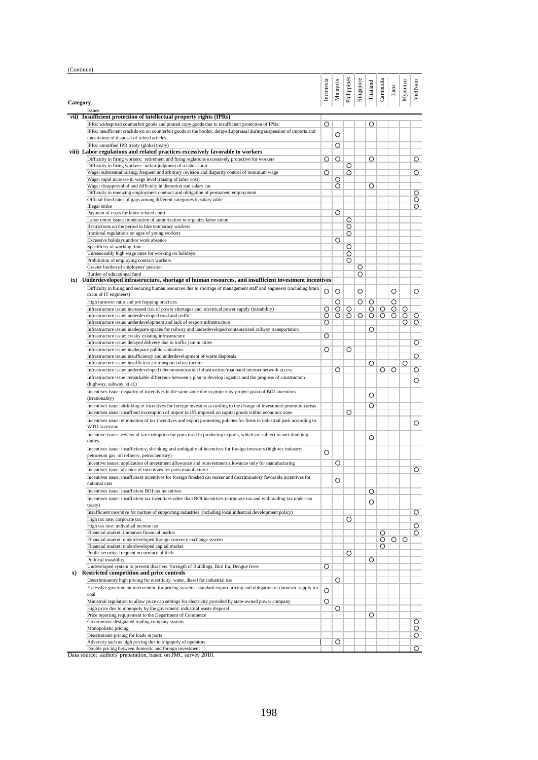(Continue)

|          |                                                                                                                                                                 | Indonesia | Malaysia           | Philippines        | Singapore | Thailand           | Cambodia           | Laos    | Myannar                   | VietNam            |
|----------|-----------------------------------------------------------------------------------------------------------------------------------------------------------------|-----------|--------------------|--------------------|-----------|--------------------|--------------------|---------|---------------------------|--------------------|
|          |                                                                                                                                                                 |           |                    |                    |           |                    |                    |         |                           |                    |
| Category |                                                                                                                                                                 |           |                    |                    |           |                    |                    |         |                           |                    |
|          | Issues<br>vii) Insufficient protection of intellectual property rights (IPRs)                                                                                   |           |                    |                    |           |                    |                    |         |                           |                    |
|          | IPRs: widespread counterfeit goods and pirated copy goods due to insufficient protection of IPRs                                                                | Ο         |                    |                    |           | O                  |                    |         |                           |                    |
|          | IPRs: insufficient crackdown on counterfeit goods at the border, delayed appraisal during suspension of imports and                                             |           | O                  |                    |           |                    |                    |         |                           |                    |
|          | uncertainty of disposal of seized articles                                                                                                                      |           |                    |                    |           |                    |                    |         |                           |                    |
|          | IPRs: unratified IPR treaty (global treaty)<br>viii) Labor regulations and related practices excessively favorable to workers                                   |           | O                  |                    |           |                    |                    |         |                           |                    |
|          | Difficulty in firing workers: retirement and firing reglations excessively protective for workers                                                               | O         | $\circ$            |                    |           | Ο                  |                    |         |                           | O                  |
|          | Difficulty in firing workers: unfair judgment of a labor court                                                                                                  |           |                    | O                  |           |                    |                    |         |                           |                    |
|          | Wage: substantial raising, frequent and arbitrary revision and disparity control of minimum wage                                                                | O         |                    | O                  |           |                    |                    |         |                           | O                  |
|          | Wage: rapid increase in wage level (raising of labor cost)<br>Wage: disapproval of and difficulty in demotion and salary cut                                    |           | O<br>$\circ$       |                    |           | O                  |                    |         |                           |                    |
|          | Difficulty in renewing employment contract and obligation of permanent employment                                                                               |           |                    |                    |           |                    |                    |         |                           | 0                  |
|          | Official fixed rates of gaps among different categories in salary table                                                                                         |           |                    |                    |           |                    |                    |         |                           | $\circ$            |
|          | Illegal strike                                                                                                                                                  |           |                    |                    |           |                    |                    |         |                           | 0                  |
|          | Payment of costs for labor-related court                                                                                                                        |           | $\circ$            |                    |           |                    |                    |         |                           |                    |
|          | Labor union issues: moderation of authorization to organize labor union<br>Restrictions on the period to hire temporary workers                                 |           |                    | O<br>O             |           |                    |                    |         |                           |                    |
|          | Irrational regulations on ages of young workers                                                                                                                 |           |                    | O                  |           |                    |                    |         |                           |                    |
|          | Excessive holidays and/or work absence                                                                                                                          |           | O                  |                    |           |                    |                    |         |                           |                    |
|          | Specificity of working time                                                                                                                                     |           |                    | O                  |           |                    |                    |         |                           |                    |
|          | Unreasonably high wage rates for working on holidays                                                                                                            |           |                    | O                  |           |                    |                    |         |                           |                    |
|          | Prohibition of employing contract workers<br>Greater burden of employees' pension                                                                               |           |                    | Ο                  | O         |                    |                    |         |                           |                    |
|          | Burden of educational fund                                                                                                                                      |           |                    |                    | O         |                    |                    |         |                           |                    |
|          | ix) Underdeveloped infrastructure, shortage of human resources, and insufficient investment incentives                                                          |           |                    |                    |           |                    |                    |         |                           |                    |
|          | Difficulty in hiring and securing human resources due to shortage of management staff and engineers (including brain                                            | O         | O                  |                    | O         |                    |                    | O       |                           | O                  |
|          | drain of IT engineers)                                                                                                                                          |           |                    |                    |           |                    |                    |         |                           |                    |
|          | High turnover ratio and job hopping practices<br>Infrastructure issue: increased risk of power shortages and electrical power supply (instability)              |           | $\circ$            |                    | O         | O                  |                    | O       |                           |                    |
|          | Infrastructure issue: underdeveloped road and traffic                                                                                                           | 0<br>O    | $\circ$<br>$\circ$ | $\circ$<br>$\circ$ | $\circ$   | $\circ$<br>$\circ$ | $\circ$<br>$\circ$ | $\circ$ | $\circ$<br>O <sub>1</sub> | $\circ$            |
|          | Infrastructure issue: underdevelopment and lack of seaport infrastructure                                                                                       | O         |                    |                    |           |                    |                    |         | O                         | O                  |
|          | Infrastructure issue: inadequate spaces for railway and underdeveloped containerized railway transportation                                                     |           |                    |                    |           | O                  |                    |         |                           |                    |
|          | Infrastructure issue: creaky existing infrastructure                                                                                                            | O         |                    |                    |           |                    |                    |         |                           |                    |
|          | Infrastructure issue: delayed delivery due to traffic jam in cities<br>Infrastructure issue: inadequate public sanitation                                       | O         |                    | O                  |           |                    |                    |         |                           | O                  |
|          | Infrastructure issue: insufficiency and underdevelopment of waste disposals                                                                                     |           |                    |                    |           |                    |                    |         |                           | O                  |
|          | Infrastructure issue: insufficient air transport infrastructure                                                                                                 |           |                    |                    |           | O                  |                    |         | $\circ$                   |                    |
|          | Infrastructure issue: underdeveloped telecommunication infrastructure/roadband internet network access                                                          |           | Ο                  |                    |           |                    | ΟI                 | O       |                           | O                  |
|          | Infrastructure issue: remarkable difference between a plan to develop logistics and the progress of construction<br>(highway, subway, et al.)                   |           |                    |                    |           |                    |                    |         |                           | O                  |
|          | Incentives issue: disparity of incentives in the same zone due to project-by-project grant of BOI incentives                                                    |           |                    |                    |           | O                  |                    |         |                           |                    |
|          | (irrationality)<br>Incentives issue: shrinking of incentives for foreign investors according to the change of investment promotion areas                        |           |                    |                    |           | O                  |                    |         |                           |                    |
|          | Incentives issue: insuffient excemption of import tariffs imposed on capital goods within economic zone                                                         |           |                    | Ο                  |           |                    |                    |         |                           |                    |
|          | Incentives issue: elimination of tax incentives and export promoting policies for firms in industrial park according to                                         |           |                    |                    |           |                    |                    |         |                           |                    |
|          | WTO accession                                                                                                                                                   |           |                    |                    |           |                    |                    |         |                           | O                  |
|          | Incentive issues: review of tax exemption for parts used in producing exports, which are subject to anti-dumping<br>duties                                      |           |                    |                    |           | O                  |                    |         |                           |                    |
|          | Incentives issue: insufficiency, shrinking and ambiguity of incentives for foreign investors (high-tec industry;<br>petroreum gas, oil refinery, petrochemstry) | O         |                    |                    |           |                    |                    |         |                           |                    |
|          | Incentive issues: application of investment allowance and reinvestment allowance only for manufacturing                                                         |           | O                  |                    |           |                    |                    |         |                           |                    |
|          | Incentives issue: absence of incentives for parts manufacturer                                                                                                  |           |                    |                    |           |                    |                    |         |                           | O                  |
|          | Incentives issue: insufficient incentives for foreign finished car maker and discriminatory favorable incentives for<br>national cars                           |           | O                  |                    |           |                    |                    |         |                           |                    |
|          | Incentives issue: insufficient BOI tax incentives                                                                                                               |           |                    |                    |           | O                  |                    |         |                           |                    |
|          | Incentives issue: insufficient tax incentives other than BOI incentives (corporate tax and withholding tax under tax                                            |           |                    |                    |           |                    |                    |         |                           |                    |
|          | treaty)                                                                                                                                                         |           |                    |                    |           | O                  |                    |         |                           |                    |
|          | Insufficient incentive for nurture of supporting industries (including local industrial development policy)                                                     |           |                    |                    |           |                    |                    |         |                           | $\circ$            |
|          | High tax rate: corporate tax                                                                                                                                    |           |                    | O                  |           |                    |                    |         |                           |                    |
|          | High tax rate: individual income tax<br>Financial market: immature financial market                                                                             |           |                    |                    |           |                    | O                  |         |                           | $\circ$<br>$\circ$ |
|          | Financial market: underdeveloped foreign currency exchange system                                                                                               |           |                    |                    |           |                    | O                  | $\circ$ | $\circ$                   |                    |
|          | Financial market: underdeveloped capital market                                                                                                                 |           |                    |                    |           |                    | O                  |         |                           |                    |
|          | Public security: frequent occurrence of theft                                                                                                                   |           |                    | O                  |           |                    |                    |         |                           |                    |
|          | Political instability                                                                                                                                           |           |                    |                    |           | O                  |                    |         |                           |                    |
|          | Undeveloped system to prevent disasters: Strength of Buildings, Bird flu, Dengue fever<br>x) Restricted competition and price controls                          | O         |                    |                    |           |                    |                    |         |                           |                    |
|          | Descriminatory high pricing for electricity, water, diesel for industrial use                                                                                   |           | O                  |                    |           |                    |                    |         |                           |                    |
|          | Excessive government intervention for pricing systems: standard export pricing and obligation of domestic supply for                                            |           |                    |                    |           |                    |                    |         |                           |                    |
|          | coal                                                                                                                                                            | O         |                    |                    |           |                    |                    |         |                           |                    |
|          | Ministrial regulation to allow price cap settings for electricity provided by state-owned power company                                                         | O         |                    |                    |           |                    |                    |         |                           |                    |
|          | High price due to monopoly by the government: industrial waste disposal                                                                                         |           | $\circ$            |                    |           |                    |                    |         |                           |                    |
|          | Price reporting requirement to the Department of Commerce<br>Government-designated trading company system                                                       |           |                    |                    |           | O                  |                    |         |                           | O                  |
|          | Monopolistic pricing                                                                                                                                            |           |                    |                    |           |                    |                    |         |                           | $\circ$            |
|          | Discriminate pricing for loads at ports                                                                                                                         |           |                    |                    |           |                    |                    |         |                           | $\circ$            |
|          | Adversity such as high pricing due to oligopoly of operators                                                                                                    |           | O                  |                    |           |                    |                    |         |                           |                    |
|          | Double pricing between domestic and foreign investment                                                                                                          |           |                    |                    |           |                    |                    |         |                           | $\circ$            |

Data source: authors' preparation, based on JMC survey 2010.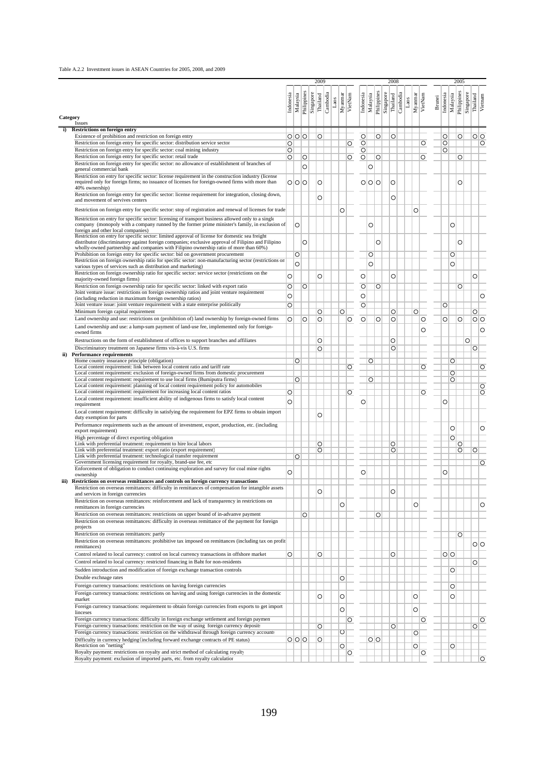#### Table A.2.2 Investment issues in ASEAN Countries for 2005, 2008, and 2009

|          |                                                                                                                                                                                                        |                    |          |             |           | 2009                 |      |                    |                    |                      |          |                    |           | 2008                 |      |         |         |               |                       | 2005        |           |                     |
|----------|--------------------------------------------------------------------------------------------------------------------------------------------------------------------------------------------------------|--------------------|----------|-------------|-----------|----------------------|------|--------------------|--------------------|----------------------|----------|--------------------|-----------|----------------------|------|---------|---------|---------------|-----------------------|-------------|-----------|---------------------|
|          |                                                                                                                                                                                                        | Indonesia          | Malaysia | Philippines | Singapore | Cambodia<br>Thailand | Laos | Myanmar<br>VietNam |                    | Indonesia            | Malaysia | Philippines        | Singapore | Cambodia<br>Thailand | Laos | Myanmar | VietNam | <b>Brunei</b> | Indonesia<br>Malaysia | Philippines | Singapore | Thailand<br>Vietnam |
| Category |                                                                                                                                                                                                        |                    |          |             |           |                      |      |                    |                    |                      |          |                    |           |                      |      |         |         |               |                       |             |           |                     |
| i)       | Issues<br><b>Restrictions on foreign entry</b>                                                                                                                                                         |                    |          |             |           |                      |      |                    |                    |                      |          |                    |           |                      |      |         |         |               |                       |             |           |                     |
|          | Existence of prohibition and restriction on foreign entry                                                                                                                                              |                    | 0 0 0    |             |           | O                    |      |                    |                    | $\circ$              |          | $\overline{\circ}$ |           | O                    |      |         |         |               | O                     | $\circ$     |           | $\overline{\circ}$  |
|          | Restriction on foreign entry for specific sector: distribution service sector                                                                                                                          | O                  |          |             |           |                      |      |                    | O                  | $\circ$              |          |                    |           |                      |      |         | O       |               | O                     |             |           | $\circ$             |
|          | Restriction on foreign entry for specific sector: coal mining industry<br>Restriction on foreign entry for specific sector: retail trade                                                               | O                  |          |             |           |                      |      |                    |                    | $\frac{1}{\sqrt{2}}$ |          |                    |           |                      |      |         |         |               | O                     |             |           |                     |
|          | Restriction on foreign entry for specific sector: no allowance of establishment of branches of                                                                                                         | $\circ$            |          | O           |           |                      |      |                    | $\overline{\circ}$ |                      |          | $\circ$            |           |                      |      |         | O       |               |                       | O           |           |                     |
|          | general commercial bank                                                                                                                                                                                |                    |          | Ō           |           |                      |      |                    |                    |                      | $\circ$  |                    |           |                      |      |         |         |               |                       |             |           |                     |
|          | Restriction on entry for specific sector: license requirement in the construction industry (license<br>required only for foreign firms; no issuance of licenses for foreign-owned firms with more than |                    | 0 0 0    |             |           | O                    |      |                    |                    |                      | O O O    |                    |           | O                    |      |         |         |               |                       | O           |           |                     |
|          | 40% ownership)                                                                                                                                                                                         |                    |          |             |           |                      |      |                    |                    |                      |          |                    |           |                      |      |         |         |               |                       |             |           |                     |
|          | Restriction on foreign entry for specific sector: license requirement for integration, closing down,                                                                                                   |                    |          |             |           | O                    |      |                    |                    |                      |          |                    |           | Ō                    |      |         |         |               |                       |             |           |                     |
|          | and movement of servives centers                                                                                                                                                                       |                    |          |             |           |                      |      |                    |                    |                      |          |                    |           |                      |      |         |         |               |                       |             |           |                     |
|          | Restriction on foreign entry for specific sector: stop of registration and renewal of licenses for trade                                                                                               |                    |          |             |           |                      |      | Ó                  |                    |                      |          |                    |           |                      |      | O       |         |               |                       |             |           |                     |
|          | Restriction on entry for specific sector: licensing of transport business allowed only to a single<br>company (monopoly with a company runned by the former prime minister's family, in exclusion of   |                    | $\circ$  |             |           |                      |      |                    |                    |                      | Ō        |                    |           |                      |      |         |         |               | $\circ$               |             |           |                     |
|          | foreign and other local companies)                                                                                                                                                                     |                    |          |             |           |                      |      |                    |                    |                      |          |                    |           |                      |      |         |         |               |                       |             |           |                     |
|          | Restriction on entry for specific sector: limited approval of license for domestic sea freight<br>distributor (discriminatory against foreign companies; exclusive approval of Filipino and Filipino   |                    |          | O           |           |                      |      |                    |                    |                      |          | O                  |           |                      |      |         |         |               |                       | $\circ$     |           |                     |
|          | wholly-owned partnership and companies with Filipino ownership ratio of more than 60%)                                                                                                                 |                    |          |             |           |                      |      |                    |                    |                      |          |                    |           |                      |      |         |         |               |                       |             |           |                     |
|          | Prohibition on foreign entry for specific sector: bid on government procurement<br>Restriction on foreign ownership ratio for specific sector: non-manufacturing sector (restrictions on               |                    | O        |             |           |                      |      |                    |                    |                      | O        |                    |           |                      |      |         |         |               | O                     |             |           |                     |
|          | various types of services such as distribution and marketing)                                                                                                                                          |                    | $\circ$  |             |           |                      |      |                    |                    |                      | O        |                    |           |                      |      |         |         |               | $\circ$               |             |           |                     |
|          | Restriction on foreign ownership ratio for specific sector: service sector (restrictions on the                                                                                                        | $\circ$            |          |             |           | O                    |      |                    |                    | $\circ$              |          |                    |           | Ō                    |      |         |         |               |                       |             |           | $\circ$             |
|          | majority-owned foreign firms)                                                                                                                                                                          |                    |          |             |           |                      |      |                    |                    |                      |          |                    |           |                      |      |         |         |               |                       |             |           |                     |
|          | Restriction on foreign ownership ratio for specific sector: linked with export ratio<br>Joint venture issue: restrictions on foreign ownership ratios and joint venture requirement                    | O                  |          | $\circ$     |           |                      |      |                    |                    | $\circ$              |          | $\circ$            |           |                      |      |         |         |               |                       | O           |           |                     |
|          | (including reduction in maximum foreign ownership ratios)                                                                                                                                              | O                  |          |             |           |                      |      |                    |                    | $\circ$              |          |                    |           |                      |      |         |         |               |                       |             |           | O                   |
|          | Joint venture issue: joint venture requirement with a state enterprise politically<br>Minimum foreign capital requirement                                                                              | $\overline{\circ}$ |          |             |           |                      |      |                    |                    | $\circ$              |          |                    |           | O                    |      | O       |         |               | O                     |             |           | $\circ$             |
|          | Land ownership and use: restrictions on (prohibition of) land ownership by foreign-owned firms                                                                                                         | O                  |          | O           |           | O<br>O               |      | O                  | O                  | $\circ$              |          | O                  |           | O                    |      |         | O       |               | O                     | $\circ$     |           | 이이                  |
|          | Land ownership and use: a lump-sum payment of land-use fee, implemented only for foreign-                                                                                                              |                    |          |             |           |                      |      |                    |                    |                      |          |                    |           |                      |      |         |         |               |                       |             |           |                     |
|          | owned firms                                                                                                                                                                                            |                    |          |             |           |                      |      |                    |                    |                      |          |                    |           |                      |      |         | O       |               |                       |             |           | $\circ$             |
|          | Restructions on the form of establishment of offices to support branches and affiliates                                                                                                                |                    |          |             |           | O                    |      |                    |                    |                      |          |                    |           | O                    |      |         |         |               |                       |             | O         |                     |
|          | Discriminatory treatment on Japanese firms vis-à-vis U.S. firms<br>ii) Performance requirements                                                                                                        |                    |          |             |           | O                    |      |                    |                    |                      |          |                    |           | O                    |      |         |         |               |                       |             |           | O                   |
|          | Home country insurance principle (obligation)                                                                                                                                                          |                    | $\circ$  |             |           |                      |      |                    |                    |                      | O        |                    |           |                      |      |         |         |               | $\circ$               |             |           |                     |
|          | Local content requirement: link between local content ratio and tariff rate                                                                                                                            |                    |          |             |           |                      |      |                    | $\overline{\circ}$ |                      |          |                    |           |                      |      |         | O       |               |                       |             |           | $\overline{\circ}$  |
|          | Local content requirement: exclusion of foreign-owned firms from domestic procurement<br>Local content requirement: requirement to use local firms (Bumiputra firms)                                   |                    | O        |             |           |                      |      |                    |                    |                      | O        |                    |           |                      |      |         |         |               | $\circ$<br>O          |             |           |                     |
|          | Local content requirement: planning of local content requirement policy for automobiles                                                                                                                |                    |          |             |           |                      |      |                    |                    |                      |          |                    |           |                      |      |         |         |               |                       |             |           | $\circ$             |
|          | Local content requirement: requirement for increasing local content ratios                                                                                                                             | O                  |          |             |           |                      |      |                    | $\circ$            |                      |          |                    |           |                      |      |         | O       |               |                       |             |           | $\overline{\circ}$  |
|          | Local content requirement: insufficient ability of indigenous firms to satisfy local content<br>requirement                                                                                            | $\circ$            |          |             |           |                      |      |                    |                    | O                    |          |                    |           |                      |      |         |         |               | O                     |             |           |                     |
|          | Local content requirement: difficulty in satisfying the requirement for EPZ firms to obtain import                                                                                                     |                    |          |             |           | O                    |      |                    |                    |                      |          |                    |           |                      |      |         |         |               |                       |             |           |                     |
|          | duty exemption for parts                                                                                                                                                                               |                    |          |             |           |                      |      |                    |                    |                      |          |                    |           |                      |      |         |         |               |                       |             |           |                     |
|          | Performance requirements such as the amount of investment, export, production, etc. (including<br>export requirement)                                                                                  |                    |          |             |           |                      |      |                    |                    |                      |          |                    |           |                      |      |         |         |               | $\circ$               |             |           | O                   |
|          | High percentage of direct exporting obligation                                                                                                                                                         |                    |          |             |           |                      |      |                    |                    |                      |          |                    |           |                      |      |         |         |               |                       | $\circ$     |           |                     |
|          | Link with preferential treatment: requirement to hire local labors<br>Link with preferential treatment: export ratio (export requirement)                                                              |                    |          |             |           | O                    |      |                    |                    |                      |          |                    |           | O                    |      |         |         |               |                       | $\circ$     |           |                     |
|          | Link with preferential treatment: technological transfer requirement                                                                                                                                   |                    | O        |             |           | O                    |      |                    |                    |                      |          |                    |           | O                    |      |         |         |               |                       | O           |           | O                   |
|          | Government licensing requirement for royalty, brand-use fee, etc                                                                                                                                       |                    |          |             |           |                      |      |                    |                    |                      |          |                    |           |                      |      |         |         |               |                       |             |           | $\overline{\circ}$  |
|          | Enforcement of obligation to conduct continuing exploration and survey for coal mine rights<br>ownership                                                                                               | $\circ$            |          |             |           |                      |      |                    |                    | O                    |          |                    |           |                      |      |         |         |               | O                     |             |           |                     |
|          | iii) Restrictions on overseas remittances and controls on foreign currency transactions                                                                                                                |                    |          |             |           |                      |      |                    |                    |                      |          |                    |           |                      |      |         |         |               |                       |             |           |                     |
|          | Restriction on overseas remittances: difficulty in remittances of compensation for intangible assets                                                                                                   |                    |          |             |           | O                    |      |                    |                    |                      |          |                    |           | O                    |      |         |         |               |                       |             |           |                     |
|          | and services in foreign currencies<br>Restriction on overseas remittances: reinforcement and lack of transparency in restrictions on                                                                   |                    |          |             |           |                      |      |                    |                    |                      |          |                    |           |                      |      |         |         |               |                       |             |           |                     |
|          | remittances in foreign currencies                                                                                                                                                                      |                    |          |             |           |                      |      | O                  |                    |                      |          |                    |           |                      |      | O       |         |               |                       |             |           | O                   |
|          | Restriction on overseas remittances: restrictions on upper bound of in-advanve payment                                                                                                                 |                    |          | O           |           |                      |      |                    |                    |                      |          | O                  |           |                      |      |         |         |               |                       |             |           |                     |
|          | Restriction on overseas remittances: difficulty in overseas remittance of the payment for foreign<br>projects                                                                                          |                    |          |             |           |                      |      |                    |                    |                      |          |                    |           |                      |      |         |         |               |                       |             |           |                     |
|          | Restriction on overseas remittances: partly                                                                                                                                                            |                    |          |             |           |                      |      |                    |                    |                      |          |                    |           |                      |      |         |         |               |                       | O           |           |                     |
|          | Restriction on overseas remittances: prohibitive tax imposed on remittances (including tax on profit                                                                                                   |                    |          |             |           |                      |      |                    |                    |                      |          |                    |           |                      |      |         |         |               |                       |             |           | 이이                  |
|          | remittances)<br>Control related to local currency: control on local currency transactions in offshore market                                                                                           | O                  |          |             |           |                      |      |                    |                    |                      |          |                    |           |                      |      |         |         |               |                       |             |           |                     |
|          | Control related to local currency: restricted financing in Baht for non-residents                                                                                                                      |                    |          |             |           | O                    |      |                    |                    |                      |          |                    |           | O                    |      |         |         |               | $\circ$               |             |           | O                   |
|          | Sudden introduction and modification of foreign exchange transaction controls                                                                                                                          |                    |          |             |           |                      |      |                    |                    |                      |          |                    |           |                      |      |         |         |               | O                     |             |           |                     |
|          | Double exchnage rates                                                                                                                                                                                  |                    |          |             |           |                      |      | O                  |                    |                      |          |                    |           |                      |      |         |         |               |                       |             |           |                     |
|          | Foreign currency transactions: restrictions on having foreign currencies                                                                                                                               |                    |          |             |           |                      |      |                    |                    |                      |          |                    |           |                      |      |         |         |               | O                     |             |           |                     |
|          | Foreign currency transactions: restrictions on having and using foreign currencies in the domestic                                                                                                     |                    |          |             |           | O                    |      | O                  |                    |                      |          |                    |           |                      |      | O       |         |               | O                     |             |           |                     |
|          | market                                                                                                                                                                                                 |                    |          |             |           |                      |      |                    |                    |                      |          |                    |           |                      |      |         |         |               |                       |             |           |                     |
|          | Foreign currency transactions: requirement to obtain foreign currencies from exports to get import<br>linceses                                                                                         |                    |          |             |           |                      |      | O                  |                    |                      |          |                    |           |                      |      | O       |         |               |                       |             |           |                     |
|          | Foreign currency transactions: difficulty in foreign exchange settlement and foreign paymen                                                                                                            |                    |          |             |           |                      |      |                    | O                  |                      |          |                    |           |                      |      |         | O       |               |                       |             |           | $\circ$             |
|          | Foreign currency transactions: restriction on the way of using foreign currency deposits                                                                                                               |                    |          |             |           | O                    |      |                    |                    |                      |          |                    |           | O                    |      |         |         |               |                       |             |           | OI                  |
|          | Foreign currency transactions: restriction on the withdrawal through foreign currency accounts<br>Difficulty in currency hedging (including forward exchange contracts of PE status)                   |                    | 0 0 0    |             |           | O                    |      | O                  |                    |                      | O O      |                    |           |                      |      | O       |         |               |                       |             |           |                     |
|          | Restriction on "netting"                                                                                                                                                                               |                    |          |             |           |                      |      | O                  |                    |                      |          |                    |           |                      |      | O       |         |               | O                     |             |           |                     |
|          | Royalty payment: restrictions on royalty and strict method of calculating royalty<br>Royalty payment: exclusion of imported parts, etc. from royalty calculation                                       |                    |          |             |           |                      |      |                    | O                  |                      |          |                    |           |                      |      |         | O       |               |                       |             |           | $\circ$             |
|          |                                                                                                                                                                                                        |                    |          |             |           |                      |      |                    |                    |                      |          |                    |           |                      |      |         |         |               |                       |             |           |                     |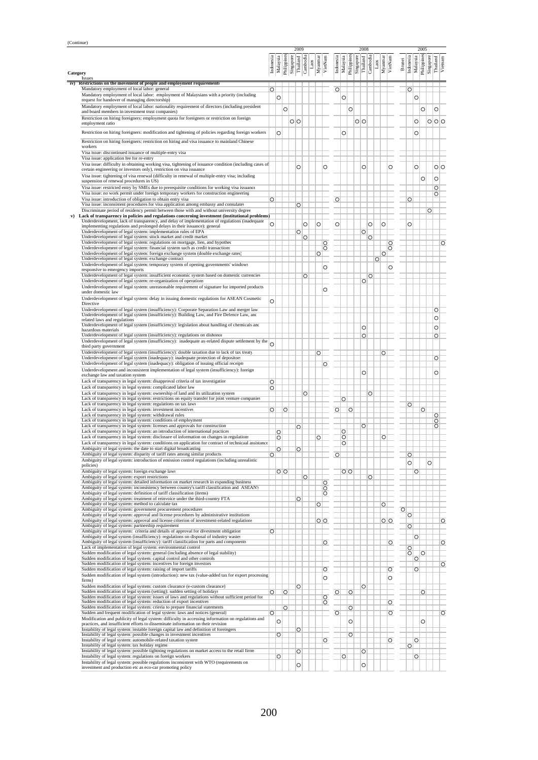| (Continue)      |                                                                                                                                                                                          |                    |              |                    |                               |                    |      |                    |                    |                    |             |                               |          |         |         |                               |               |                    |                                 |           |                    |                    |
|-----------------|------------------------------------------------------------------------------------------------------------------------------------------------------------------------------------------|--------------------|--------------|--------------------|-------------------------------|--------------------|------|--------------------|--------------------|--------------------|-------------|-------------------------------|----------|---------|---------|-------------------------------|---------------|--------------------|---------------------------------|-----------|--------------------|--------------------|
|                 |                                                                                                                                                                                          | Indonesia          | Malaysia     | Philippines        | 2009<br>Singapore<br>Thailand | Cambodia           | Laos | Myanmar<br>VietNam | Indonesia          | Malaysia           | Philippines | 2008<br>Singapore<br>Thailand | Cambodia | Laos    | Myannar | VietNam                       | <b>Brunei</b> | Indonesia          | 2005<br>Philippines<br>Malaysia | Singapore | Thailand           | Vietnam            |
| Category<br>iv) | <b>Issues</b><br>Restrictions on the movement of people and employment requirements                                                                                                      |                    |              |                    |                               |                    |      |                    |                    |                    |             |                               |          |         |         |                               |               |                    |                                 |           |                    |                    |
|                 | Mandatory employment of local labor: general<br>Mandatory employment of local labor: employment of Malaysians with a priority (including                                                 | $\overline{\circ}$ |              |                    |                               |                    |      |                    | $\circ$            |                    |             |                               |          |         |         |                               |               | $\circ$            |                                 |           |                    |                    |
|                 | request for handover of managing directorship)                                                                                                                                           |                    | O            |                    |                               |                    |      |                    |                    | $\circ$            |             |                               |          |         |         |                               |               |                    | $\circ$                         |           |                    |                    |
|                 | Mandatory employment of local labor: nationality requirement of directors (including president<br>and board members in investment trust companies)                                       |                    |              | $\circ$            |                               |                    |      |                    |                    |                    | $\circ$     |                               |          |         |         |                               |               |                    |                                 | $\circ$   | O                  |                    |
|                 | Restriction on hiring foreigners: employment quota for foreigners or restriction on foreign<br>employment ratio                                                                          |                    |              |                    | $\circ$                       |                    |      |                    |                    |                    |             | 이이                            |          |         |         |                               |               |                    | O                               |           | 0 0 0              |                    |
|                 | Restriction on hiring foreigners: modification and tightening of policies regarding foreign workers                                                                                      |                    | O            |                    |                               |                    |      |                    |                    | O                  |             |                               |          |         |         |                               |               |                    | $\circ$                         |           |                    |                    |
|                 | Restriction on hiring foreigners: restriction on hiring and visa issuance to mainland Chinese<br>workers                                                                                 |                    |              |                    |                               |                    |      |                    |                    |                    |             |                               |          |         |         |                               |               |                    |                                 |           |                    |                    |
|                 | Visa issue: discontinued issuance of multiple-entry visa                                                                                                                                 |                    |              |                    |                               |                    |      |                    |                    |                    |             |                               |          |         |         |                               |               |                    |                                 |           |                    |                    |
|                 | Visa issue: application fee for re-entry<br>Visa issue: difficulty in obtaining working visa, tightening of issuance condition (including cases of                                       |                    |              |                    | Ō                             |                    |      |                    | O                  |                    |             | O                             |          |         |         | O                             |               |                    | $\circ$                         |           | oΙo                |                    |
|                 | certain engineering or investors only), restriction on visa issuance<br>Visa issue: tightening of visa renewal (difficulty in renewal of multiple-entry visa; including                  |                    |              |                    |                               |                    |      |                    |                    |                    |             |                               |          |         |         |                               |               |                    |                                 | $\circ$   | O                  |                    |
|                 | suspension of renewal procedures in US)<br>Visa issue: restricted entry by SMEs due to prerequisite conditions for working visa issuance                                                 |                    |              |                    |                               |                    |      |                    |                    |                    |             |                               |          |         |         |                               |               |                    |                                 |           | O                  |                    |
|                 | Visa issue: no work permit under foreign temporary workers for construction engineering<br>Visa issue: introduction of obligation to obtain entry visa                                   | $\circ$            |              |                    |                               |                    |      |                    |                    | $\overline{\circ}$ |             |                               |          |         |         |                               |               | $\circ$            |                                 |           | O                  |                    |
|                 | Visa issue: inconsistent procedures for visa application among embassy and consulates<br>Discriminate period of residency permit between those with and without university degree        |                    |              |                    | O                             |                    |      |                    |                    |                    |             |                               |          |         |         |                               |               |                    |                                 | O         |                    |                    |
| v)              | Lack of transparency in policies and regulations concerning investment (institutional problems)                                                                                          |                    |              |                    |                               |                    |      |                    |                    |                    |             |                               |          |         |         |                               |               |                    |                                 |           |                    |                    |
|                 | Underdevelopment, lack of transparency, and delay of implementation of regulations (inadequate<br>implementing regulations and prolonged delays in their issuance): general              | $\circ$            |              |                    |                               | O                  |      | O                  | O                  |                    |             |                               | O        |         | О       |                               |               | O                  |                                 |           |                    |                    |
|                 | Underdevelopment of legal system: implementation rules of EPA<br>Underdevelopment of legal system: stock market and credit market                                                        |                    |              |                    | $\circ$                       | $\circ$            |      |                    |                    |                    |             | $\circ$                       | $\circ$  |         |         |                               |               |                    |                                 |           |                    |                    |
|                 | Underdevelopment of legal system: regulations on mortgage, lien, and hypothec<br>Underdevelopment of legal system: financial system such as credit transactions                          |                    |              |                    |                               |                    |      |                    | $\circ$<br>$\circ$ |                    |             |                               |          |         |         | $\circ$<br>$\overline{\circ}$ |               |                    |                                 |           |                    | $\circ$            |
|                 | Underdevelopment of legal system: foreign exchange system (double exchange rates)<br>Underdevelopment of legal system: exchange contract                                                 |                    |              |                    |                               |                    |      | $\circ$            |                    |                    |             |                               |          | $\circ$ | $\circ$ |                               |               |                    |                                 |           |                    |                    |
|                 | Underdevelopment of legal system: temporary system of opening governments' windows<br>responsive to emergency imports                                                                    |                    |              |                    |                               |                    |      |                    | O                  |                    |             |                               |          |         |         | O                             |               |                    |                                 |           |                    |                    |
|                 | Underdevelopment of legal system: insufficient economic system based on domestic currencies<br>Underdevelopment of legal system: re-organization of operations                           |                    |              |                    |                               | O                  |      |                    |                    |                    |             | $\overline{\circ}$            | O        |         |         |                               |               |                    |                                 |           |                    |                    |
|                 | Underdevelopment of legal system: unreasonable requirement of signature for imported products<br>under domestic law                                                                      |                    |              |                    |                               |                    |      |                    | O                  |                    |             |                               |          |         |         |                               |               |                    |                                 |           |                    |                    |
|                 | Underdevelopment of legal system: delay in issuing domestic regulations for ASEAN Cosmetic                                                                                               | $\circ$            |              |                    |                               |                    |      |                    |                    |                    |             |                               |          |         |         |                               |               |                    |                                 |           |                    |                    |
|                 | Directive<br>Underdevelopment of legal system (insufficiency): Corporate Separation Law and merger law                                                                                   |                    |              |                    |                               |                    |      |                    |                    |                    |             |                               |          |         |         |                               |               |                    |                                 |           | $\circ$            |                    |
|                 | Underdevelopment of legal system (insufficiency): Building Law, and Fire Defence Law, and<br>related laws and regulations                                                                |                    |              |                    |                               |                    |      |                    |                    |                    |             |                               |          |         |         |                               |               |                    |                                 |           | $\circ$            |                    |
|                 | Underdevelopment of legal system (insufficiency): legislation about handling of chemicals and<br>hazardous materials                                                                     |                    |              |                    |                               |                    |      |                    |                    |                    |             | O                             |          |         |         |                               |               |                    |                                 |           | O                  |                    |
|                 | Underdevelopment of legal system (insufficiency): regulations on dishonor<br>Underdevelopment of legal system (insufficiency): inadequate ax-related dispute settlement by the           | Q                  |              |                    |                               |                    |      |                    |                    |                    |             | $\overline{\circ}$            |          |         |         |                               |               |                    |                                 |           | $\overline{\circ}$ |                    |
|                 | third party government<br>Underdevelopment of legal system (insufficiency): double taxation due to lack of tax treaty                                                                    |                    |              |                    |                               |                    |      | $\circ$            |                    |                    |             |                               |          |         | O       |                               |               |                    |                                 |           |                    |                    |
|                 | Underdevelopment of legal system (inadequacy): inadequate protection of depositors<br>Underdevelopment of legal system (inadequacy): obligation of issuing official receipts             |                    |              |                    |                               |                    |      |                    | O                  |                    |             |                               |          |         |         |                               |               |                    |                                 |           | $\overline{\circ}$ |                    |
|                 | Underdevelopment and inconsistent implementation of legal system (insufficiency): foreign<br>exchange law and taxation system                                                            |                    |              |                    |                               |                    |      |                    |                    |                    |             | O                             |          |         |         |                               |               |                    |                                 |           | O                  |                    |
|                 | Lack of transparency in legal system: disapproval criteria of tax investigation                                                                                                          | O                  |              |                    |                               |                    |      |                    |                    |                    |             |                               |          |         |         |                               |               |                    |                                 |           |                    |                    |
|                 | Lack of transparency in legal system: complicated labor law<br>Lack of transparency in legal system: ownership of land and its utilization system                                        | O                  |              |                    |                               | $\circ$            |      |                    |                    |                    |             |                               | $\circ$  |         |         |                               |               |                    |                                 |           |                    |                    |
|                 | Lack of transparency in legal system: restrictions on equity transfer for joint venture companies<br>Lack of transparency in legal system: regulations on tax laws                       |                    |              |                    |                               |                    |      |                    |                    | $\circ$            |             |                               |          |         |         |                               |               | $\circ$            |                                 |           |                    |                    |
|                 | Lack of transparency in legal system: investment incentives<br>Lack of transparency in legal system: withdrawal rules                                                                    | $\circ$            |              | $\overline{\circ}$ |                               |                    |      |                    | $\circ$            |                    | $\circ$     |                               |          |         |         |                               |               |                    |                                 | $\circ$   | $\circ$            |                    |
|                 | Lack of transparency in legal system: conditions of employment<br>Lack of transparency in legal system: licenses and approvals for construction                                          |                    |              |                    | O                             |                    |      |                    |                    |                    |             | $\circ$                       |          |         |         |                               |               |                    |                                 |           | $\circ$<br>O       |                    |
|                 | Lack of transparency in legal system: an introduction of international practices<br>Lack of transparency in legal system: disclosure of information on changes in regulations            |                    | $\circ$<br>O |                    |                               |                    |      | O                  |                    | $\circ$<br>$\circ$ |             |                               |          |         | O       |                               |               |                    |                                 |           |                    |                    |
|                 | Lack of transparency in legal system: conditions on application for contract of technicaal assistance                                                                                    |                    |              |                    |                               |                    |      |                    |                    | O                  |             |                               |          |         |         |                               |               |                    |                                 |           |                    |                    |
|                 | Ambiguity of legal system: the date to start digital broadcasting<br>Ambiguity of legal system: disparity of tariff rates among similar products                                         | $\circ$            | $\circ$      |                    | $\circ$                       |                    |      |                    | $\circ$            |                    |             |                               |          |         |         |                               |               | $\circ$            |                                 |           |                    |                    |
|                 | Ambiguity of legal system: introduction of emission control regulations (including unrealistic<br>policies)                                                                              |                    |              |                    |                               |                    |      |                    |                    |                    |             |                               |          |         |         |                               |               | Ō                  |                                 | $\circ$   |                    |                    |
|                 | Ambiguity of legal system: foreign exchange laws<br>Ambiguity of legal system: export restrictions                                                                                       |                    |              | $\overline{O}$     |                               | $\overline{\circ}$ |      |                    |                    |                    | O           |                               | $\circ$  |         |         |                               |               |                    | $\circ$                         |           |                    |                    |
|                 | Ambiguity of legal system: detailed information on market research in expanding business<br>Ambiguity of legal system: inconsistency between country's tariff classification and ASEAN's |                    |              |                    |                               |                    |      | OOO                |                    |                    |             |                               |          |         |         |                               |               |                    |                                 |           |                    |                    |
|                 | Ambiguity of legal system: definition of tariff classification (items)<br>Ambiguity of legal system: treatment of reinvoice under the third-country FTA                                  |                    |              |                    | $\circ$                       |                    |      |                    |                    |                    |             |                               |          |         |         |                               |               |                    |                                 |           |                    |                    |
|                 | Ambiguity of legal system: method to calculate tax<br>Ambiguity of legal system: government procurement procedures                                                                       |                    |              |                    |                               |                    |      | $\circ$            |                    |                    |             |                               |          |         | $\circ$ |                               | $\circ$       |                    |                                 |           |                    |                    |
|                 | Ambiguity of legal system: approval and license procedures by administrative institutions<br>Ambiguity of legal system: approval and license criterion of investment-related regulations |                    |              |                    |                               |                    |      | $\circ$            |                    |                    |             |                               |          |         | $O$ $O$ |                               |               | $\overline{\circ}$ |                                 |           |                    | $\circ$            |
|                 | Ambiguity of legal system: partnership requirement<br>Ambiguity of legal system: criteria and details of approval for divestment obligation                                              | $\circ$            |              |                    |                               |                    |      |                    |                    |                    |             |                               |          |         |         |                               |               | $\circ$            |                                 |           |                    |                    |
|                 | Ambiguity of legal system (insufficiency): regulations on disposal of industry wastes<br>Ambiguity of legal system (insufficiency): tariff classification for parts and components       |                    |              |                    |                               |                    |      |                    |                    |                    |             |                               |          |         |         |                               |               |                    | $\circ$                         |           |                    |                    |
|                 | Lack of implementation of legal system: environmental control<br>Sudden modification of legal system: general (including absence of legal stability)                                     |                    |              |                    |                               |                    |      |                    | $\circ$            |                    |             |                               |          |         |         | $\circ$                       |               | $\circ$            |                                 |           |                    | $\circ$            |
|                 | Sudden modification of legal system: capital control and other controls<br>Sudden modification of legal system: incentives for foreign investors                                         |                    |              |                    |                               |                    |      |                    |                    |                    |             |                               |          |         |         |                               |               | $\circ$            | $\overline{\circ}$<br>$\circ$   |           |                    |                    |
|                 | Sudden modification of legal system: raising of import tariffs                                                                                                                           |                    |              |                    |                               |                    |      |                    | $\circ$            |                    |             |                               |          |         |         | $\circ$                       |               |                    | $\circ$                         |           |                    | $\circ$            |
|                 | Sudden modification of legal system (introduction): new tax (value-added tax for export processing<br>firms)                                                                             |                    |              |                    |                               |                    |      |                    | O                  |                    |             |                               |          |         |         | O                             |               |                    |                                 |           |                    |                    |
|                 | Sudden modification of legal system: custom clearance (e-custom clearance)<br>Sudden modification of legal system (setting): sudden setting of holidays                                  | $\circ$            |              | $\circ$            | $\circ$                       |                    |      |                    | $\circ$            |                    | $\circ$     | $\circ$                       |          |         |         |                               |               |                    |                                 | $\circ$   |                    |                    |
|                 | Sudden modification of legal system: issues of laws and regulations without sufficient period for<br>Sudden modification of legal system: reduction of export incentives                 |                    |              |                    |                               |                    |      |                    | oo                 |                    |             |                               |          |         |         | $\circ$                       |               |                    |                                 |           |                    |                    |
|                 | Sudden modification of legal system: crieria to prepare financial statements<br>Sudden and frequent modification of legal system: laws and notices (general)                             | $\overline{\circ}$ |              | $\overline{\circ}$ |                               |                    |      |                    | $\circ$            |                    | $\circ$     |                               |          |         |         | $\circ$                       |               |                    |                                 |           |                    | $\overline{\circ}$ |
|                 | Modification and publicity of legal system: difficulty in accessing information on regulations and<br>practices, and insufficient efforts to disseminate information on their revision   |                    | O            |                    |                               |                    |      |                    |                    |                    | $\circ$     |                               |          |         |         |                               |               |                    |                                 | $\circ$   |                    |                    |
|                 | Instability of legal system: instable foreign capital law and definition of foreingers<br>Instability of legal system: possible changes in investment incentives                         |                    | $\circ$      |                    | $\circ$                       |                    |      |                    |                    |                    | $\circ$     |                               |          |         |         |                               |               |                    |                                 |           |                    |                    |
|                 | Instability of legal system: automobile-related taxation system<br>Instability of legal system: tax holiday regime                                                                       |                    |              |                    |                               |                    |      |                    | $\circ$            |                    |             |                               |          |         |         | $\circ$                       |               | $\circ$            | $\circ$                         |           |                    |                    |
|                 | Instability of legal system: possible tightning regulations on market access to the retail firms<br>Instability of legal system: regulations on foreign workers                          |                    | $\circ$      |                    | $\circ$                       |                    |      |                    |                    | $\circ$            |             | $\circ$                       |          |         |         |                               |               |                    | $\circ$                         |           |                    |                    |
|                 | Instability of legal system: possible regulations inconsistent with WTO (requirements on<br>investment and production etc as eco-car promoting policy                                    |                    |              |                    | O                             |                    |      |                    |                    |                    |             | O                             |          |         |         |                               |               |                    |                                 |           |                    |                    |
|                 |                                                                                                                                                                                          |                    |              |                    |                               |                    |      |                    |                    |                    |             |                               |          |         |         |                               |               |                    |                                 |           |                    |                    |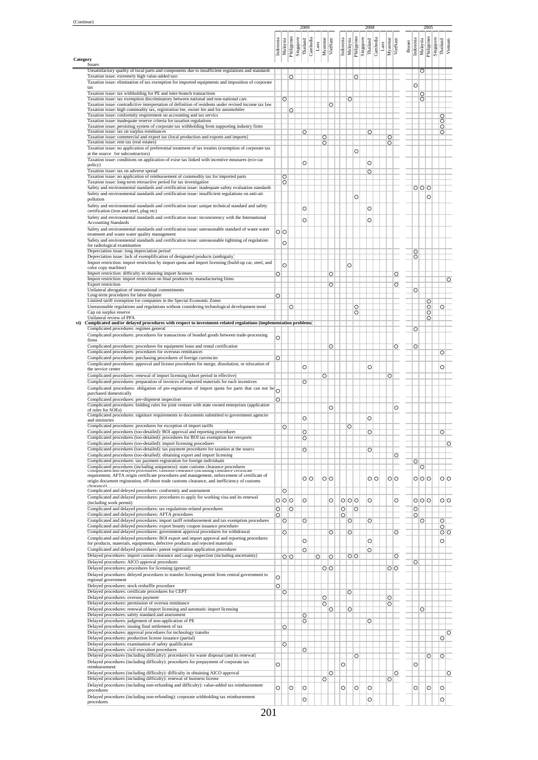|                                                                                                                                                                                                          |                    |                         |                    | 2009               |                      |               |                    |                    |         |                                      |         |                       | 2008               |      |                    |                 |               |                    |          | 2005                     |                               |                    |
|----------------------------------------------------------------------------------------------------------------------------------------------------------------------------------------------------------|--------------------|-------------------------|--------------------|--------------------|----------------------|---------------|--------------------|--------------------|---------|--------------------------------------|---------|-----------------------|--------------------|------|--------------------|-----------------|---------------|--------------------|----------|--------------------------|-------------------------------|--------------------|
|                                                                                                                                                                                                          | Indonesia          | Malaysia<br>Philippines |                    | Singapore          |                      |               | Myannar<br>VietNam |                    |         | Indonesia<br>Malaysia<br>Philippines |         | Singapore<br>Thailand |                    |      | Myanmar<br>VietNam |                 |               | Indonesia          |          | Philippines<br>Singapore | Thailand                      | Vietnam            |
|                                                                                                                                                                                                          |                    |                         |                    |                    | Thailand<br>Cambodia | $\frac{1}{2}$ |                    |                    |         |                                      |         |                       | Cambodia           | Laos |                    |                 | <b>Brunei</b> |                    | Malaysia |                          |                               |                    |
| Category<br>Issues                                                                                                                                                                                       |                    |                         |                    |                    |                      |               |                    |                    |         |                                      |         |                       |                    |      |                    |                 |               |                    |          |                          |                               |                    |
| Unsatisfactory quality of local parts and components due to insufficient regulations and standards<br>Taxation issue: extremely high value-added taxs                                                    |                    |                         | $\overline{\circ}$ |                    |                      |               |                    |                    |         |                                      | $\circ$ |                       |                    |      |                    |                 |               |                    | $\circ$  |                          |                               |                    |
| Taxation issue: elimination of tax exemption for imported equipments and imposition of corporate<br>tax                                                                                                  |                    |                         |                    |                    |                      |               |                    |                    |         |                                      |         |                       |                    |      |                    |                 |               | $\circ$            |          |                          |                               |                    |
| Taxation issue: tax withholding for PE and inter-branch transactions<br>Taxation issue: tax exemption discriminatory between national and non-national cars                                              |                    | $\circ$                 |                    |                    |                      |               |                    |                    |         |                                      |         |                       |                    |      |                    |                 |               |                    | O        |                          |                               |                    |
| Taxation issue: contradictive interpretation of definition of residents under revised income tax law                                                                                                     |                    |                         |                    |                    |                      |               |                    | $\overline{\circ}$ |         | $\circ$                              |         |                       |                    |      |                    |                 |               |                    | $\circ$  |                          |                               |                    |
| Taxation issue: high commodity tax, registration fee, owner fee and for automobiles<br>Taxation issue: conformity requirement on accounting and tax service                                              |                    |                         | $\circ$            |                    |                      |               |                    |                    |         |                                      |         |                       |                    |      |                    |                 |               |                    |          |                          | O                             |                    |
| Taxation issue: inadequate reserve criteria for taxation regulations<br>Taxation issue: persisting system of corporate tax withholding from supporting industry firms                                    |                    |                         |                    |                    |                      |               |                    |                    |         |                                      |         |                       |                    |      |                    |                 |               |                    |          |                          | $\circ$<br>$\overline{\circ}$ |                    |
| Taxation issue: tax on surplus remittances                                                                                                                                                               |                    |                         |                    | O                  |                      |               |                    |                    |         |                                      |         |                       | O                  |      |                    |                 |               |                    |          |                          | O                             |                    |
| Taxation issue: commercial and export tax (local production and exports and imports)<br>Taxation issue: rent tax (real estates)                                                                          |                    |                         |                    |                    |                      |               | $\circ$<br>O       |                    |         |                                      |         |                       |                    |      | O<br>O             |                 |               |                    |          |                          |                               |                    |
| Taxation issue: no application of preferential treatment of tax treaties (exemption of corporate tax<br>at the source for subcontractors)                                                                |                    |                         |                    |                    |                      |               |                    |                    |         |                                      | O       |                       |                    |      |                    |                 |               |                    |          |                          |                               |                    |
| Taxation issue: conditions on application of exise tax linked with incentive measures (eco-car                                                                                                           |                    |                         |                    | O                  |                      |               |                    |                    |         |                                      |         |                       | O                  |      |                    |                 |               |                    |          |                          |                               |                    |
| policy)<br>Taxation issue: tax on adverse spread                                                                                                                                                         |                    |                         |                    |                    |                      |               |                    |                    |         |                                      |         |                       | $\overline{\circ}$ |      |                    |                 |               |                    |          |                          |                               |                    |
| Taxation issue: no application of reinbursement of commodity tax for imported parts<br>Taxation issue: long-term retroactive period for tax investigation                                                |                    | $\circ$<br>$\circ$      |                    |                    |                      |               |                    |                    |         |                                      |         |                       |                    |      |                    |                 |               |                    |          |                          |                               |                    |
| Safety and environmental standards and certification issue: inadequate safety evaluation standards                                                                                                       |                    |                         |                    |                    |                      |               |                    |                    |         |                                      |         |                       |                    |      |                    |                 |               | 0 0 0              |          |                          |                               |                    |
| Safety and environmental standards and certification issue: insufficient regulations on anti-air<br>pollution                                                                                            |                    |                         |                    |                    |                      |               |                    |                    |         |                                      | O       |                       |                    |      |                    |                 |               |                    |          | $\circ$                  |                               |                    |
| Safety and environmental standards and certification issue: unique technical standard and safety                                                                                                         |                    |                         |                    | O                  |                      |               |                    |                    |         |                                      |         |                       | O                  |      |                    |                 |               |                    |          |                          |                               |                    |
| certification (iron and steel, plug etc)<br>Safety and environmental standards and certification issue: inconsistency with the International                                                             |                    |                         |                    |                    |                      |               |                    |                    |         |                                      |         |                       |                    |      |                    |                 |               |                    |          |                          |                               |                    |
| <b>Accounting Standards</b>                                                                                                                                                                              |                    |                         |                    | $\circ$            |                      |               |                    |                    |         |                                      |         |                       | $\circ$            |      |                    |                 |               |                    |          |                          |                               |                    |
| Safety and environmental standards and certification issue: unreasonable standard of waste water<br>treatment and waste water quality management                                                         | $\circ$            |                         |                    |                    |                      |               |                    |                    |         |                                      |         |                       |                    |      |                    |                 |               |                    |          |                          |                               |                    |
| Safety and environmental standards and certification issue: unreasonable tightning of regulations<br>for radiological examination                                                                        |                    | O                       |                    |                    |                      |               |                    |                    |         |                                      |         |                       |                    |      |                    |                 |               |                    |          |                          |                               |                    |
| Depreciation issue: long depreciation period                                                                                                                                                             |                    |                         |                    |                    |                      |               |                    |                    |         |                                      |         |                       |                    |      |                    |                 |               | O                  |          |                          |                               |                    |
| Depreciation issue: lack of exemplification of designated products (ambiguity)<br>Import restriction: import restriction by import quota and import licensing (build-up car, steel, and                  |                    |                         |                    |                    |                      |               |                    |                    |         |                                      |         |                       |                    |      |                    |                 |               | O                  |          |                          |                               |                    |
| color copy machine)                                                                                                                                                                                      |                    | $\circ$                 |                    |                    |                      |               |                    |                    |         | $\circ$                              |         |                       |                    |      |                    |                 |               |                    |          |                          |                               |                    |
| Import restriction: difficulty in obaining import licenses<br>Import restriction: import restriction on final products by manufacturing firms                                                            | $\overline{\circ}$ |                         |                    |                    |                      |               |                    | $\overline{\circ}$ |         |                                      |         |                       |                    |      |                    | O               |               |                    |          |                          |                               | $\overline{\circ}$ |
| <b>Export restriction</b><br>Unilateral abrogation of international commitments                                                                                                                          |                    |                         |                    |                    |                      |               |                    | $\overline{\circ}$ |         |                                      |         |                       |                    |      |                    | O               |               | O                  |          |                          |                               |                    |
| Long-term procedures for labor dispute                                                                                                                                                                   | $\overline{\circ}$ |                         |                    |                    |                      |               |                    |                    |         |                                      |         |                       |                    |      |                    |                 |               |                    |          |                          |                               |                    |
| Limited tariff exemption for companies in the Special Economic Zones<br>Unreasonable regulations and regulations without considering technological development trend                                     |                    |                         | O                  |                    |                      |               |                    |                    |         |                                      | O       |                       |                    |      |                    |                 |               |                    |          | $\circ$<br>$\circ$       | O                             |                    |
| Cap on surplus reserve                                                                                                                                                                                   |                    |                         |                    |                    |                      |               |                    |                    |         |                                      | $\circ$ |                       |                    |      |                    |                 |               |                    |          | $\circ$                  |                               |                    |
| Unilateral review of PPA<br>Complicated and/or delayed procedures with respect to investment-related regulations (implementation problems)                                                               |                    |                         |                    |                    |                      |               |                    |                    |         |                                      |         |                       |                    |      |                    |                 |               |                    |          | O                        |                               |                    |
| Complicated procedures: regimes general<br>Complicated procedures: procedures for transactions of bonded goods between trade-processing                                                                  |                    |                         |                    |                    |                      |               |                    |                    |         |                                      |         |                       |                    |      |                    |                 |               | O                  |          |                          |                               |                    |
| firms                                                                                                                                                                                                    | $\circ$            |                         |                    |                    |                      |               |                    |                    |         |                                      |         |                       |                    |      |                    |                 |               |                    |          |                          |                               |                    |
| Complicated procedures: procedures for equipment lease and rental certification<br>Complicated procedures: procedures for overseas remittances                                                           |                    |                         |                    |                    |                      |               |                    | $\overline{\circ}$ |         |                                      |         |                       |                    |      |                    | O               |               | O                  |          |                          | $\overline{\circ}$            |                    |
| Complicated procedures: purchasing procedures of foreign currencies                                                                                                                                      | $\overline{\circ}$ |                         |                    |                    |                      |               |                    |                    |         |                                      |         |                       |                    |      |                    |                 |               |                    |          |                          |                               |                    |
| Complicated procedures: approval and license procedures for merge, dissolution, or relocation of<br>the service center                                                                                   |                    |                         |                    | O                  |                      |               |                    |                    |         |                                      |         |                       | O                  |      |                    |                 |               |                    |          |                          | O                             |                    |
| Complicated procedures: renewal of import licensing (short period in effective)                                                                                                                          |                    |                         |                    |                    |                      |               | O                  |                    |         |                                      |         |                       |                    |      | O                  |                 |               |                    |          |                          |                               |                    |
| Complicated procedures: preparation of invoices of imported materials for each incentives<br>Complicated procedures: obligation of pre-registration of import quota for parts that can not be $\bigcirc$ |                    |                         |                    | O                  |                      |               |                    |                    |         |                                      |         |                       |                    |      |                    |                 |               |                    |          |                          |                               |                    |
| purchased domestically                                                                                                                                                                                   |                    |                         |                    |                    |                      |               |                    |                    |         |                                      |         |                       |                    |      |                    |                 |               |                    |          |                          |                               |                    |
| Complicated procedures: pre-shipment inspection<br>Complicated procedures: bidding rules for joint venture with state owned enterprises (application                                                     | $\circ$            |                         |                    |                    |                      |               |                    |                    |         |                                      |         |                       |                    |      |                    |                 |               |                    |          |                          |                               |                    |
| of rules for SOEs)<br>Complicated procedures: signiture requirements to documents submitted to government agencies                                                                                       |                    |                         |                    |                    |                      |               |                    | $\circ$            |         |                                      |         |                       |                    |      |                    | O               |               |                    |          |                          |                               |                    |
| and ministries                                                                                                                                                                                           |                    |                         |                    | O                  |                      |               |                    |                    |         |                                      |         |                       | O                  |      |                    |                 |               |                    |          |                          |                               |                    |
| Complicated procedures: procedures for exception of import tariffs<br>Complicated procedures (too-detailed): BOI approval and reporting procedures                                                       |                    | O                       |                    | O                  |                      |               |                    |                    |         | O                                    |         |                       | O                  |      |                    |                 |               |                    |          |                          | O                             |                    |
| Complicated procedures (too-detailed): procedures for BOI tax exemption for reexports                                                                                                                    |                    |                         |                    | $\overline{\circ}$ |                      |               |                    |                    |         |                                      |         |                       |                    |      |                    |                 |               |                    |          |                          |                               |                    |
| Complicated procedures (too-detailed): import licensing procedures<br>Complicated procedures (too-detailed): tax payment procedures for taxation at the source                                           |                    |                         |                    | $\circ$            |                      |               |                    |                    |         |                                      |         |                       | O                  |      |                    |                 |               |                    |          |                          |                               | $\circ$            |
| Complicated procedures (too-detailed): obtaining export and import licensing                                                                                                                             |                    |                         |                    |                    |                      |               |                    |                    |         |                                      |         |                       |                    |      |                    | $\circ$         |               |                    |          |                          |                               |                    |
| Complicated procedures: tax payment registration for foreign individuals<br>Complicated procedures (including uniqueness): state customs clearance procedures                                            |                    |                         |                    |                    |                      |               |                    |                    |         |                                      |         |                       |                    |      |                    |                 |               | $\circ$            | O        |                          |                               |                    |
| Compineated and detayed procedures, customs citatance (including citatance certificate<br>requirement, AFTA origin certificate procedures and management, enforcement of certificate of                  |                    |                         |                    |                    | oΙo                  |               |                    | oΙo                |         |                                      |         |                       | 이이                 |      |                    | 이이              |               |                    |          |                          |                               | 이이                 |
| origin document registration, off-shore trade customs clearance, and inefficiency of customs<br>closranco)                                                                                               |                    |                         |                    |                    |                      |               |                    |                    |         |                                      |         |                       |                    |      |                    |                 |               | 0 0 0              |          |                          |                               |                    |
| Complicated and deleved procedures: conformity and assessment                                                                                                                                            |                    | O                       |                    |                    |                      |               |                    |                    |         |                                      |         |                       |                    |      |                    |                 |               |                    |          |                          |                               |                    |
| Complicated and delayed procedures: procedures to apply for working visa and its renewal<br>(including work permit)                                                                                      |                    | ololo                   |                    | $\circ$            |                      |               |                    | Ō                  |         | 0 0 0                                |         |                       | O                  |      |                    | O               |               | ololo              |          |                          |                               | olo                |
| Complicated and delayed procedures: tax regulations-related procedures                                                                                                                                   | $\overline{\circ}$ |                         | $\circ$            |                    |                      |               |                    |                    | $\circ$ |                                      | $\circ$ |                       |                    |      |                    |                 |               | $\overline{\circ}$ |          |                          |                               |                    |
| Complicated and delayed procedures: AFTA procedures<br>Complicated and delayed procedures: import tariff reimbursement and tax exemption procedures                                                      | $\overline{\circ}$ | $\circ$                 |                    | $\circ$            |                      |               |                    |                    | $\circ$ | $\circ$                              |         |                       | $\circ$            |      |                    |                 |               | $\circ$            | $\circ$  |                          | $\circ$                       |                    |
| Complicated and delayed procedures: export bounty coupon issuance procedures<br>Complicated and delayed procedures: government approval procedures for withdrawal                                        |                    |                         |                    |                    |                      |               |                    |                    |         |                                      |         |                       |                    |      |                    |                 |               |                    |          |                          | $\circ$                       |                    |
| Complicated and delayed procedures: BOI export and import approval and reporting procedures                                                                                                              |                    | O                       |                    |                    |                      |               |                    | $\circ$            |         | $\circ$                              |         |                       |                    |      |                    | $\circ$         |               |                    |          |                          |                               | $\circ$            |
| for products, materials, equipments, defective products and rejected materials                                                                                                                           |                    |                         |                    | O                  |                      |               |                    |                    |         |                                      |         |                       | O                  |      |                    |                 |               |                    |          |                          | $\circ$                       |                    |
| Complicated and delayed procedures: patent registration application procedures<br>Delayed procedures: import custom clearance and cargo inspection (including uncertainty)                               |                    | $\circ$                 |                    | O                  |                      | O             |                    | O                  |         |                                      | $\circ$ |                       | O                  |      |                    | O               |               |                    |          |                          |                               |                    |
| Delayed procedures: AICO approval procedures                                                                                                                                                             |                    |                         |                    |                    |                      |               |                    |                    |         |                                      |         |                       |                    |      |                    |                 |               | O                  |          |                          |                               |                    |
| Delayed procedures: procedures for licensing (general)<br>Delayed procedures: deleyed procedures to transfer licensing permit from central government to                                                 |                    |                         |                    |                    |                      |               |                    | $\overline{\circ}$ |         |                                      |         |                       |                    |      |                    | $\circ$ $\circ$ |               |                    |          |                          |                               |                    |
| regional government                                                                                                                                                                                      | Ō                  |                         |                    |                    |                      |               |                    |                    |         |                                      |         |                       |                    |      |                    |                 |               |                    |          |                          |                               |                    |
| Deleyed procedures: stock reshuffle procedure<br>Delayed procedures: certificate procedures for CEPT                                                                                                     | $\circ$            | O                       |                    |                    |                      |               |                    |                    |         | $\circ$                              |         |                       |                    |      |                    |                 |               |                    |          |                          |                               |                    |
| Delayed procedures: oversea payment                                                                                                                                                                      |                    |                         |                    |                    |                      |               | O                  |                    |         |                                      |         |                       |                    |      | $\circ$            |                 |               |                    |          |                          |                               |                    |
| Delayed procedures: permission of oversea remittance<br>Delayed procedures: renewal of import licensing and automatic import licensing                                                                   |                    |                         |                    |                    |                      |               | $\circ$            | $\circ$            |         | $\circ$                              |         |                       |                    |      | $\circ$            |                 |               |                    | $\circ$  |                          |                               |                    |
| Delayed procedures: safety standard and assessment                                                                                                                                                       |                    |                         |                    | O                  |                      |               |                    |                    |         |                                      |         |                       |                    |      |                    |                 |               |                    |          |                          |                               |                    |
| Delayed procedures: judgement of non-application of PE<br>Delayed procedures: issuing final settlement of tax                                                                                            |                    | $\circ$                 |                    | O                  |                      |               |                    |                    |         |                                      |         |                       | $\overline{\circ}$ |      |                    |                 |               |                    |          |                          |                               |                    |
| Delayed procedures: approval procedures for technology transfer                                                                                                                                          |                    |                         |                    |                    |                      |               |                    |                    |         |                                      |         |                       |                    |      |                    |                 |               |                    |          |                          |                               | $\circ$            |
| Delayed procedures: production license issuance (partial)<br>Delayed procedures: examination of safety qualification                                                                                     |                    | $\circ$                 |                    |                    |                      |               |                    |                    |         |                                      |         |                       |                    |      |                    |                 |               |                    |          |                          | O                             |                    |
| Delayed procedures: civil execution procedures<br>Delayed procedures (including difficulty): procedures for waste disposal (and its renewal)                                                             |                    |                         |                    | O                  |                      |               |                    |                    |         |                                      |         |                       |                    |      |                    |                 |               |                    |          |                          |                               |                    |
| Delayed procedures (including difficulty): procedures for prepayment of corporate tax                                                                                                                    |                    |                         |                    |                    |                      |               |                    |                    |         |                                      | $\circ$ |                       |                    |      |                    |                 |               |                    |          | $\circ$                  | $\circ$                       |                    |
| reimbursement<br>Delayed procedures (including difficulty): difficulty in obtaining AICO approval                                                                                                        | O                  |                         |                    |                    |                      |               |                    |                    | $\circ$ |                                      |         |                       |                    |      |                    |                 |               | O                  |          |                          |                               |                    |
| Delayed procedures (including difficulty): renewal of business license                                                                                                                                   |                    |                         |                    |                    |                      |               | O                  | $\circ$            |         |                                      |         |                       |                    |      | $\circ$            | O               |               |                    |          |                          |                               | $\circ$            |
| Delayed procedures (including non-refunding and difficulty): value-added tax reimbursement<br>procedures                                                                                                 | $\circ$            |                         | O                  | O                  |                      |               |                    |                    | $\circ$ |                                      | O       |                       | O                  |      |                    |                 |               | O                  |          | $\circ$                  | O                             |                    |
| Delayed procedures (including non-refunding): corporate withholding tax reimbursement                                                                                                                    |                    |                         |                    | O                  |                      |               |                    |                    |         |                                      |         |                       | O                  |      |                    |                 |               |                    |          |                          | O                             |                    |
| procedures                                                                                                                                                                                               |                    |                         |                    |                    |                      |               |                    |                    |         |                                      |         |                       |                    |      |                    |                 |               |                    |          |                          |                               |                    |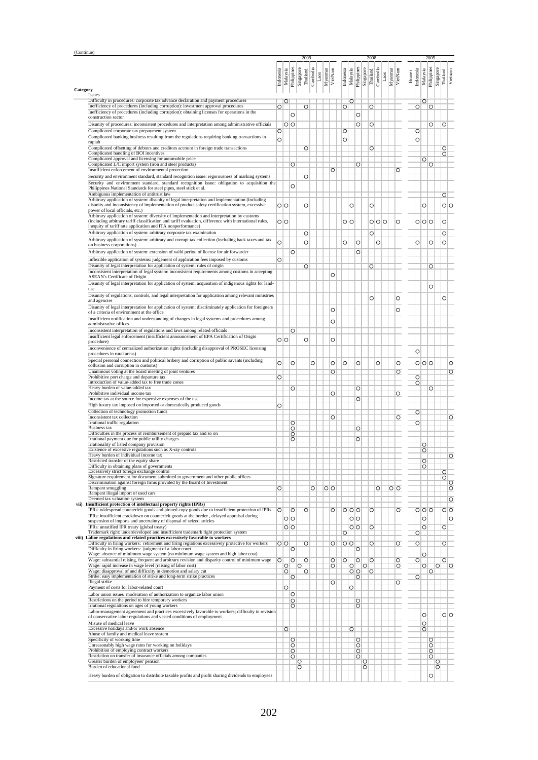| (Continue) |                                                                                                                                                                                                   |                |                    |                                          |                    | 2009     |                    |         |                               |           |                    |                    | 2008                  |          |       |         |                         |               |                    |                    | 2005                     |                           |                                          |
|------------|---------------------------------------------------------------------------------------------------------------------------------------------------------------------------------------------------|----------------|--------------------|------------------------------------------|--------------------|----------|--------------------|---------|-------------------------------|-----------|--------------------|--------------------|-----------------------|----------|-------|---------|-------------------------|---------------|--------------------|--------------------|--------------------------|---------------------------|------------------------------------------|
|            |                                                                                                                                                                                                   | Indonesia      | Malaysia           | Philippines                              | Singapore          | Thailand | Cambodia<br>Laos   | Myanmar | VietNam                       | Indonesia | Malaysia           | Philippines        | Singapore<br>Thailand | Cambodia | Laos  | Myanmar | VietNam                 | <b>Brunei</b> | Indonesia          | Malaysia           | Philippines<br>Singapore | Thailand                  | Vietnam                                  |
| Category   | Issues                                                                                                                                                                                            |                |                    |                                          |                    |          |                    |         |                               |           |                    |                    |                       |          |       |         |                         |               |                    |                    |                          |                           |                                          |
|            | Difficulty in procedures: corporate tax advance declaration and payment procedures<br>Inefficiency of procedures (including corruption): investment approval procedures                           | $\circ$        | Ю                  |                                          |                    | $\circ$  |                    |         |                               | $\circ$   | $\circ$            |                    | O                     |          |       |         |                         |               | $\circ$            | $\circ$            | $\circ$                  |                           |                                          |
|            | Inefficiency of procedures (including corruption): obtaining licenses for operations in the<br>construction sector                                                                                |                |                    | O                                        |                    |          |                    |         |                               |           |                    | $\circ$            |                       |          |       |         |                         |               |                    |                    |                          |                           |                                          |
|            | Disunity of procedures: inconsistent procedures and interpretation among administrative officials                                                                                                 |                |                    | $\circ$ o                                |                    |          |                    |         |                               |           |                    | $\circ$            | O                     |          |       |         |                         |               |                    |                    | $\circ$                  | O                         |                                          |
|            | Complicated corporate tax prepayment system<br>Complicated banking business resulting from the regulations requiring banking transactions in                                                      | $\circ$        |                    |                                          |                    |          |                    |         |                               | $\circ$   |                    |                    |                       |          |       |         |                         |               | $\circ$            |                    |                          |                           |                                          |
|            | rupiah                                                                                                                                                                                            | O              |                    |                                          |                    |          |                    |         |                               | O         |                    |                    |                       |          |       |         |                         |               | O                  |                    |                          |                           |                                          |
|            | Complicated offsetting of debtors and creditors account in foreign trade transactions<br>Complicated handling of BOI incentives                                                                   |                |                    |                                          |                    | $\circ$  |                    |         |                               |           |                    |                    | $\overline{\circ}$    |          |       |         |                         |               |                    |                    |                          | $\circ$<br>$\circ$        |                                          |
|            | Complicated approval and licensing for automobile price<br>Complicated L/C import system (iron and steel products)                                                                                |                |                    | $\overline{\circ}$                       |                    |          |                    |         |                               |           |                    | $\overline{O}$     |                       |          |       |         |                         |               |                    | $\circ$            | $\circ$                  |                           |                                          |
|            | Insufficient enforcement of environmental protection<br>Security and environment standard, standard recognition issue: regorousness of marking systems                                            |                |                    |                                          |                    | $\circ$  |                    |         | $\circ$                       |           |                    |                    |                       |          |       |         | $\circ$                 |               |                    |                    |                          |                           |                                          |
|            | Security and environment standard, standard recognition issue: obligation to acquisition the                                                                                                      |                |                    | Ō                                        |                    |          |                    |         |                               |           |                    |                    |                       |          |       |         |                         |               |                    |                    |                          |                           |                                          |
|            | Philippines National Standards for steel pipes, steel stick et al.<br>Ambiguous implementation of antitrust law                                                                                   |                |                    |                                          |                    |          |                    |         |                               |           |                    |                    |                       |          |       |         |                         |               |                    |                    |                          | $\circ$                   |                                          |
|            | Arbitrary application of system: disunity of legal interpretation and implementation (including<br>disunity and inconsistency of implementation of product safety certification system, excessive |                | $\circ$ $\circ$    |                                          |                    | $\circ$  |                    |         |                               |           | O                  |                    | O                     |          |       |         |                         |               |                    | O                  |                          |                           | olo                                      |
|            | power of local officials, etc.)<br>Arbitrary application of system: diversity of implementation and interpretation by customs                                                                     |                |                    |                                          |                    |          |                    |         |                               |           |                    |                    |                       |          |       |         |                         |               |                    |                    |                          |                           |                                          |
|            | (including arbitrary tariff classification and tariff evaluation, difference with international rules,                                                                                            |                | $\circ$            |                                          |                    |          |                    |         |                               | 이이        |                    |                    |                       |          | 0 0 0 |         | O                       |               |                    | ololo              |                          | $\circ$                   |                                          |
|            | inequity of tariff rate application and ITA nonperformance)<br>Arbitrary application of system: arbitrary corporate tax examination                                                               |                |                    |                                          |                    | $\circ$  |                    |         |                               |           |                    |                    | O                     |          |       |         |                         |               |                    |                    |                          | O                         |                                          |
|            | Arbitrary application of system: arbitrary and corrupt tax collection (including back taxes and tax<br>on business corporations)                                                                  | Ō              |                    |                                          |                    | $\circ$  |                    |         |                               | O         |                    | $\circ$            |                       | O        |       |         |                         |               | O                  |                    | $\circ$                  | O                         |                                          |
|            | Arbitrary application of system: extension of vaild period of license for air forwarder                                                                                                           |                |                    | O                                        |                    |          |                    |         |                               |           |                    | O                  |                       |          |       |         |                         |               |                    |                    |                          |                           |                                          |
|            | Inflexible application of systems: judgement of application fees imposed by customs                                                                                                               | O              |                    |                                          |                    |          |                    |         |                               |           |                    |                    |                       |          |       |         |                         |               |                    |                    |                          |                           |                                          |
|            | Disunity of legal interpretation for application of system: rules of origin<br>Inconsistent interpretation of legal system: inconsistent requirements among customs in accepting                  |                |                    |                                          |                    | $\circ$  |                    |         | $\circ$                       |           |                    |                    | O                     |          |       |         |                         |               |                    |                    | $\circ$                  |                           |                                          |
|            | ASEAN's Certificate of Origin<br>Disunity of legal interpretation for application of system: acquisition of indigenous rights for land-                                                           |                |                    |                                          |                    |          |                    |         |                               |           |                    |                    |                       |          |       |         |                         |               |                    |                    |                          |                           |                                          |
|            | use                                                                                                                                                                                               |                |                    |                                          |                    |          |                    |         |                               |           |                    |                    |                       |          |       |         |                         |               |                    |                    | $\circ$                  |                           |                                          |
|            | Disunity of regulations, controls, and legal interpretation for application among relevant ministries<br>and agencies                                                                             |                |                    |                                          |                    |          |                    |         |                               |           |                    |                    | O                     |          |       |         | O                       |               |                    |                    |                          | O                         |                                          |
|            | Disunity of legal interpretation for application of system: discriminately application for foreigners<br>of a criteria of environment at the office                                               |                |                    |                                          |                    |          |                    |         | $\circ$                       |           |                    |                    |                       |          |       |         | O                       |               |                    |                    |                          |                           |                                          |
|            | Insufficient notification and understanding of changes in legal systems and procedures among                                                                                                      |                |                    |                                          |                    |          |                    |         | $\circ$                       |           |                    |                    |                       |          |       |         |                         |               |                    |                    |                          |                           |                                          |
|            | administrative offices<br>Inconsistent interpretation of regulations and laws among related officials                                                                                             |                |                    | O                                        |                    |          |                    |         |                               |           |                    |                    |                       |          |       |         |                         |               |                    |                    |                          |                           |                                          |
|            | Insufficient legal enforcement (insufficient announcement of EPA Certification of Origin<br>procedure)                                                                                            |                | $\circ$ $\circ$    |                                          |                    | $\circ$  |                    |         | $\circ$                       |           |                    |                    |                       |          |       |         |                         |               |                    |                    |                          |                           |                                          |
|            | Inconvenience of centralized authorization rights (including disapproval of PROSEC licensing                                                                                                      |                |                    |                                          |                    |          |                    |         |                               |           |                    |                    |                       |          |       |         |                         |               | O                  |                    |                          |                           |                                          |
|            | procedures in rural areas)<br>Special personal connection and political bribery and corruption of public savants (including                                                                       |                |                    |                                          |                    |          |                    |         |                               |           |                    |                    |                       |          |       |         |                         |               |                    |                    |                          |                           |                                          |
|            | collusion and corruption in customs)<br>Unanimous voting at the board meeting of joint ventures                                                                                                   | $\circ$        |                    | Ō                                        |                    |          | Ō                  |         | $\circ$<br>$\overline{\circ}$ | $\circ$   |                    | $\circ$            |                       | $\circ$  |       |         | O<br>$\overline{\circ}$ |               |                    | ololo              |                          |                           | O<br>O                                   |
|            | Prohibitive port charge and departure tax                                                                                                                                                         | $\circ$        |                    |                                          |                    |          |                    |         |                               |           |                    |                    |                       |          |       |         |                         |               | O                  |                    |                          |                           |                                          |
|            | Introduction of value-added tax to free trade zones<br>Heavy burden of value-added tax                                                                                                            |                |                    | $\overline{\circ}$                       |                    |          |                    |         |                               |           |                    | O                  |                       |          |       |         |                         |               | $\circ$            |                    | O                        |                           |                                          |
|            | Prohibitive individual income tax<br>Income tax at the source for expensive expenses of the use                                                                                                   |                |                    |                                          |                    |          |                    |         | $\overline{\circ}$            |           |                    | $\circ$            |                       |          |       |         | $\circ$                 |               |                    |                    |                          |                           |                                          |
|            | High luxury tax imposed on imported or domestically produced goods<br>Collection of technology promotion funds                                                                                    | O              |                    |                                          |                    |          |                    |         |                               |           |                    |                    |                       |          |       |         |                         |               |                    |                    |                          |                           |                                          |
|            | Inconsistent tax collection                                                                                                                                                                       |                |                    |                                          |                    |          |                    |         | $\overline{\circ}$            |           |                    |                    |                       |          |       |         | $\circ$                 |               | $\circ$            |                    |                          |                           | O                                        |
|            | Irrational traffic regulation<br><b>Business tax</b>                                                                                                                                              |                |                    | O<br>O                                   |                    |          |                    |         |                               |           |                    | $\overline{O}$     |                       |          |       |         |                         |               | O                  |                    |                          |                           |                                          |
|            | Difficulties in the process of reimbursement of prepaid tax and so on<br>Irrational payment due for public utility charges                                                                        |                |                    | $\circ$<br>$\overline{\circ}$            |                    |          |                    |         |                               |           |                    | $\overline{\circ}$ |                       |          |       |         |                         |               |                    |                    |                          |                           |                                          |
|            | Irrationality of listed company provision<br>Existence of excessive regulations such as X-ray controls                                                                                            |                |                    |                                          |                    |          |                    |         |                               |           |                    |                    |                       |          |       |         |                         |               |                    | $\circ$<br>$\circ$ |                          |                           |                                          |
|            | Heavy burden of individual income tax                                                                                                                                                             |                |                    |                                          |                    |          |                    |         |                               |           |                    |                    |                       |          |       |         |                         |               |                    |                    |                          |                           | $\circ$                                  |
|            | Restricted transfer of the equity share<br>Difficulty in obtaining plans of governments                                                                                                           |                |                    |                                          |                    |          |                    |         |                               |           |                    |                    |                       |          |       |         |                         |               |                    | $\circ$<br>$\circ$ |                          |                           |                                          |
|            | Excessively strict foreign exchange control<br>Signature requirement for document submitted to government and other public offices                                                                |                |                    |                                          |                    |          |                    |         |                               |           |                    |                    |                       |          |       |         |                         |               |                    |                    |                          | $\circ$<br>$\overline{O}$ |                                          |
|            | Discrimination against foreign firms provided by the Board of Investment<br>Rampant smuggling                                                                                                     | $\circ$        |                    |                                          |                    |          | $\overline{\circ}$ |         | $\circ$                       |           |                    |                    |                       | $\circ$  |       | $\circ$ |                         |               |                    |                    |                          |                           | $\overline{\circ}$<br>$\overline{\circ}$ |
|            | Rampant illegal import of used cars<br>Deemed tax valuation system                                                                                                                                |                |                    |                                          |                    |          |                    |         |                               |           |                    |                    |                       |          |       |         |                         |               |                    |                    |                          |                           | $\circ$                                  |
| vii)       | Insufficient protection of intellectual property rights (IPRs)<br>IPRs: widespread counterfeit goods and pirated copy goods due to insufficient protection of IPRs                                | $\overline{O}$ |                    |                                          |                    |          |                    |         |                               |           |                    |                    |                       |          |       |         |                         |               |                    |                    |                          |                           |                                          |
|            | IPRs: insufficient crackdown on counterfeit goods at the border, delayed appraisal during                                                                                                         |                |                    | $\circ$<br>oΙo                           |                    | $\circ$  |                    |         | $\overline{\circ}$            |           | 000<br>oο          |                    | $\overline{\circ}$    |          |       |         | $\circ$                 |               |                    | 000<br>$\circ$     |                          |                           | $\circ$<br>O                             |
|            | suspension of imports and uncertainty of disposal of seized articles<br>IPRs: unratified IPR treaty (global treaty)                                                                               |                |                    | $\circ$                                  |                    |          |                    |         |                               |           | $\overline{O}$     |                    | $\circ$               |          |       |         |                         |               |                    | $\circ$            |                          | $\circ$                   |                                          |
|            | Trademark right: underdeveloped and insufficient trademark right protection system<br>viii) Labor regulations and related practices excessively favorable to workers                              |                |                    |                                          |                    |          |                    |         |                               | $\circ$   |                    |                    |                       |          |       |         |                         |               | $\circ$            |                    |                          |                           |                                          |
|            | Difficulty in firing workers: retirement and firing reglations excessively protective for workers<br>Difficulty in firing workers: judgment of a labor court                                      |                | $\circ$            |                                          |                    | $\circ$  |                    |         | O                             | $\circ$   |                    |                    | $\overline{\circ}$    |          |       |         | $\circ$                 |               | $\overline{\circ}$ |                    |                          | $\circ$                   |                                          |
|            | Wage: absence of minimum wage system (no minimum wage system and high labor cost)                                                                                                                 |                |                    | $\circ$                                  |                    |          |                    |         |                               |           |                    | $\circ$            |                       |          |       |         |                         |               |                    | $\circ$            |                          |                           |                                          |
|            | Wage: substantial raising, frequent and arbitrary revision and disparity control of minimum wage<br>Wage: rapid increase in wage level (raising of labor cost)                                    | $\circ$        | $\circ$            | O                                        | $\circ$            | $\circ$  |                    |         | O<br>$\circ$                  | $\circ$   | O                  | $\circ$            | $\circ$<br>$\circ$    |          |       |         | О<br>$\circ$            |               | 0                  | O                  |                          | $\circ$<br>$\circ$        | $\overline{\circ}$                       |
|            | Wage: disapproval of and difficulty in demotion and salary cut<br>Strike: easy implementation of strike and long-term strike practices                                                            |                | $\overline{\circ}$ | $\circ$                                  |                    | $\circ$  |                    |         |                               |           | $\circ$            | O                  | 0                     |          |       |         |                         |               | O                  |                    | $\circ$                  |                           |                                          |
|            | Illegal strike<br>Payment of costs for labor-related court                                                                                                                                        |                | $\circ$            |                                          |                    |          |                    |         | $\circ$                       |           | $\circ$            |                    |                       |          |       |         | $\circ$                 |               |                    |                    |                          |                           |                                          |
|            | Labor union issues: moderation of authorization to organize labor union                                                                                                                           |                |                    | O                                        |                    |          |                    |         |                               |           |                    |                    |                       |          |       |         |                         |               |                    |                    |                          |                           |                                          |
|            | Restrictions on the period to hire temporary workers<br>Irrational regulations on ages of young workers                                                                                           |                |                    | $\circ$<br>$\circ$                       |                    |          |                    |         |                               |           |                    | $\circ$<br>$\circ$ |                       |          |       |         |                         |               |                    |                    |                          |                           |                                          |
|            | Labor-management agreement and practices excessively favorable to workers; difficulty in revision<br>of conservative labor regulations and vested conditions of employment                        |                |                    |                                          |                    |          |                    |         |                               |           |                    |                    |                       |          |       |         |                         |               |                    | $\circ$            |                          |                           | olo                                      |
|            | Misuse of medical leave                                                                                                                                                                           |                |                    |                                          |                    |          |                    |         |                               |           |                    |                    |                       |          |       |         |                         |               |                    | $\overline{\circ}$ |                          |                           |                                          |
|            | Excessive holidays and/or work absence<br>Abuse of family and medical leave system                                                                                                                |                | $\overline{O}$     |                                          |                    |          |                    |         |                               |           | $\overline{\circ}$ |                    |                       |          |       |         |                         |               |                    | $\overline{\circ}$ |                          |                           |                                          |
|            | Specificity of working time<br>Unreasonably high wage rates for working on holidays                                                                                                               |                |                    | $\circ$<br>$\overline{\circ}$            |                    |          |                    |         |                               |           |                    | $\circ$<br>$\circ$ |                       |          |       |         |                         |               |                    |                    | $\circ$<br>$\circ$       |                           |                                          |
|            | Prohibition of employing contract workers<br>Restriction on transfer of insurance officials among companies                                                                                       |                |                    | $\overline{\circ}$<br>$\overline{\circ}$ |                    |          |                    |         |                               |           |                    | O<br>$\circ$       |                       |          |       |         |                         |               |                    |                    | $\circ$<br>$\circ$       |                           |                                          |
|            | Greater burden of employees' pension<br>Burden of educational fund                                                                                                                                |                |                    |                                          | $\circ$<br>$\circ$ |          |                    |         |                               |           |                    |                    | $\circ$<br>$\circ$    |          |       |         |                         |               |                    |                    |                          | $\circ$<br>$\circ$        |                                          |
|            | Heavy burden of obligation to distribute taxable profits and profit sharing dividends to employees                                                                                                |                |                    |                                          |                    |          |                    |         |                               |           |                    |                    |                       |          |       |         |                         |               |                    |                    | $\circ$                  |                           |                                          |
|            |                                                                                                                                                                                                   |                |                    |                                          |                    |          |                    |         |                               |           |                    |                    |                       |          |       |         |                         |               |                    |                    |                          |                           |                                          |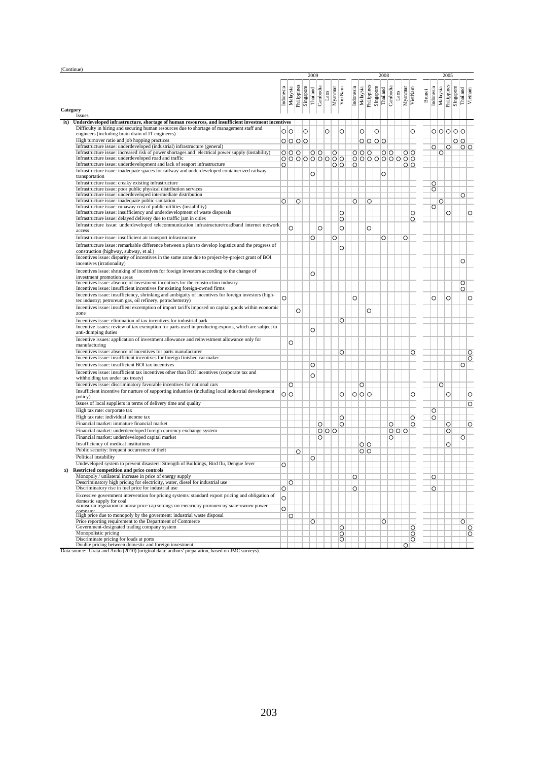| (Continue) |                                                                                                                                                                                                   |                    |                 |             |           |                      |   |                         |                    |           |          |             |           |                      |         |         |                |               |                       |                    |           |                     |
|------------|---------------------------------------------------------------------------------------------------------------------------------------------------------------------------------------------------|--------------------|-----------------|-------------|-----------|----------------------|---|-------------------------|--------------------|-----------|----------|-------------|-----------|----------------------|---------|---------|----------------|---------------|-----------------------|--------------------|-----------|---------------------|
|            |                                                                                                                                                                                                   |                    |                 |             |           | 2009                 |   |                         |                    |           |          |             |           | 2008                 |         |         |                |               |                       | 2005               |           |                     |
|            |                                                                                                                                                                                                   |                    |                 |             | Singapore | Thailand<br>Canbodia |   |                         |                    |           |          | Philippines | Singapore |                      |         |         |                |               |                       |                    | Singapore |                     |
|            |                                                                                                                                                                                                   | Indonesia          | Malaysia        | Philippines |           |                      |   | Myanmar<br>Laos         | VietNam            | Indonesia | Malaysia |             |           | Cambodia<br>Thailand | Laos    | Myanmar | VietNam        | <b>Brunei</b> | Indonesia<br>Malaysia | Philippines        |           | Thailand<br>Vietnam |
| Category   |                                                                                                                                                                                                   |                    |                 |             |           |                      |   |                         |                    |           |          |             |           |                      |         |         |                |               |                       |                    |           |                     |
|            | Issues                                                                                                                                                                                            |                    |                 |             |           |                      |   |                         |                    |           |          |             |           |                      |         |         |                |               |                       |                    |           |                     |
| ix)        | Underdeveloped infrastructure, shortage of human resources, and insufficient investment incentives                                                                                                |                    |                 |             |           |                      |   |                         |                    |           |          |             |           |                      |         |         |                |               |                       |                    |           |                     |
|            | Difficulty in hiring and securing human resources due to shortage of management staff and<br>engineers (including brain drain of IT engineers)                                                    |                    | $\circ$ $\circ$ |             | Ó         |                      |   | $\circ$                 | $\circ$            |           | Ō        |             | O         |                      |         |         | O              |               |                       |                    | 0 0 0 0 0 |                     |
|            | High turnover ratio and job hopping practices                                                                                                                                                     |                    | $0000$          |             |           |                      |   |                         |                    |           |          | 0000        |           |                      |         |         |                |               |                       |                    | $\circ$   |                     |
|            | Infrastructure issue: underdeveloped (industrial) infrastructure (general)<br>Infrastructure issue: increased risk of power shortages and electrical power supply (instability)                   |                    |                 |             |           |                      |   |                         |                    |           |          |             |           |                      |         |         |                |               | $\overline{O}$        | $\overline{\circ}$ |           | $\overline{O}$      |
|            | Infrastructure issue: underdeveloped road and traffic                                                                                                                                             |                    | 000             |             |           | $\circ$              |   | $\circ$<br>000000000    |                    |           | 000      |             |           | $\circ$<br>000000000 |         |         | $\overline{O}$ |               | $\circ$               |                    |           |                     |
|            | Infrastructure issue: underdevelopment and lack of seaport infrastructure                                                                                                                         | O                  |                 |             |           |                      |   |                         | $\circ$ $\circ$    | $\circ$   |          |             |           |                      |         |         | $\circ$        |               |                       |                    |           |                     |
|            | Infrastructure issue: inadequate spaces for railway and underdeveloped containerized railway<br>transportation                                                                                    |                    |                 |             |           | O                    |   |                         |                    |           |          |             |           | $\circ$              |         |         |                |               |                       |                    |           |                     |
|            | Infrastructure issue: creaky existing infrastructure                                                                                                                                              |                    |                 |             |           |                      |   |                         |                    |           |          |             |           |                      |         |         |                |               | O                     |                    |           |                     |
|            | Infrastructure issue: poor public physical distribution services                                                                                                                                  |                    |                 |             |           |                      |   |                         |                    |           |          |             |           |                      |         |         |                |               | O                     |                    |           |                     |
|            | Infrastructure issue: underdeveloped intermediate distribution<br>Infrastructure issue: inadequate public sanitation                                                                              |                    |                 |             |           |                      |   |                         |                    |           |          |             |           |                      |         |         |                |               |                       |                    |           | $\circ$             |
|            | Infrastructure issue: runaway cost of public utilities (instability)                                                                                                                              | $\circ$            |                 | O           |           |                      |   |                         |                    | $\circ$   |          | $\circ$     |           |                      |         |         |                |               | $\circ$<br>$\circ$    |                    |           |                     |
|            | Infrastructure issue: insufficiency and underdevelopment of waste disposals                                                                                                                       |                    |                 |             |           |                      |   |                         | $\circ$            |           |          |             |           |                      |         |         | $\circ$        |               |                       | O                  |           | $\overline{\circ}$  |
|            | Infrastructure issue: delayed delivery due to traffic jam in cities                                                                                                                               |                    |                 |             |           |                      |   |                         | $\circ$            |           |          |             |           |                      |         |         | O              |               |                       |                    |           |                     |
|            | Infrastructure issue: underdeveloped telecommunication infrastructure/roadband internet network<br>access                                                                                         |                    | O               |             |           |                      | O |                         | $\circ$            |           |          | O           |           |                      |         |         |                |               |                       |                    |           |                     |
|            | Infrastructure issue: insufficient air transport infrastructure                                                                                                                                   |                    |                 |             |           | O                    |   | O                       |                    |           |          |             |           | O                    |         | O       |                |               |                       |                    |           |                     |
|            | Infrastructure issue: remarkable difference between a plan to develop logistics and the progress of                                                                                               |                    |                 |             |           |                      |   |                         | $\circ$            |           |          |             |           |                      |         |         |                |               |                       |                    |           |                     |
|            | construction (highway, subway, et al.)                                                                                                                                                            |                    |                 |             |           |                      |   |                         |                    |           |          |             |           |                      |         |         |                |               |                       |                    |           |                     |
|            | Incentives issue: disparity of incentives in the same zone due to project-by-project grant of BOI<br>incentives (irrationality)                                                                   |                    |                 |             |           |                      |   |                         |                    |           |          |             |           |                      |         |         |                |               |                       |                    |           | $\circ$             |
|            | Incentives issue: shrinking of incentives for foreign investors according to the change of<br>investment promotion areas                                                                          |                    |                 |             |           | $\circ$              |   |                         |                    |           |          |             |           |                      |         |         |                |               |                       |                    |           |                     |
|            | Incentives issue: absence of investment incentives for the construction industry                                                                                                                  |                    |                 |             |           |                      |   |                         |                    |           |          |             |           |                      |         |         |                |               |                       |                    |           | $\circ$             |
|            | Incentives issue: insufficient incentives for existing foreign-owned firms<br>Incentives issue: insufficiency, shrinking and ambiguity of incentives for foreign investors (high-                 |                    |                 |             |           |                      |   |                         |                    |           |          |             |           |                      |         |         |                |               |                       |                    |           | $\overline{O}$      |
|            | tec industry; petroreum gas, oil refinery, petrochemstry)                                                                                                                                         | $\circ$            |                 |             |           |                      |   |                         |                    | $\circ$   |          |             |           |                      |         |         |                |               | O                     | $\circ$            |           | $\circ$             |
|            | Incentives issue: insuffient excemption of import tariffs imposed on capital goods within economic                                                                                                |                    |                 | O           |           |                      |   |                         |                    |           |          | $\circ$     |           |                      |         |         |                |               |                       |                    |           |                     |
|            | zone                                                                                                                                                                                              |                    |                 |             |           |                      |   |                         |                    |           |          |             |           |                      |         |         |                |               |                       |                    |           |                     |
|            | Incentives issue: elimination of tax incentives for industrial park<br>Incentive issues: review of tax exemption for parts used in producing exports, which are subject to<br>anti-dumping duties |                    |                 |             |           | $\circ$              |   |                         | O                  |           |          |             |           |                      |         |         |                |               |                       |                    |           |                     |
|            | Incentive issues: application of investment allowance and reinvestment allowance only for<br>manufacturing                                                                                        |                    | O               |             |           |                      |   |                         |                    |           |          |             |           |                      |         |         |                |               |                       |                    |           |                     |
|            | Incentives issue: absence of incentives for parts manufacturer                                                                                                                                    |                    |                 |             |           |                      |   |                         | $\overline{\circ}$ |           |          |             |           |                      |         |         | O              |               |                       |                    |           | $\circ$             |
|            | Incentives issue: insufficient incentives for foreign finished car maker                                                                                                                          |                    |                 |             |           |                      |   |                         |                    |           |          |             |           |                      |         |         |                |               |                       |                    |           | $\circ$             |
|            | Incentives issue: insufficient BOI tax incentives                                                                                                                                                 |                    |                 |             |           | O                    |   |                         |                    |           |          |             |           |                      |         |         |                |               |                       |                    |           | $\circ$             |
|            | Incentives issue: insufficient tax incentives other than BOI incentives (corporate tax and<br>withholding tax under tax treaty)                                                                   |                    |                 |             |           | $\circ$              |   |                         |                    |           |          |             |           |                      |         |         |                |               |                       |                    |           |                     |
|            | Incentives issue: discriminatory favorable incentives for national cars<br>Insufficient incentive for nurture of supporting industries (including local industrial development                    |                    | O               |             |           |                      |   |                         |                    |           | O        |             |           |                      |         |         |                |               | $\circ$               |                    |           |                     |
|            | policy)                                                                                                                                                                                           |                    | $\circ$ $\circ$ |             |           |                      |   |                         | $\circ$            |           | 000      |             |           |                      |         |         | O              |               |                       | O                  |           | O                   |
|            | Issues of local suppliers in terms of delivery time and quality                                                                                                                                   |                    |                 |             |           |                      |   |                         |                    |           |          |             |           |                      |         |         |                |               |                       |                    |           | O                   |
|            | High tax rate: corporate tax                                                                                                                                                                      |                    |                 |             |           |                      |   |                         |                    |           |          |             |           |                      |         |         |                |               | $\circ$               |                    |           |                     |
|            | High tax rate: individual income tax<br>Financial market: immature financial market                                                                                                               |                    |                 |             |           |                      |   |                         | O<br>$\circ$       |           |          |             |           |                      |         |         | O              |               | $\circ$               |                    |           |                     |
|            | Financial market: underdeveloped foreign currency exchange system                                                                                                                                 |                    |                 |             |           |                      | O | $\circ$ $\circ$ $\circ$ |                    |           |          |             |           |                      | $\circ$ | 0 0 0   | O              |               |                       | O<br>O             |           | $\circ$             |
|            | Financial market: underdeveloped capital market                                                                                                                                                   |                    |                 |             |           |                      | O |                         |                    |           |          |             |           |                      | $\circ$ |         |                |               |                       |                    |           | O                   |
|            | Insufficiency of medical institutions                                                                                                                                                             |                    |                 |             |           |                      |   |                         |                    |           | $\circ$  |             |           |                      |         |         |                |               |                       | O                  |           |                     |
|            | Public security: frequent occurrence of theft                                                                                                                                                     |                    |                 | O           |           |                      |   |                         |                    |           | $\circ$  |             |           |                      |         |         |                |               |                       |                    |           |                     |
|            | Political instability                                                                                                                                                                             |                    |                 |             |           | O                    |   |                         |                    |           |          |             |           |                      |         |         |                |               |                       |                    |           |                     |
|            | Undeveloped system to prevent disasters: Strength of Buildings, Bird flu, Dengue fever                                                                                                            | O                  |                 |             |           |                      |   |                         |                    |           |          |             |           |                      |         |         |                |               |                       |                    |           |                     |
|            | <b>Restricted competition and price controls</b><br>Monopoly / unilateral increase in price of energy supply                                                                                      |                    |                 |             |           |                      |   |                         |                    | О         |          |             |           |                      |         |         |                |               | $\circ$               |                    |           |                     |
|            | Descriminatory high pricing for electricity, water, diesel for industrial use                                                                                                                     |                    | $\circ$         |             |           |                      |   |                         |                    |           |          |             |           |                      |         |         |                |               |                       |                    |           |                     |
|            | Discriminatory rise in fuel price for industrial use                                                                                                                                              | $\overline{\circ}$ |                 |             |           |                      |   |                         |                    | $\circ$   |          |             |           |                      |         |         |                |               | $\circ$               |                    |           |                     |
|            | Excessive government intervention for pricing systems: standard export pricing and obligation of                                                                                                  | $\circ$            |                 |             |           |                      |   |                         |                    |           |          |             |           |                      |         |         |                |               |                       |                    |           |                     |
|            | domestic supply for coal<br>winnstriar regulation to allow price cap settings for electricity provided by state-owned power                                                                       | $\circ$            |                 |             |           |                      |   |                         |                    |           |          |             |           |                      |         |         |                |               |                       |                    |           |                     |
|            | company<br>High price due to monopoly by the government: industrial waste disposal                                                                                                                |                    | $\circ$         |             |           |                      |   |                         |                    |           |          |             |           |                      |         |         |                |               |                       |                    |           |                     |
|            | Price reporting requirement to the Department of Commerce                                                                                                                                         |                    |                 |             |           | $\circ$              |   |                         |                    |           |          |             |           | O                    |         |         |                |               |                       |                    |           | $\circ$             |
|            | Government-designated trading company system                                                                                                                                                      |                    |                 |             |           |                      |   |                         | O                  |           |          |             |           |                      |         |         | O              |               |                       |                    |           | $\circ$             |
|            | Monopolistic pricing<br>Discriminate pricing for loads at ports                                                                                                                                   |                    |                 |             |           |                      |   |                         | $\circ$<br>O       |           |          |             |           |                      |         |         | $\circ$<br>O   |               |                       |                    |           | $\circ$             |
|            | Double pricing between domestic and foreign investment                                                                                                                                            |                    |                 |             |           |                      |   |                         |                    |           |          |             |           |                      |         | $\circ$ |                |               |                       |                    |           |                     |
|            | Data source: Urata and Ando (2010) (original data: authors' preparation, based on JMC surveys).                                                                                                   |                    |                 |             |           |                      |   |                         |                    |           |          |             |           |                      |         |         |                |               |                       |                    |           |                     |